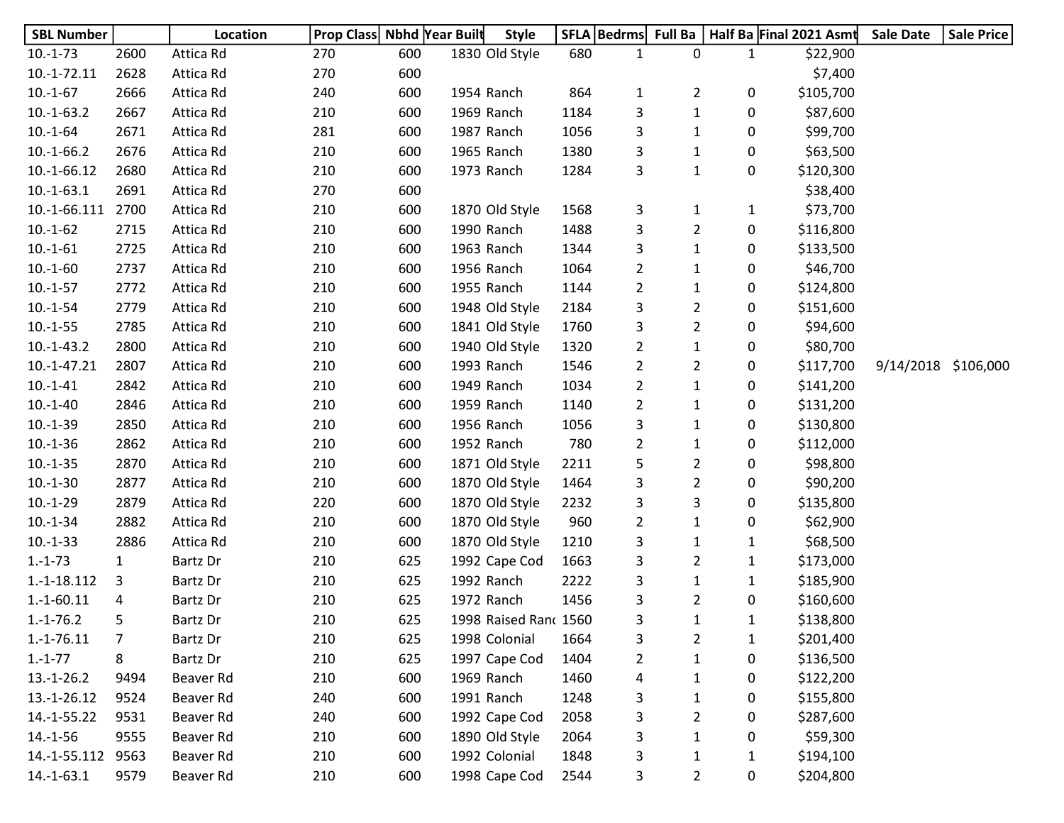| <b>SBL Number</b> |                | Location  | Prop Class Nbhd Year Built |     | <b>Style</b>          |      | SFLA   Bedrms  | Full Ba        |              | Half Ba Final 2021 Asmt | <b>Sale Date</b>    | <b>Sale Price</b> |
|-------------------|----------------|-----------|----------------------------|-----|-----------------------|------|----------------|----------------|--------------|-------------------------|---------------------|-------------------|
| $10.-1-73$        | 2600           | Attica Rd | 270                        | 600 | 1830 Old Style        | 680  | $\mathbf{1}$   | 0              | 1            | \$22,900                |                     |                   |
| $10.-1-72.11$     | 2628           | Attica Rd | 270                        | 600 |                       |      |                |                |              | \$7,400                 |                     |                   |
| $10.-1-67$        | 2666           | Attica Rd | 240                        | 600 | 1954 Ranch            | 864  | $\mathbf{1}$   | $\overline{2}$ | 0            | \$105,700               |                     |                   |
| $10.-1-63.2$      | 2667           | Attica Rd | 210                        | 600 | 1969 Ranch            | 1184 | 3              | $\mathbf{1}$   | 0            | \$87,600                |                     |                   |
| $10.-1-64$        | 2671           | Attica Rd | 281                        | 600 | 1987 Ranch            | 1056 | 3              | $\mathbf{1}$   | 0            | \$99,700                |                     |                   |
| $10.-1-66.2$      | 2676           | Attica Rd | 210                        | 600 | 1965 Ranch            | 1380 | 3              | $\mathbf{1}$   | 0            | \$63,500                |                     |                   |
| 10.-1-66.12       | 2680           | Attica Rd | 210                        | 600 | 1973 Ranch            | 1284 | 3              | $\mathbf{1}$   | 0            | \$120,300               |                     |                   |
| $10.-1-63.1$      | 2691           | Attica Rd | 270                        | 600 |                       |      |                |                |              | \$38,400                |                     |                   |
| 10.-1-66.111      | 2700           | Attica Rd | 210                        | 600 | 1870 Old Style        | 1568 | 3              | 1              | 1            | \$73,700                |                     |                   |
| $10.-1-62$        | 2715           | Attica Rd | 210                        | 600 | 1990 Ranch            | 1488 | 3              | $\overline{2}$ | 0            | \$116,800               |                     |                   |
| $10.-1-61$        | 2725           | Attica Rd | 210                        | 600 | 1963 Ranch            | 1344 | 3              | $\mathbf{1}$   | 0            | \$133,500               |                     |                   |
| $10.-1-60$        | 2737           | Attica Rd | 210                        | 600 | 1956 Ranch            | 1064 | $\overline{2}$ | $\mathbf{1}$   | 0            | \$46,700                |                     |                   |
| $10.-1-57$        | 2772           | Attica Rd | 210                        | 600 | 1955 Ranch            | 1144 | 2              | $\mathbf{1}$   | 0            | \$124,800               |                     |                   |
| $10.-1-54$        | 2779           | Attica Rd | 210                        | 600 | 1948 Old Style        | 2184 | 3              | $\overline{2}$ | 0            | \$151,600               |                     |                   |
| $10.-1-55$        | 2785           | Attica Rd | 210                        | 600 | 1841 Old Style        | 1760 | 3              | $\overline{2}$ | 0            | \$94,600                |                     |                   |
| $10.-1-43.2$      | 2800           | Attica Rd | 210                        | 600 | 1940 Old Style        | 1320 | $\overline{2}$ | $\mathbf{1}$   | 0            | \$80,700                |                     |                   |
| $10.-1-47.21$     | 2807           | Attica Rd | 210                        | 600 | 1993 Ranch            | 1546 | $\overline{2}$ | $\overline{2}$ | 0            | \$117,700               | 9/14/2018 \$106,000 |                   |
| $10.-1-41$        | 2842           | Attica Rd | 210                        | 600 | 1949 Ranch            | 1034 | $\overline{2}$ | $\mathbf{1}$   | 0            | \$141,200               |                     |                   |
| $10.-1-40$        | 2846           | Attica Rd | 210                        | 600 | 1959 Ranch            | 1140 | 2              | $\mathbf{1}$   | 0            | \$131,200               |                     |                   |
| $10.-1-39$        | 2850           | Attica Rd | 210                        | 600 | 1956 Ranch            | 1056 | 3              | $\mathbf{1}$   | 0            | \$130,800               |                     |                   |
| $10.-1-36$        | 2862           | Attica Rd | 210                        | 600 | 1952 Ranch            | 780  | 2              | 1              | 0            | \$112,000               |                     |                   |
| $10.-1-35$        | 2870           | Attica Rd | 210                        | 600 | 1871 Old Style        | 2211 | 5              | $\overline{2}$ | 0            | \$98,800                |                     |                   |
| $10.-1-30$        | 2877           | Attica Rd | 210                        | 600 | 1870 Old Style        | 1464 | 3              | $\overline{2}$ | 0            | \$90,200                |                     |                   |
| $10.-1-29$        | 2879           | Attica Rd | 220                        | 600 | 1870 Old Style        | 2232 | 3              | 3              | 0            | \$135,800               |                     |                   |
| $10.-1-34$        | 2882           | Attica Rd | 210                        | 600 | 1870 Old Style        | 960  | 2              | $\mathbf{1}$   | 0            | \$62,900                |                     |                   |
| $10.-1-33$        | 2886           | Attica Rd | 210                        | 600 | 1870 Old Style        | 1210 | 3              | 1              | $\mathbf{1}$ | \$68,500                |                     |                   |
| $1.-1-73$         | $\mathbf{1}$   | Bartz Dr  | 210                        | 625 | 1992 Cape Cod         | 1663 | 3              | $\overline{2}$ | 1            | \$173,000               |                     |                   |
| $1.-1-18.112$     | 3              | Bartz Dr  | 210                        | 625 | 1992 Ranch            | 2222 | 3              | 1              | 1            | \$185,900               |                     |                   |
| $1.-1-60.11$      | 4              | Bartz Dr  | 210                        | 625 | 1972 Ranch            | 1456 | 3              | $\overline{2}$ | 0            | \$160,600               |                     |                   |
| $1.-1-76.2$       | 5              | Bartz Dr  | 210                        | 625 | 1998 Raised Ranc 1560 |      | 3              | $\mathbf{1}$   | $\mathbf{1}$ | \$138,800               |                     |                   |
| $1.-1-76.11$      | $\overline{7}$ | Bartz Dr  | 210                        | 625 | 1998 Colonial         | 1664 | 3              | $\overline{2}$ | 1            | \$201,400               |                     |                   |
| $1.-1-77$         | 8              | Bartz Dr  | 210                        | 625 | 1997 Cape Cod         | 1404 | 2              | $\mathbf{1}$   | 0            | \$136,500               |                     |                   |
| $13.-1-26.2$      | 9494           | Beaver Rd | 210                        | 600 | 1969 Ranch            | 1460 | 4              | 1              | 0            | \$122,200               |                     |                   |
| 13.-1-26.12       | 9524           | Beaver Rd | 240                        | 600 | 1991 Ranch            | 1248 | 3              | 1              | 0            | \$155,800               |                     |                   |
| 14.-1-55.22       | 9531           | Beaver Rd | 240                        | 600 | 1992 Cape Cod         | 2058 | 3              | 2              | 0            | \$287,600               |                     |                   |
| $14.-1-56$        | 9555           | Beaver Rd | 210                        | 600 | 1890 Old Style        | 2064 | 3              | 1              | 0            | \$59,300                |                     |                   |
| 14.-1-55.112      | 9563           | Beaver Rd | 210                        | 600 | 1992 Colonial         | 1848 | 3              | $\mathbf{1}$   | $\mathbf{1}$ | \$194,100               |                     |                   |
| $14.-1-63.1$      | 9579           | Beaver Rd | 210                        | 600 | 1998 Cape Cod         | 2544 | 3              | $\overline{2}$ | 0            | \$204,800               |                     |                   |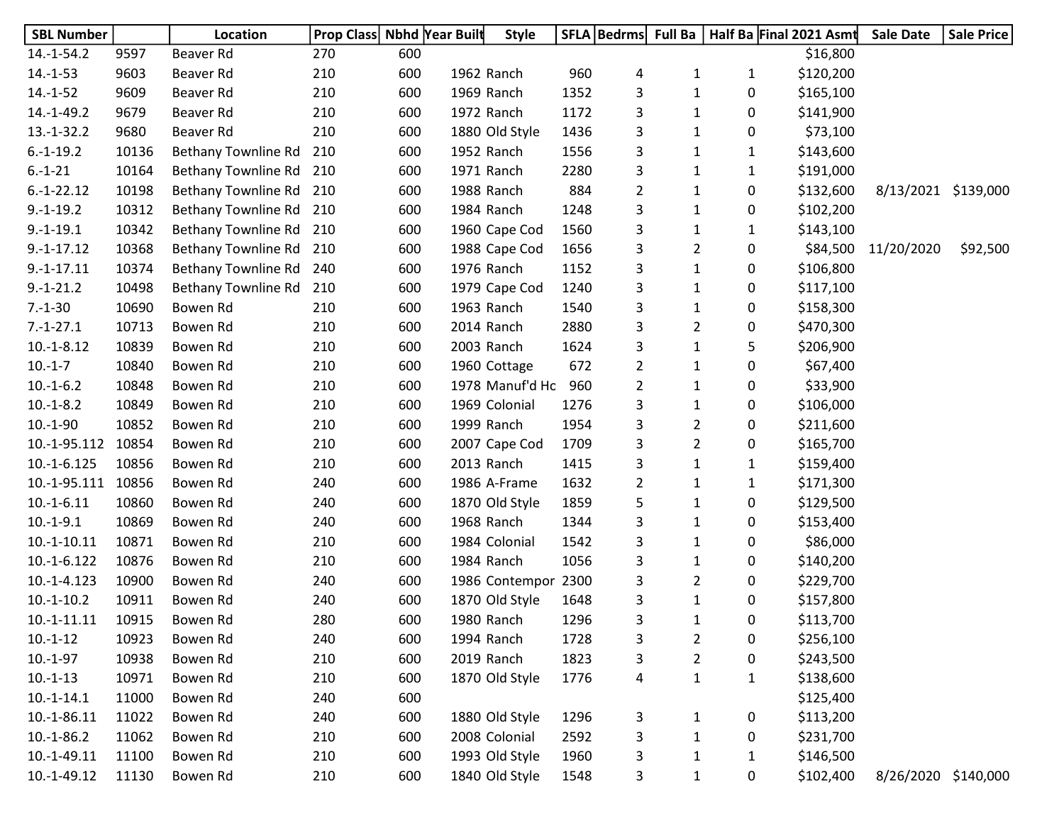| <b>SBL Number</b> |       | <b>Location</b>         | <b>Prop Class Nbhd Year Built</b> |     |            | <b>Style</b>        |      | SFLA   Bedrms  Full Ba |                |              | Half Ba Final 2021 Asmt | <b>Sale Date</b>    | <b>Sale Price</b> |
|-------------------|-------|-------------------------|-----------------------------------|-----|------------|---------------------|------|------------------------|----------------|--------------|-------------------------|---------------------|-------------------|
| $14.-1-54.2$      | 9597  | Beaver Rd               | 270                               | 600 |            |                     |      |                        |                |              | \$16,800                |                     |                   |
| $14.-1-53$        | 9603  | Beaver Rd               | 210                               | 600 | 1962 Ranch |                     | 960  | 4                      | 1              | $\mathbf{1}$ | \$120,200               |                     |                   |
| $14.-1-52$        | 9609  | Beaver Rd               | 210                               | 600 | 1969 Ranch |                     | 1352 | 3                      | $\mathbf{1}$   | 0            | \$165,100               |                     |                   |
| $14.-1-49.2$      | 9679  | Beaver Rd               | 210                               | 600 | 1972 Ranch |                     | 1172 | 3                      | 1              | 0            | \$141,900               |                     |                   |
| $13.-1-32.2$      | 9680  | Beaver Rd               | 210                               | 600 |            | 1880 Old Style      | 1436 | 3                      | 1              | 0            | \$73,100                |                     |                   |
| $6.-1-19.2$       | 10136 | Bethany Townline Rd     | 210                               | 600 | 1952 Ranch |                     | 1556 | 3                      | $\mathbf{1}$   | $\mathbf{1}$ | \$143,600               |                     |                   |
| $6.-1-21$         | 10164 | Bethany Townline Rd 210 |                                   | 600 | 1971 Ranch |                     | 2280 | 3                      | 1              | $\mathbf{1}$ | \$191,000               |                     |                   |
| $6.-1-22.12$      | 10198 | Bethany Townline Rd     | 210                               | 600 | 1988 Ranch |                     | 884  | $\overline{2}$         | $\mathbf{1}$   | 0            | \$132,600               | 8/13/2021 \$139,000 |                   |
| $9.-1-19.2$       | 10312 | Bethany Townline Rd     | 210                               | 600 | 1984 Ranch |                     | 1248 | 3                      | 1              | 0            | \$102,200               |                     |                   |
| $9.-1-19.1$       | 10342 | Bethany Townline Rd     | 210                               | 600 |            | 1960 Cape Cod       | 1560 | 3                      | 1              | 1            | \$143,100               |                     |                   |
| $9.-1-17.12$      | 10368 | Bethany Townline Rd     | 210                               | 600 |            | 1988 Cape Cod       | 1656 | 3                      | $\overline{2}$ | 0            | \$84,500                | 11/20/2020          | \$92,500          |
| $9.-1-17.11$      | 10374 | Bethany Townline Rd     | 240                               | 600 | 1976 Ranch |                     | 1152 | 3                      | 1              | 0            | \$106,800               |                     |                   |
| $9.-1-21.2$       | 10498 | Bethany Townline Rd     | 210                               | 600 |            | 1979 Cape Cod       | 1240 | 3                      | $\mathbf{1}$   | 0            | \$117,100               |                     |                   |
| $7.-1-30$         | 10690 | Bowen Rd                | 210                               | 600 | 1963 Ranch |                     | 1540 | 3                      | $\mathbf{1}$   | 0            | \$158,300               |                     |                   |
| $7.-1-27.1$       | 10713 | Bowen Rd                | 210                               | 600 | 2014 Ranch |                     | 2880 | 3                      | $\overline{2}$ | 0            | \$470,300               |                     |                   |
| $10.-1-8.12$      | 10839 | Bowen Rd                | 210                               | 600 | 2003 Ranch |                     | 1624 | 3                      | $\mathbf{1}$   | 5            | \$206,900               |                     |                   |
| $10.-1-7$         | 10840 | Bowen Rd                | 210                               | 600 |            | 1960 Cottage        | 672  | $\overline{2}$         | 1              | 0            | \$67,400                |                     |                   |
| $10.-1-6.2$       | 10848 | Bowen Rd                | 210                               | 600 |            | 1978 Manuf'd Ho     | 960  | $\overline{2}$         | $\mathbf{1}$   | 0            | \$33,900                |                     |                   |
| $10.-1-8.2$       | 10849 | Bowen Rd                | 210                               | 600 |            | 1969 Colonial       | 1276 | 3                      | $\mathbf{1}$   | 0            | \$106,000               |                     |                   |
| $10.-1-90$        | 10852 | Bowen Rd                | 210                               | 600 | 1999 Ranch |                     | 1954 | 3                      | $\overline{2}$ | 0            | \$211,600               |                     |                   |
| 10.-1-95.112      | 10854 | Bowen Rd                | 210                               | 600 |            | 2007 Cape Cod       | 1709 | 3                      | $\overline{2}$ | 0            | \$165,700               |                     |                   |
| $10.-1-6.125$     | 10856 | Bowen Rd                | 210                               | 600 | 2013 Ranch |                     | 1415 | 3                      | 1              | 1            | \$159,400               |                     |                   |
| 10.-1-95.111      | 10856 | Bowen Rd                | 240                               | 600 |            | 1986 A-Frame        | 1632 | $\overline{2}$         | 1              | 1            | \$171,300               |                     |                   |
| $10.-1-6.11$      | 10860 | Bowen Rd                | 240                               | 600 |            | 1870 Old Style      | 1859 | 5                      | $\mathbf{1}$   | 0            | \$129,500               |                     |                   |
| $10.-1-9.1$       | 10869 | Bowen Rd                | 240                               | 600 | 1968 Ranch |                     | 1344 | 3                      | $\mathbf{1}$   | 0            | \$153,400               |                     |                   |
| $10.-1-10.11$     | 10871 | Bowen Rd                | 210                               | 600 |            | 1984 Colonial       | 1542 | 3                      | $\mathbf{1}$   | 0            | \$86,000                |                     |                   |
| $10.-1-6.122$     | 10876 | Bowen Rd                | 210                               | 600 | 1984 Ranch |                     | 1056 | 3                      | $\mathbf{1}$   | 0            | \$140,200               |                     |                   |
| 10.-1-4.123       | 10900 | Bowen Rd                | 240                               | 600 |            | 1986 Contempor 2300 |      | 3                      | $\overline{2}$ | 0            | \$229,700               |                     |                   |
| $10.-1-10.2$      | 10911 | Bowen Rd                | 240                               | 600 |            | 1870 Old Style      | 1648 | 3                      | 1              | 0            | \$157,800               |                     |                   |
| $10.-1-11.11$     | 10915 | Bowen Rd                | 280                               | 600 | 1980 Ranch |                     | 1296 | 3                      | $\mathbf{1}$   | 0            | \$113,700               |                     |                   |
| $10.-1-12$        | 10923 | Bowen Rd                | 240                               | 600 | 1994 Ranch |                     | 1728 | 3                      | $\overline{2}$ | 0            | \$256,100               |                     |                   |
| $10.-1-97$        | 10938 | Bowen Rd                | 210                               | 600 | 2019 Ranch |                     | 1823 | 3                      | $\overline{2}$ | 0            | \$243,500               |                     |                   |
| $10.-1-13$        | 10971 | Bowen Rd                | 210                               | 600 |            | 1870 Old Style      | 1776 | 4                      | $\mathbf 1$    | $\mathbf{1}$ | \$138,600               |                     |                   |
| $10.-1-14.1$      | 11000 | Bowen Rd                | 240                               | 600 |            |                     |      |                        |                |              | \$125,400               |                     |                   |
| 10.-1-86.11       | 11022 | Bowen Rd                | 240                               | 600 |            | 1880 Old Style      | 1296 | 3                      | $\mathbf{1}$   | 0            | \$113,200               |                     |                   |
| $10.-1-86.2$      | 11062 | Bowen Rd                | 210                               | 600 |            | 2008 Colonial       | 2592 | 3                      | $\mathbf{1}$   | 0            | \$231,700               |                     |                   |
| $10.-1-49.11$     | 11100 | Bowen Rd                | 210                               | 600 |            | 1993 Old Style      | 1960 | 3                      | $\mathbf 1$    | 1            | \$146,500               |                     |                   |
| $10.-1-49.12$     | 11130 | Bowen Rd                | 210                               | 600 |            | 1840 Old Style      | 1548 | 3                      | $\mathbf{1}$   | 0            | \$102,400               | 8/26/2020 \$140,000 |                   |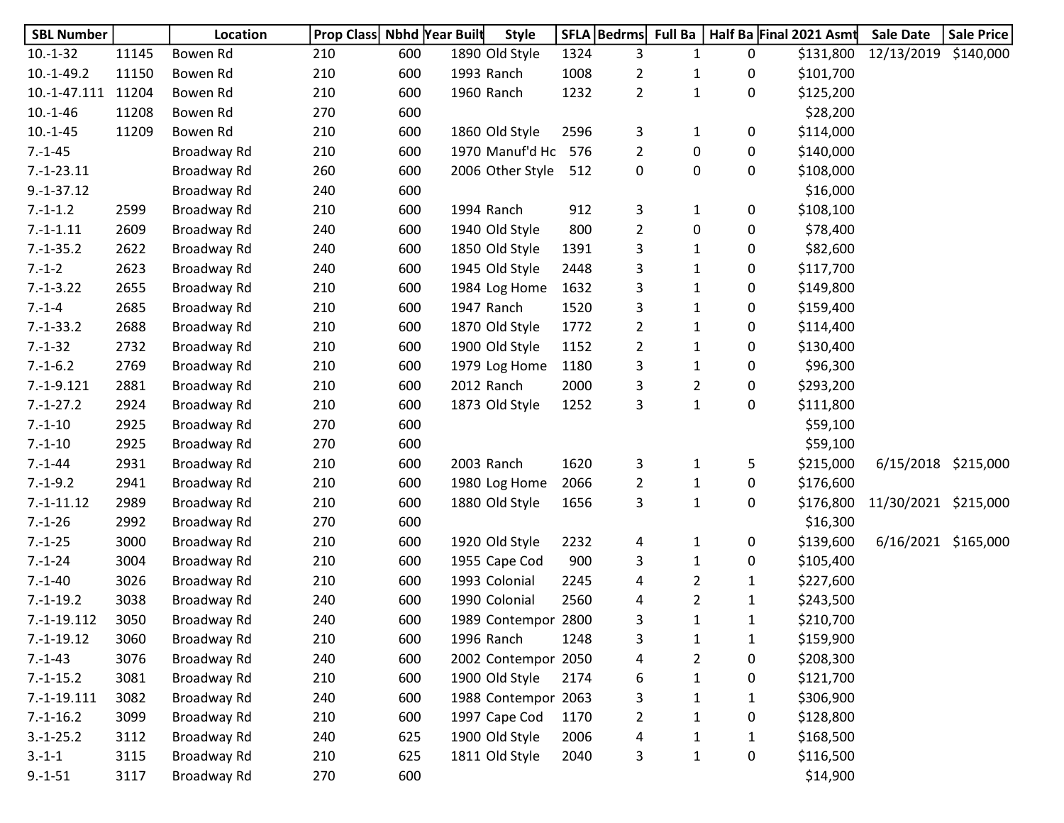| <b>SBL Number</b> |       | Location    | Prop Class Nbhd Year Built |     | <b>Style</b>        |      | SFLA   Bedrms  | <b>Full Ba</b> |              | Half Ba Final 2021 Asmt | <b>Sale Date</b>     | <b>Sale Price</b> |
|-------------------|-------|-------------|----------------------------|-----|---------------------|------|----------------|----------------|--------------|-------------------------|----------------------|-------------------|
| $10.-1-32$        | 11145 | Bowen Rd    | 210                        | 600 | 1890 Old Style      | 1324 | 3              | 1              | 0            | \$131,800               | 12/13/2019           | \$140,000         |
| $10.-1-49.2$      | 11150 | Bowen Rd    | 210                        | 600 | 1993 Ranch          | 1008 | $\overline{2}$ | 1              | 0            | \$101,700               |                      |                   |
| 10.-1-47.111      | 11204 | Bowen Rd    | 210                        | 600 | 1960 Ranch          | 1232 | $\overline{2}$ | $\mathbf 1$    | 0            | \$125,200               |                      |                   |
| $10.-1-46$        | 11208 | Bowen Rd    | 270                        | 600 |                     |      |                |                |              | \$28,200                |                      |                   |
| $10.-1-45$        | 11209 | Bowen Rd    | 210                        | 600 | 1860 Old Style      | 2596 | 3              | $\mathbf{1}$   | 0            | \$114,000               |                      |                   |
| $7.-1-45$         |       | Broadway Rd | 210                        | 600 | 1970 Manuf'd Ho     | 576  | $\overline{2}$ | $\mathbf 0$    | 0            | \$140,000               |                      |                   |
| $7.-1-23.11$      |       | Broadway Rd | 260                        | 600 | 2006 Other Style    | 512  | $\pmb{0}$      | $\pmb{0}$      | 0            | \$108,000               |                      |                   |
| $9.-1-37.12$      |       | Broadway Rd | 240                        | 600 |                     |      |                |                |              | \$16,000                |                      |                   |
| $7.-1-1.2$        | 2599  | Broadway Rd | 210                        | 600 | 1994 Ranch          | 912  | 3              | $\mathbf{1}$   | 0            | \$108,100               |                      |                   |
| $7.-1-1.11$       | 2609  | Broadway Rd | 240                        | 600 | 1940 Old Style      | 800  | $\overline{2}$ | $\mathbf 0$    | 0            | \$78,400                |                      |                   |
| $7.-1-35.2$       | 2622  | Broadway Rd | 240                        | 600 | 1850 Old Style      | 1391 | 3              | $\mathbf{1}$   | 0            | \$82,600                |                      |                   |
| $7.-1-2$          | 2623  | Broadway Rd | 240                        | 600 | 1945 Old Style      | 2448 | 3              | $\mathbf{1}$   | 0            | \$117,700               |                      |                   |
| $7.-1-3.22$       | 2655  | Broadway Rd | 210                        | 600 | 1984 Log Home       | 1632 | 3              | $\mathbf{1}$   | 0            | \$149,800               |                      |                   |
| $7.-1-4$          | 2685  | Broadway Rd | 210                        | 600 | 1947 Ranch          | 1520 | 3              | 1              | 0            | \$159,400               |                      |                   |
| $7.-1-33.2$       | 2688  | Broadway Rd | 210                        | 600 | 1870 Old Style      | 1772 | $\overline{2}$ | $\mathbf{1}$   | 0            | \$114,400               |                      |                   |
| $7.-1-32$         | 2732  | Broadway Rd | 210                        | 600 | 1900 Old Style      | 1152 | $\overline{2}$ | $\mathbf{1}$   | 0            | \$130,400               |                      |                   |
| $7.-1-6.2$        | 2769  | Broadway Rd | 210                        | 600 | 1979 Log Home       | 1180 | 3              | $\mathbf 1$    | 0            | \$96,300                |                      |                   |
| $7.-1-9.121$      | 2881  | Broadway Rd | 210                        | 600 | 2012 Ranch          | 2000 | 3              | $\overline{2}$ | 0            | \$293,200               |                      |                   |
| $7.-1-27.2$       | 2924  | Broadway Rd | 210                        | 600 | 1873 Old Style      | 1252 | 3              | $\mathbf{1}$   | 0            | \$111,800               |                      |                   |
| $7.-1-10$         | 2925  | Broadway Rd | 270                        | 600 |                     |      |                |                |              | \$59,100                |                      |                   |
| $7.-1-10$         | 2925  | Broadway Rd | 270                        | 600 |                     |      |                |                |              | \$59,100                |                      |                   |
| $7.-1-44$         | 2931  | Broadway Rd | 210                        | 600 | 2003 Ranch          | 1620 | 3              | $\mathbf{1}$   | 5            | \$215,000               | 6/15/2018 \$215,000  |                   |
| $7.-1-9.2$        | 2941  | Broadway Rd | 210                        | 600 | 1980 Log Home       | 2066 | $\overline{2}$ | $\mathbf 1$    | 0            | \$176,600               |                      |                   |
| $7.-1-11.12$      | 2989  | Broadway Rd | 210                        | 600 | 1880 Old Style      | 1656 | 3              | $\mathbf 1$    | 0            | \$176,800               | 11/30/2021 \$215,000 |                   |
| $7.-1-26$         | 2992  | Broadway Rd | 270                        | 600 |                     |      |                |                |              | \$16,300                |                      |                   |
| $7.-1-25$         | 3000  | Broadway Rd | 210                        | 600 | 1920 Old Style      | 2232 | 4              | $\mathbf{1}$   | 0            | \$139,600               | 6/16/2021 \$165,000  |                   |
| $7.-1-24$         | 3004  | Broadway Rd | 210                        | 600 | 1955 Cape Cod       | 900  | 3              | $\mathbf{1}$   | 0            | \$105,400               |                      |                   |
| $7.-1-40$         | 3026  | Broadway Rd | 210                        | 600 | 1993 Colonial       | 2245 | 4              | $\overline{2}$ | 1            | \$227,600               |                      |                   |
| $7.-1-19.2$       | 3038  | Broadway Rd | 240                        | 600 | 1990 Colonial       | 2560 | 4              | $\overline{2}$ | 1            | \$243,500               |                      |                   |
| 7.-1-19.112       | 3050  | Broadway Rd | 240                        | 600 | 1989 Contempor 2800 |      | 3              | $\mathbf 1$    | 1            | \$210,700               |                      |                   |
| $7.-1-19.12$      | 3060  | Broadway Rd | 210                        | 600 | 1996 Ranch          | 1248 | 3              | $\mathbf{1}$   | $\mathbf{1}$ | \$159,900               |                      |                   |
| $7.-1-43$         | 3076  | Broadway Rd | 240                        | 600 | 2002 Contempor 2050 |      | 4              | $\overline{2}$ | 0            | \$208,300               |                      |                   |
| $7.-1-15.2$       | 3081  | Broadway Rd | 210                        | 600 | 1900 Old Style      | 2174 | 6              | $\mathbf{1}$   | 0            | \$121,700               |                      |                   |
| $7.-1-19.111$     | 3082  | Broadway Rd | 240                        | 600 | 1988 Contempor 2063 |      | 3              | $\mathbf{1}$   | 1            | \$306,900               |                      |                   |
| $7.-1-16.2$       | 3099  | Broadway Rd | 210                        | 600 | 1997 Cape Cod       | 1170 | $\overline{2}$ | $\mathbf{1}$   | 0            | \$128,800               |                      |                   |
| $3.-1-25.2$       | 3112  | Broadway Rd | 240                        | 625 | 1900 Old Style      | 2006 | 4              | $\mathbf{1}$   | $\mathbf{1}$ | \$168,500               |                      |                   |
| $3.-1-1$          | 3115  | Broadway Rd | 210                        | 625 | 1811 Old Style      | 2040 | 3              | $\mathbf 1$    | 0            | \$116,500               |                      |                   |
| $9.-1-51$         | 3117  | Broadway Rd | 270                        | 600 |                     |      |                |                |              | \$14,900                |                      |                   |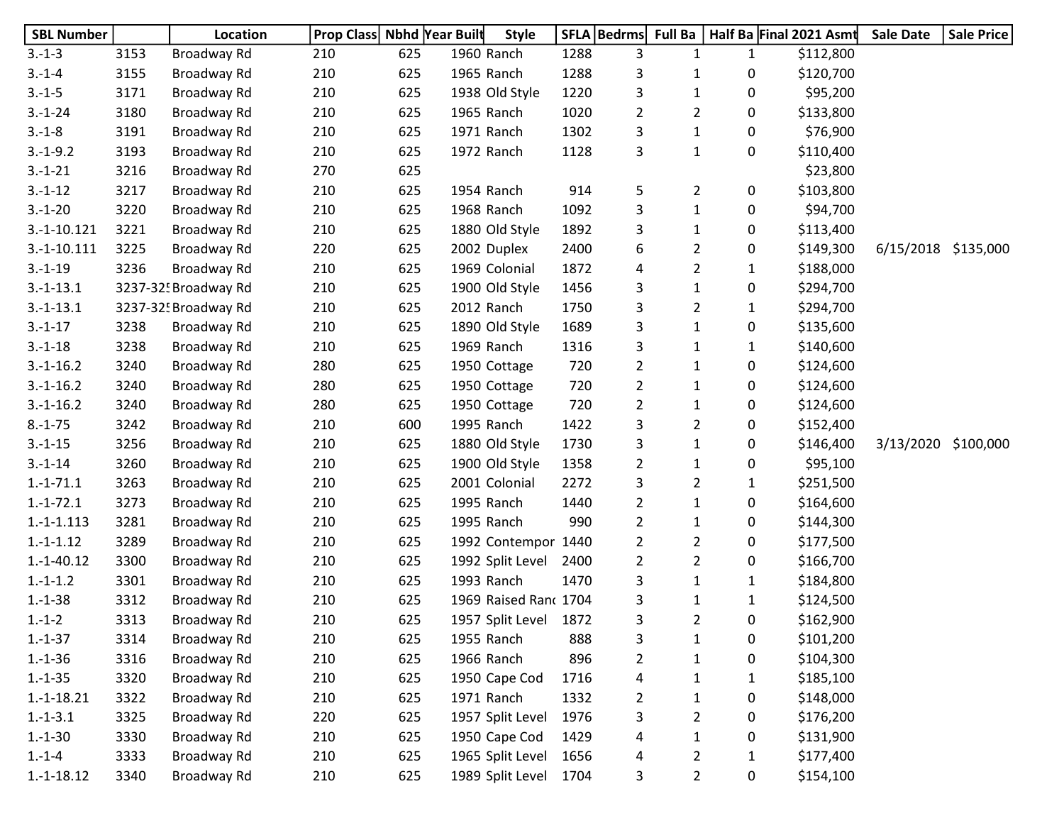| <b>SBL Number</b> |      | Location             | Prop Class Nbhd Year Built |     |            | <b>Style</b>          |      | SFLA   Bedrms  | <b>Full Ba</b> |              | Half Ba Final 2021 Asmt | <b>Sale Date</b> | <b>Sale Price</b> |
|-------------------|------|----------------------|----------------------------|-----|------------|-----------------------|------|----------------|----------------|--------------|-------------------------|------------------|-------------------|
| $3.-1-3$          | 3153 | Broadway Rd          | 210                        | 625 | 1960 Ranch |                       | 1288 | 3              | 1              | $\mathbf{1}$ | \$112,800               |                  |                   |
| $3.-1-4$          | 3155 | Broadway Rd          | 210                        | 625 | 1965 Ranch |                       | 1288 | 3              | 1              | 0            | \$120,700               |                  |                   |
| $3.-1-5$          | 3171 | Broadway Rd          | 210                        | 625 |            | 1938 Old Style        | 1220 | 3              | 1              | 0            | \$95,200                |                  |                   |
| $3.-1-24$         | 3180 | Broadway Rd          | 210                        | 625 | 1965 Ranch |                       | 1020 | $\overline{2}$ | $\overline{2}$ | 0            | \$133,800               |                  |                   |
| $3.-1-8$          | 3191 | Broadway Rd          | 210                        | 625 | 1971 Ranch |                       | 1302 | 3              | $\mathbf{1}$   | 0            | \$76,900                |                  |                   |
| $3.-1-9.2$        | 3193 | Broadway Rd          | 210                        | 625 | 1972 Ranch |                       | 1128 | 3              | $\mathbf{1}$   | 0            | \$110,400               |                  |                   |
| $3.-1-21$         | 3216 | Broadway Rd          | 270                        | 625 |            |                       |      |                |                |              | \$23,800                |                  |                   |
| $3.-1-12$         | 3217 | Broadway Rd          | 210                        | 625 | 1954 Ranch |                       | 914  | 5              | $\overline{2}$ | 0            | \$103,800               |                  |                   |
| $3.-1-20$         | 3220 | Broadway Rd          | 210                        | 625 | 1968 Ranch |                       | 1092 | 3              | $\mathbf{1}$   | 0            | \$94,700                |                  |                   |
| $3.-1-10.121$     | 3221 | Broadway Rd          | 210                        | 625 |            | 1880 Old Style        | 1892 | 3              | 1              | 0            | \$113,400               |                  |                   |
| $3.-1-10.111$     | 3225 | Broadway Rd          | 220                        | 625 |            | 2002 Duplex           | 2400 | 6              | $\overline{2}$ | 0            | \$149,300               | 6/15/2018        | \$135,000         |
| $3.-1-19$         | 3236 | Broadway Rd          | 210                        | 625 |            | 1969 Colonial         | 1872 | 4              | $\overline{2}$ | 1            | \$188,000               |                  |                   |
| $3.-1-13.1$       |      | 3237-325 Broadway Rd | 210                        | 625 |            | 1900 Old Style        | 1456 | 3              | $\mathbf{1}$   | 0            | \$294,700               |                  |                   |
| $3.-1-13.1$       |      | 3237-32! Broadway Rd | 210                        | 625 | 2012 Ranch |                       | 1750 | 3              | $\overline{2}$ | $\mathbf{1}$ | \$294,700               |                  |                   |
| $3.-1-17$         | 3238 | Broadway Rd          | 210                        | 625 |            | 1890 Old Style        | 1689 | 3              | $\mathbf{1}$   | 0            | \$135,600               |                  |                   |
| $3.-1-18$         | 3238 | Broadway Rd          | 210                        | 625 | 1969 Ranch |                       | 1316 | 3              | 1              | 1            | \$140,600               |                  |                   |
| $3.-1-16.2$       | 3240 | Broadway Rd          | 280                        | 625 |            | 1950 Cottage          | 720  | $\overline{2}$ | 1              | 0            | \$124,600               |                  |                   |
| $3.-1-16.2$       | 3240 | Broadway Rd          | 280                        | 625 |            | 1950 Cottage          | 720  | $\overline{2}$ | $\mathbf 1$    | 0            | \$124,600               |                  |                   |
| $3.-1-16.2$       | 3240 | Broadway Rd          | 280                        | 625 |            | 1950 Cottage          | 720  | $\overline{2}$ | $\mathbf{1}$   | 0            | \$124,600               |                  |                   |
| $8.-1-75$         | 3242 | Broadway Rd          | 210                        | 600 | 1995 Ranch |                       | 1422 | 3              | $\overline{2}$ | 0            | \$152,400               |                  |                   |
| $3.-1-15$         | 3256 | Broadway Rd          | 210                        | 625 |            | 1880 Old Style        | 1730 | 3              | $\mathbf{1}$   | 0            | \$146,400               | 3/13/2020        | \$100,000         |
| $3.-1-14$         | 3260 | Broadway Rd          | 210                        | 625 |            | 1900 Old Style        | 1358 | $\overline{2}$ | $\mathbf{1}$   | 0            | \$95,100                |                  |                   |
| $1.-1-71.1$       | 3263 | Broadway Rd          | 210                        | 625 |            | 2001 Colonial         | 2272 | 3              | $\overline{2}$ | 1            | \$251,500               |                  |                   |
| $1.-1-72.1$       | 3273 | Broadway Rd          | 210                        | 625 | 1995 Ranch |                       | 1440 | $\overline{2}$ | $\mathbf{1}$   | 0            | \$164,600               |                  |                   |
| $1.-1-.113$       | 3281 | Broadway Rd          | 210                        | 625 | 1995 Ranch |                       | 990  | $\overline{2}$ | $\mathbf{1}$   | 0            | \$144,300               |                  |                   |
| $1.-1-.1.12$      | 3289 | Broadway Rd          | 210                        | 625 |            | 1992 Contempor        | 1440 | $\overline{2}$ | $\overline{2}$ | 0            | \$177,500               |                  |                   |
| $1.-1-40.12$      | 3300 | Broadway Rd          | 210                        | 625 |            | 1992 Split Level      | 2400 | $\overline{2}$ | $\overline{2}$ | 0            | \$166,700               |                  |                   |
| $1.-1-.1.2$       | 3301 | Broadway Rd          | 210                        | 625 | 1993 Ranch |                       | 1470 | 3              | $\mathbf{1}$   | 1            | \$184,800               |                  |                   |
| $1.-1-38$         | 3312 | Broadway Rd          | 210                        | 625 |            | 1969 Raised Ranc 1704 |      | 3              | 1              | 1            | \$124,500               |                  |                   |
| $1.-1-2$          | 3313 | Broadway Rd          | 210                        | 625 |            | 1957 Split Level      | 1872 | 3              | $\overline{2}$ | 0            | \$162,900               |                  |                   |
| $1.-1-37$         | 3314 | Broadway Rd          | 210                        | 625 | 1955 Ranch |                       | 888  | 3              | $\mathbf{1}$   | 0            | \$101,200               |                  |                   |
| $1.-1-36$         | 3316 | Broadway Rd          | 210                        | 625 | 1966 Ranch |                       | 896  | $\overline{2}$ | $\mathbf{1}$   | 0            | \$104,300               |                  |                   |
| $1.-1-35$         | 3320 | Broadway Rd          | 210                        | 625 |            | 1950 Cape Cod         | 1716 | 4              | 1              | 1            | \$185,100               |                  |                   |
| $1.-1-18.21$      | 3322 | Broadway Rd          | 210                        | 625 | 1971 Ranch |                       | 1332 | $\overline{2}$ | 1              | 0            | \$148,000               |                  |                   |
| $1.-1-3.1$        | 3325 | Broadway Rd          | 220                        | 625 |            | 1957 Split Level      | 1976 | 3              | $\overline{2}$ | 0            | \$176,200               |                  |                   |
| $1.-1-30$         | 3330 | Broadway Rd          | 210                        | 625 |            | 1950 Cape Cod         | 1429 | 4              | $\mathbf{1}$   | 0            | \$131,900               |                  |                   |
| $1.-1-4$          | 3333 | Broadway Rd          | 210                        | 625 |            | 1965 Split Level      | 1656 | 4              | $\overline{2}$ | $\mathbf{1}$ | \$177,400               |                  |                   |
| $1.-1-18.12$      | 3340 | Broadway Rd          | 210                        | 625 |            | 1989 Split Level      | 1704 | 3              | $\overline{2}$ | 0            | \$154,100               |                  |                   |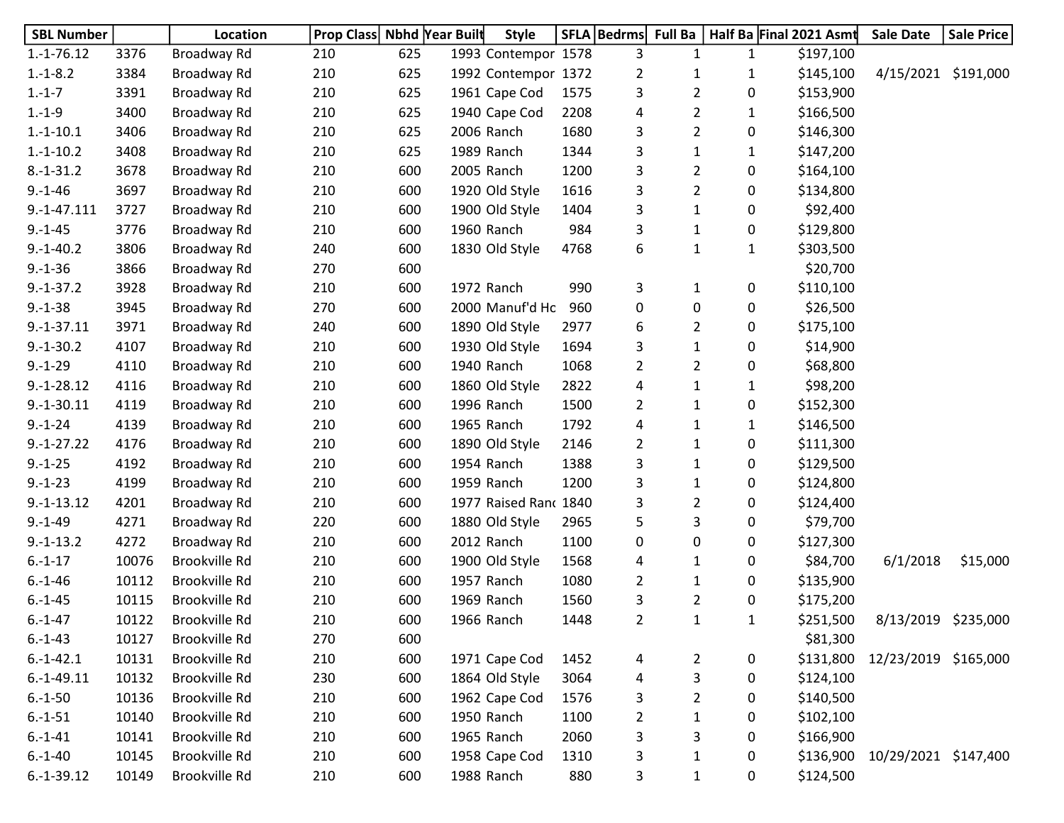| <b>SBL Number</b> |       | Location             | Prop Class Nbhd Year Built |     | <b>Style</b>          |      | SFLA   Bedrms  | <b>Full Ba</b> |              | Half Ba Final 2021 Asmt | Sale Date            | <b>Sale Price</b> |
|-------------------|-------|----------------------|----------------------------|-----|-----------------------|------|----------------|----------------|--------------|-------------------------|----------------------|-------------------|
| $1.-1-76.12$      | 3376  | Broadway Rd          | 210                        | 625 | 1993 Contempor 1578   |      | 3              | 1              | $\mathbf{1}$ | \$197,100               |                      |                   |
| $1.-1-8.2$        | 3384  | Broadway Rd          | 210                        | 625 | 1992 Contempor 1372   |      | $\overline{2}$ | 1              | 1            | \$145,100               | 4/15/2021            | \$191,000         |
| $1.-1-7$          | 3391  | Broadway Rd          | 210                        | 625 | 1961 Cape Cod         | 1575 | 3              | $\overline{2}$ | 0            | \$153,900               |                      |                   |
| $1.-1-9$          | 3400  | Broadway Rd          | 210                        | 625 | 1940 Cape Cod         | 2208 | 4              | 2              | 1            | \$166,500               |                      |                   |
| $1.-1-10.1$       | 3406  | Broadway Rd          | 210                        | 625 | 2006 Ranch            | 1680 | 3              | 2              | 0            | \$146,300               |                      |                   |
| $1.-1-10.2$       | 3408  | Broadway Rd          | 210                        | 625 | 1989 Ranch            | 1344 | 3              | $\mathbf{1}$   | 1            | \$147,200               |                      |                   |
| $8.-1-31.2$       | 3678  | Broadway Rd          | 210                        | 600 | 2005 Ranch            | 1200 | 3              | $\overline{2}$ | 0            | \$164,100               |                      |                   |
| $9.-1-46$         | 3697  | Broadway Rd          | 210                        | 600 | 1920 Old Style        | 1616 | 3              | $\overline{2}$ | 0            | \$134,800               |                      |                   |
| $9.-1-47.111$     | 3727  | Broadway Rd          | 210                        | 600 | 1900 Old Style        | 1404 | 3              | $\mathbf{1}$   | 0            | \$92,400                |                      |                   |
| $9.-1-45$         | 3776  | Broadway Rd          | 210                        | 600 | 1960 Ranch            | 984  | 3              | 1              | 0            | \$129,800               |                      |                   |
| $9.-1-40.2$       | 3806  | Broadway Rd          | 240                        | 600 | 1830 Old Style        | 4768 | 6              | 1              | 1            | \$303,500               |                      |                   |
| $9.-1-36$         | 3866  | Broadway Rd          | 270                        | 600 |                       |      |                |                |              | \$20,700                |                      |                   |
| $9.-1-37.2$       | 3928  | Broadway Rd          | 210                        | 600 | 1972 Ranch            | 990  | 3              | 1              | 0            | \$110,100               |                      |                   |
| $9.-1-38$         | 3945  | Broadway Rd          | 270                        | 600 | 2000 Manuf'd Ho       | 960  | 0              | 0              | 0            | \$26,500                |                      |                   |
| $9.-1-37.11$      | 3971  | Broadway Rd          | 240                        | 600 | 1890 Old Style        | 2977 | 6              | $\overline{2}$ | 0            | \$175,100               |                      |                   |
| $9.-1-30.2$       | 4107  | Broadway Rd          | 210                        | 600 | 1930 Old Style        | 1694 | 3              | $\mathbf{1}$   | 0            | \$14,900                |                      |                   |
| $9.-1-29$         | 4110  | Broadway Rd          | 210                        | 600 | 1940 Ranch            | 1068 | 2              | $\overline{2}$ | 0            | \$68,800                |                      |                   |
| $9.-1-28.12$      | 4116  | Broadway Rd          | 210                        | 600 | 1860 Old Style        | 2822 | 4              | 1              | 1            | \$98,200                |                      |                   |
| $9.-1-30.11$      | 4119  | Broadway Rd          | 210                        | 600 | 1996 Ranch            | 1500 | 2              | $\mathbf{1}$   | 0            | \$152,300               |                      |                   |
| $9.-1-24$         | 4139  | Broadway Rd          | 210                        | 600 | 1965 Ranch            | 1792 | 4              | 1              | $\mathbf{1}$ | \$146,500               |                      |                   |
| $9.-1-27.22$      | 4176  | Broadway Rd          | 210                        | 600 | 1890 Old Style        | 2146 | 2              | 1              | 0            | \$111,300               |                      |                   |
| $9.-1-25$         | 4192  | Broadway Rd          | 210                        | 600 | 1954 Ranch            | 1388 | 3              | 1              | 0            | \$129,500               |                      |                   |
| $9.-1-23$         | 4199  | Broadway Rd          | 210                        | 600 | 1959 Ranch            | 1200 | 3              | 1              | 0            | \$124,800               |                      |                   |
| $9.-1-13.12$      | 4201  | Broadway Rd          | 210                        | 600 | 1977 Raised Ranc 1840 |      | 3              | 2              | 0            | \$124,400               |                      |                   |
| $9.-1-49$         | 4271  | Broadway Rd          | 220                        | 600 | 1880 Old Style        | 2965 | 5              | 3              | 0            | \$79,700                |                      |                   |
| $9.-1-13.2$       | 4272  | Broadway Rd          | 210                        | 600 | 2012 Ranch            | 1100 | 0              | 0              | 0            | \$127,300               |                      |                   |
| $6.-1-17$         | 10076 | Brookville Rd        | 210                        | 600 | 1900 Old Style        | 1568 | 4              | 1              | 0            | \$84,700                | 6/1/2018             | \$15,000          |
| $6.-1-46$         | 10112 | Brookville Rd        | 210                        | 600 | 1957 Ranch            | 1080 | 2              | 1              | 0            | \$135,900               |                      |                   |
| $6.-1-45$         | 10115 | Brookville Rd        | 210                        | 600 | 1969 Ranch            | 1560 | 3              | 2              | 0            | \$175,200               |                      |                   |
| $6.-1-47$         | 10122 | Brookville Rd        | 210                        | 600 | 1966 Ranch            | 1448 | 2              | 1              | 1            | \$251,500               | 8/13/2019            | \$235,000         |
| $6.-1-43$         | 10127 | Brookville Rd        | 270                        | 600 |                       |      |                |                |              | \$81,300                |                      |                   |
| $6.-1-42.1$       | 10131 | <b>Brookville Rd</b> | 210                        | 600 | 1971 Cape Cod         | 1452 | 4              | $\overline{2}$ | 0            | \$131,800               | 12/23/2019 \$165,000 |                   |
| $6.-1-49.11$      | 10132 | <b>Brookville Rd</b> | 230                        | 600 | 1864 Old Style        | 3064 | 4              | 3              | 0            | \$124,100               |                      |                   |
| $6.-1-50$         | 10136 | Brookville Rd        | 210                        | 600 | 1962 Cape Cod         | 1576 | 3              | $\overline{2}$ | 0            | \$140,500               |                      |                   |
| $6.-1-51$         | 10140 | Brookville Rd        | 210                        | 600 | 1950 Ranch            | 1100 | $\overline{2}$ | 1              | 0            | \$102,100               |                      |                   |
| $6.-1-41$         | 10141 | <b>Brookville Rd</b> | 210                        | 600 | 1965 Ranch            | 2060 | 3              | 3              | 0            | \$166,900               |                      |                   |
| $6.-1-40$         | 10145 | Brookville Rd        | 210                        | 600 | 1958 Cape Cod         | 1310 | 3              | $\mathbf{1}$   | 0            | \$136,900               | 10/29/2021 \$147,400 |                   |
| $6.-1-39.12$      | 10149 | Brookville Rd        | 210                        | 600 | 1988 Ranch            | 880  | 3              | 1              | 0            | \$124,500               |                      |                   |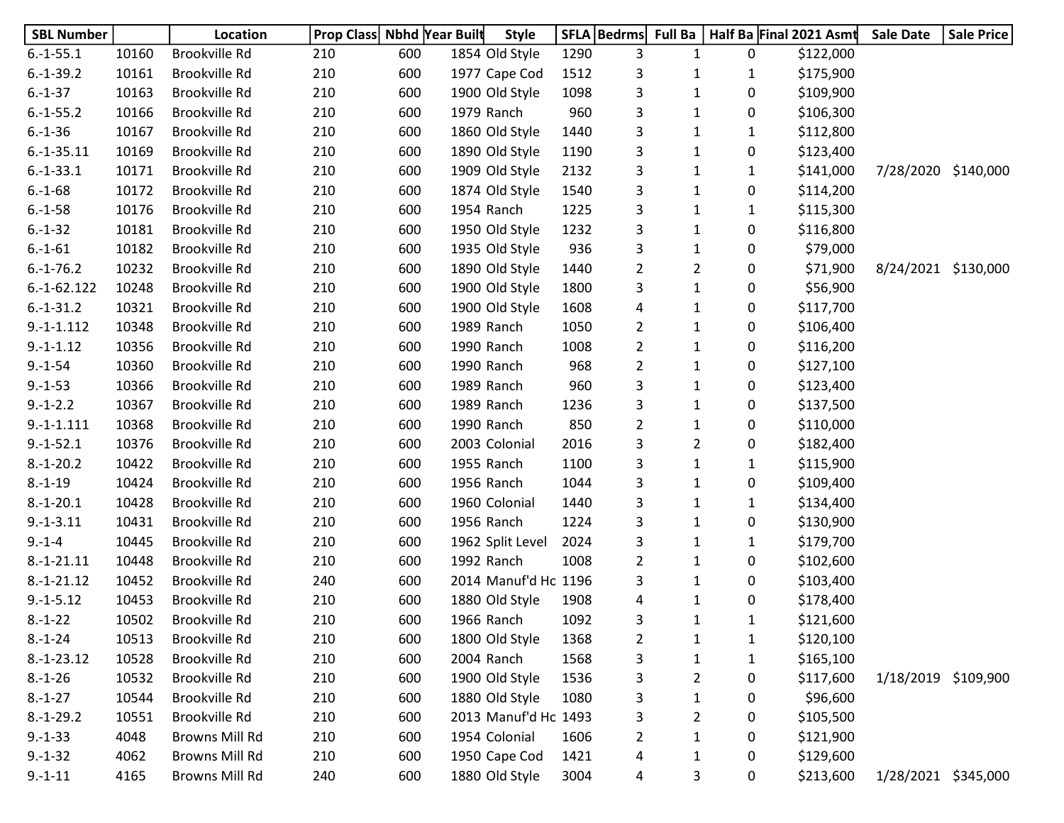| <b>SBL Number</b> |       | Location       | <b>Prop Class Nbhd Year Built</b> |     | <b>Style</b>         |      | SFLA   Bedrms  | <b>Full Ba</b> |              | Half Ba Final 2021 Asmt | <b>Sale Date</b>    | <b>Sale Price</b> |
|-------------------|-------|----------------|-----------------------------------|-----|----------------------|------|----------------|----------------|--------------|-------------------------|---------------------|-------------------|
| $6.-1-55.1$       | 10160 | Brookville Rd  | 210                               | 600 | 1854 Old Style       | 1290 | 3              | $\mathbf{1}$   | 0            | \$122,000               |                     |                   |
| $6.-1-39.2$       | 10161 | Brookville Rd  | 210                               | 600 | 1977 Cape Cod        | 1512 | 3              | 1              | 1            | \$175,900               |                     |                   |
| $6.-1-37$         | 10163 | Brookville Rd  | 210                               | 600 | 1900 Old Style       | 1098 | 3              | $\mathbf{1}$   | 0            | \$109,900               |                     |                   |
| $6.-1-55.2$       | 10166 | Brookville Rd  | 210                               | 600 | 1979 Ranch           | 960  | 3              | 1              | 0            | \$106,300               |                     |                   |
| $6.-1-36$         | 10167 | Brookville Rd  | 210                               | 600 | 1860 Old Style       | 1440 | 3              | 1              | 1            | \$112,800               |                     |                   |
| $6.-1-35.11$      | 10169 | Brookville Rd  | 210                               | 600 | 1890 Old Style       | 1190 | 3              | 1              | 0            | \$123,400               |                     |                   |
| $6.-1-33.1$       | 10171 | Brookville Rd  | 210                               | 600 | 1909 Old Style       | 2132 | 3              | 1              | 1            | \$141,000               | 7/28/2020           | \$140,000         |
| $6.-1-68$         | 10172 | Brookville Rd  | 210                               | 600 | 1874 Old Style       | 1540 | 3              | $\mathbf{1}$   | 0            | \$114,200               |                     |                   |
| $6.-1-58$         | 10176 | Brookville Rd  | 210                               | 600 | 1954 Ranch           | 1225 | 3              | $\mathbf{1}$   | $\mathbf{1}$ | \$115,300               |                     |                   |
| $6.-1-32$         | 10181 | Brookville Rd  | 210                               | 600 | 1950 Old Style       | 1232 | 3              | $\mathbf{1}$   | 0            | \$116,800               |                     |                   |
| $6.-1-61$         | 10182 | Brookville Rd  | 210                               | 600 | 1935 Old Style       | 936  | 3              | $\mathbf{1}$   | 0            | \$79,000                |                     |                   |
| $6.-1-76.2$       | 10232 | Brookville Rd  | 210                               | 600 | 1890 Old Style       | 1440 | $\overline{2}$ | $\overline{2}$ | 0            | \$71,900                | 8/24/2021           | \$130,000         |
| $6.-1-62.122$     | 10248 | Brookville Rd  | 210                               | 600 | 1900 Old Style       | 1800 | 3              | $\mathbf 1$    | 0            | \$56,900                |                     |                   |
| $6.-1-31.2$       | 10321 | Brookville Rd  | 210                               | 600 | 1900 Old Style       | 1608 | 4              | 1              | 0            | \$117,700               |                     |                   |
| $9.-1-.112$       | 10348 | Brookville Rd  | 210                               | 600 | 1989 Ranch           | 1050 | $\overline{2}$ | 1              | 0            | \$106,400               |                     |                   |
| $9.-1-1.12$       | 10356 | Brookville Rd  | 210                               | 600 | 1990 Ranch           | 1008 | $\overline{2}$ | 1              | 0            | \$116,200               |                     |                   |
| $9.-1-54$         | 10360 | Brookville Rd  | 210                               | 600 | 1990 Ranch           | 968  | $\overline{2}$ | 1              | 0            | \$127,100               |                     |                   |
| $9.-1-53$         | 10366 | Brookville Rd  | 210                               | 600 | 1989 Ranch           | 960  | 3              | 1              | 0            | \$123,400               |                     |                   |
| $9.-1-.2.2$       | 10367 | Brookville Rd  | 210                               | 600 | 1989 Ranch           | 1236 | 3              | 1              | 0            | \$137,500               |                     |                   |
| $9.-1-.111$       | 10368 | Brookville Rd  | 210                               | 600 | 1990 Ranch           | 850  | $\overline{2}$ | $\mathbf 1$    | 0            | \$110,000               |                     |                   |
| $9.-1-52.1$       | 10376 | Brookville Rd  | 210                               | 600 | 2003 Colonial        | 2016 | 3              | $\overline{2}$ | 0            | \$182,400               |                     |                   |
| $8.-1-20.2$       | 10422 | Brookville Rd  | 210                               | 600 | 1955 Ranch           | 1100 | 3              | $\mathbf{1}$   | $\mathbf{1}$ | \$115,900               |                     |                   |
| $8.-1-19$         | 10424 | Brookville Rd  | 210                               | 600 | 1956 Ranch           | 1044 | 3              | $\mathbf{1}$   | 0            | \$109,400               |                     |                   |
| $8.-1-20.1$       | 10428 | Brookville Rd  | 210                               | 600 | 1960 Colonial        | 1440 | 3              | 1              | 1            | \$134,400               |                     |                   |
| $9.-1-3.11$       | 10431 | Brookville Rd  | 210                               | 600 | 1956 Ranch           | 1224 | 3              | 1              | 0            | \$130,900               |                     |                   |
| $9 - 1 - 4$       | 10445 | Brookville Rd  | 210                               | 600 | 1962 Split Level     | 2024 | 3              | $\mathbf{1}$   | $\mathbf{1}$ | \$179,700               |                     |                   |
| $8.-1-21.11$      | 10448 | Brookville Rd  | 210                               | 600 | 1992 Ranch           | 1008 | $\overline{2}$ | 1              | 0            | \$102,600               |                     |                   |
| $8.-1-21.12$      | 10452 | Brookville Rd  | 240                               | 600 | 2014 Manuf'd Ho 1196 |      | 3              | 1              | 0            | \$103,400               |                     |                   |
| $9.-1-5.12$       | 10453 | Brookville Rd  | 210                               | 600 | 1880 Old Style       | 1908 | 4              | $\mathbf 1$    | 0            | \$178,400               |                     |                   |
| $8.-1-22$         | 10502 | Brookville Rd  | 210                               | 600 | 1966 Ranch           | 1092 | 3              | 1              | 1            | \$121,600               |                     |                   |
| $8.-1-24$         | 10513 | Brookville Rd  | 210                               | 600 | 1800 Old Style       | 1368 | $\overline{2}$ | 1              | 1            | \$120,100               |                     |                   |
| $8.-1-23.12$      | 10528 | Brookville Rd  | 210                               | 600 | 2004 Ranch           | 1568 | 3              | $\mathbf 1$    | $\mathbf{1}$ | \$165,100               |                     |                   |
| $8.-1-26$         | 10532 | Brookville Rd  | 210                               | 600 | 1900 Old Style       | 1536 | 3              | $\overline{2}$ | 0            | \$117,600               | 1/18/2019           | \$109,900         |
| $8.-1-27$         | 10544 | Brookville Rd  | 210                               | 600 | 1880 Old Style       | 1080 | 3              | $\mathbf 1$    | 0            | \$96,600                |                     |                   |
| $8.-1-29.2$       | 10551 | Brookville Rd  | 210                               | 600 | 2013 Manuf'd Ho 1493 |      | 3              | 2              | 0            | \$105,500               |                     |                   |
| $9. - 1 - 33$     | 4048  | Browns Mill Rd | 210                               | 600 | 1954 Colonial        | 1606 | $\overline{2}$ | 1              | 0            | \$121,900               |                     |                   |
| $9.-1-32$         | 4062  | Browns Mill Rd | 210                               | 600 | 1950 Cape Cod        | 1421 | 4              | $\mathbf{1}$   | 0            | \$129,600               |                     |                   |
| $9. - 1 - 11$     | 4165  | Browns Mill Rd | 240                               | 600 | 1880 Old Style       | 3004 | 4              | 3              | 0            | \$213,600               | 1/28/2021 \$345,000 |                   |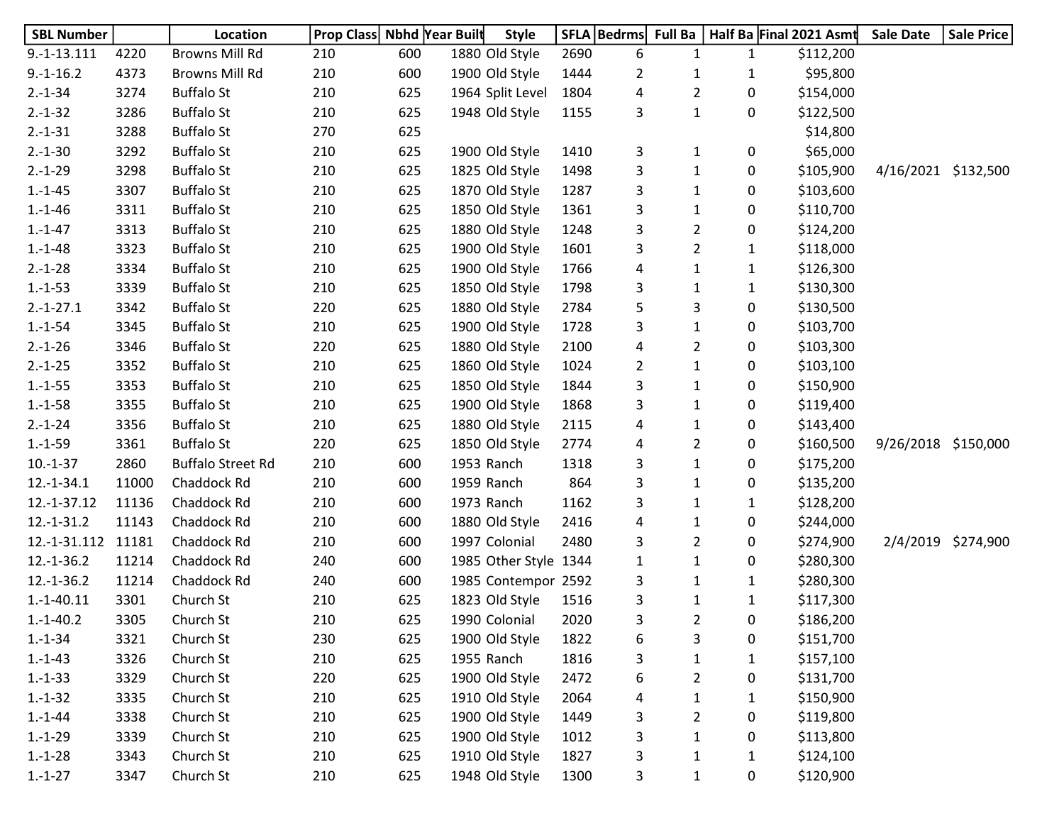| <b>SBL Number</b> |       | Location                 | Prop Class Nbhd Year Built |     | <b>Style</b>          |      | SFLA   Bedrms  | <b>Full Ba</b> |              | Half Ba Final 2021 Asmt | <b>Sale Date</b>    | <b>Sale Price</b>  |
|-------------------|-------|--------------------------|----------------------------|-----|-----------------------|------|----------------|----------------|--------------|-------------------------|---------------------|--------------------|
| $9.-1-.13.111$    | 4220  | <b>Browns Mill Rd</b>    | 210                        | 600 | 1880 Old Style        | 2690 | 6              | $\mathbf{1}$   | $\mathbf{1}$ | \$112,200               |                     |                    |
| $9.-1-16.2$       | 4373  | <b>Browns Mill Rd</b>    | 210                        | 600 | 1900 Old Style        | 1444 | $\overline{2}$ | 1              | 1            | \$95,800                |                     |                    |
| $2.-1-34$         | 3274  | <b>Buffalo St</b>        | 210                        | 625 | 1964 Split Level      | 1804 | 4              | $\overline{2}$ | 0            | \$154,000               |                     |                    |
| $2.-1-32$         | 3286  | <b>Buffalo St</b>        | 210                        | 625 | 1948 Old Style        | 1155 | 3              | $\mathbf{1}$   | 0            | \$122,500               |                     |                    |
| $2.-1-31$         | 3288  | <b>Buffalo St</b>        | 270                        | 625 |                       |      |                |                |              | \$14,800                |                     |                    |
| $2.-1-30$         | 3292  | <b>Buffalo St</b>        | 210                        | 625 | 1900 Old Style        | 1410 | 3              | 1              | 0            | \$65,000                |                     |                    |
| $2.-1-29$         | 3298  | <b>Buffalo St</b>        | 210                        | 625 | 1825 Old Style        | 1498 | 3              | $\mathbf{1}$   | 0            | \$105,900               | 4/16/2021 \$132,500 |                    |
| $1.-1-45$         | 3307  | <b>Buffalo St</b>        | 210                        | 625 | 1870 Old Style        | 1287 | 3              | $\mathbf{1}$   | 0            | \$103,600               |                     |                    |
| $1.-1-46$         | 3311  | <b>Buffalo St</b>        | 210                        | 625 | 1850 Old Style        | 1361 | 3              | $\mathbf{1}$   | 0            | \$110,700               |                     |                    |
| $1.-1-47$         | 3313  | <b>Buffalo St</b>        | 210                        | 625 | 1880 Old Style        | 1248 | 3              | $\overline{2}$ | 0            | \$124,200               |                     |                    |
| $1.-1-48$         | 3323  | <b>Buffalo St</b>        | 210                        | 625 | 1900 Old Style        | 1601 | 3              | $\overline{2}$ | 1            | \$118,000               |                     |                    |
| $2.-1-28$         | 3334  | <b>Buffalo St</b>        | 210                        | 625 | 1900 Old Style        | 1766 | 4              | $\mathbf{1}$   | 1            | \$126,300               |                     |                    |
| $1.-1-53$         | 3339  | <b>Buffalo St</b>        | 210                        | 625 | 1850 Old Style        | 1798 | 3              | $\mathbf{1}$   | 1            | \$130,300               |                     |                    |
| $2.-1-27.1$       | 3342  | <b>Buffalo St</b>        | 220                        | 625 | 1880 Old Style        | 2784 | 5              | 3              | 0            | \$130,500               |                     |                    |
| $1.-1-54$         | 3345  | <b>Buffalo St</b>        | 210                        | 625 | 1900 Old Style        | 1728 | 3              | $\mathbf{1}$   | 0            | \$103,700               |                     |                    |
| $2.-1-26$         | 3346  | <b>Buffalo St</b>        | 220                        | 625 | 1880 Old Style        | 2100 | 4              | $\overline{2}$ | 0            | \$103,300               |                     |                    |
| $2.-1-25$         | 3352  | <b>Buffalo St</b>        | 210                        | 625 | 1860 Old Style        | 1024 | $\overline{2}$ | $\mathbf{1}$   | 0            | \$103,100               |                     |                    |
| $1.-1-55$         | 3353  | <b>Buffalo St</b>        | 210                        | 625 | 1850 Old Style        | 1844 | 3              | $\mathbf{1}$   | 0            | \$150,900               |                     |                    |
| $1.-1-58$         | 3355  | <b>Buffalo St</b>        | 210                        | 625 | 1900 Old Style        | 1868 | 3              | $\mathbf{1}$   | 0            | \$119,400               |                     |                    |
| $2.-1-24$         | 3356  | <b>Buffalo St</b>        | 210                        | 625 | 1880 Old Style        | 2115 | 4              | $\mathbf{1}$   | 0            | \$143,400               |                     |                    |
| $1.-1-59$         | 3361  | <b>Buffalo St</b>        | 220                        | 625 | 1850 Old Style        | 2774 | 4              | $\overline{2}$ | 0            | \$160,500               | 9/26/2018 \$150,000 |                    |
| $10.-1-37$        | 2860  | <b>Buffalo Street Rd</b> | 210                        | 600 | 1953 Ranch            | 1318 | 3              | $\mathbf{1}$   | 0            | \$175,200               |                     |                    |
| $12.-1-34.1$      | 11000 | Chaddock Rd              | 210                        | 600 | 1959 Ranch            | 864  | 3              | $\mathbf{1}$   | 0            | \$135,200               |                     |                    |
| 12.-1-37.12       | 11136 | Chaddock Rd              | 210                        | 600 | 1973 Ranch            | 1162 | 3              | $\mathbf{1}$   | 1            | \$128,200               |                     |                    |
| $12.-1-31.2$      | 11143 | Chaddock Rd              | 210                        | 600 | 1880 Old Style        | 2416 | 4              | $\mathbf{1}$   | 0            | \$244,000               |                     |                    |
| 12.-1-31.112      | 11181 | Chaddock Rd              | 210                        | 600 | 1997 Colonial         | 2480 | 3              | $\overline{2}$ | 0            | \$274,900               |                     | 2/4/2019 \$274,900 |
| $12.-1-36.2$      | 11214 | Chaddock Rd              | 240                        | 600 | 1985 Other Style 1344 |      | $\mathbf{1}$   | $\mathbf{1}$   | 0            | \$280,300               |                     |                    |
| $12.-1-36.2$      | 11214 | Chaddock Rd              | 240                        | 600 | 1985 Contempor 2592   |      | 3              | $\mathbf{1}$   | 1            | \$280,300               |                     |                    |
| $1.-1-40.11$      | 3301  | Church St                | 210                        | 625 | 1823 Old Style        | 1516 | 3              | $\mathbf{1}$   | $\mathbf{1}$ | \$117,300               |                     |                    |
| $1.-1-40.2$       | 3305  | Church St                | 210                        | 625 | 1990 Colonial         | 2020 | 3              | $\overline{2}$ | 0            | \$186,200               |                     |                    |
| $1.-1-34$         | 3321  | Church St                | 230                        | 625 | 1900 Old Style        | 1822 | 6              | 3              | 0            | \$151,700               |                     |                    |
| $1.-1-43$         | 3326  | Church St                | 210                        | 625 | 1955 Ranch            | 1816 | 3              | $\mathbf 1$    | $\mathbf{1}$ | \$157,100               |                     |                    |
| $1.-1-33$         | 3329  | Church St                | 220                        | 625 | 1900 Old Style        | 2472 | 6              | $\overline{2}$ | 0            | \$131,700               |                     |                    |
| $1.-1-32$         | 3335  | Church St                | 210                        | 625 | 1910 Old Style        | 2064 | 4              | $\mathbf{1}$   | $\mathbf{1}$ | \$150,900               |                     |                    |
| $1.-1-44$         | 3338  | Church St                | 210                        | 625 | 1900 Old Style        | 1449 | 3              | $\overline{2}$ | 0            | \$119,800               |                     |                    |
| $1.-1-29$         | 3339  | Church St                | 210                        | 625 | 1900 Old Style        | 1012 | 3              | $\mathbf{1}$   | 0            | \$113,800               |                     |                    |
| $1.-1-28$         | 3343  | Church St                | 210                        | 625 | 1910 Old Style        | 1827 | 3              | $\mathbf{1}$   | $\mathbf{1}$ | \$124,100               |                     |                    |
| $1.-1-27$         | 3347  | Church St                | 210                        | 625 | 1948 Old Style        | 1300 | 3              | $\mathbf{1}$   | 0            | \$120,900               |                     |                    |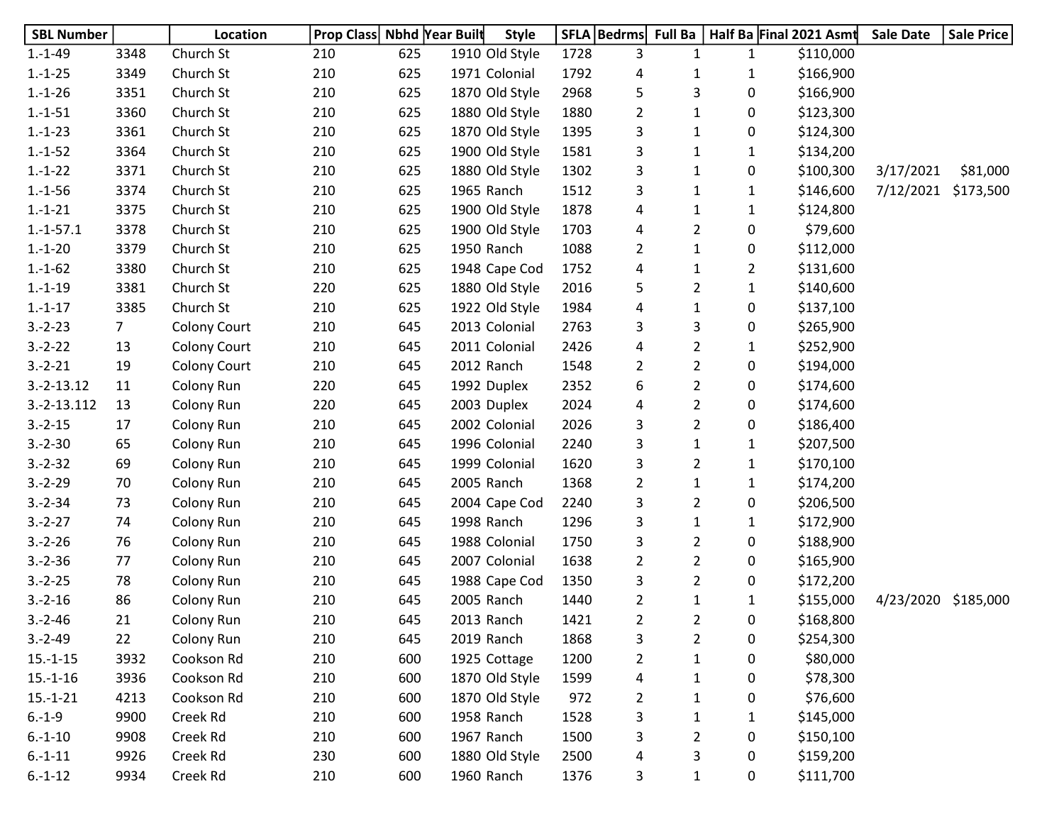| <b>SBL Number</b> |                | Location            | Prop Class Nbhd Year Built |     | <b>Style</b>   |      | SFLA   Bedrms  | <b>Full Ba</b> |              | Half Ba Final 2021 Asmt | <b>Sale Date</b>    | <b>Sale Price</b> |
|-------------------|----------------|---------------------|----------------------------|-----|----------------|------|----------------|----------------|--------------|-------------------------|---------------------|-------------------|
| $1.-1-49$         | 3348           | Church St           | 210                        | 625 | 1910 Old Style | 1728 | 3              | $\mathbf{1}$   | $\mathbf{1}$ | \$110,000               |                     |                   |
| $1.-1-25$         | 3349           | Church St           | 210                        | 625 | 1971 Colonial  | 1792 | 4              | 1              | 1            | \$166,900               |                     |                   |
| $1.-1-26$         | 3351           | Church St           | 210                        | 625 | 1870 Old Style | 2968 | 5              | 3              | 0            | \$166,900               |                     |                   |
| $1.-1-51$         | 3360           | Church St           | 210                        | 625 | 1880 Old Style | 1880 | $\overline{2}$ | 1              | 0            | \$123,300               |                     |                   |
| $1.-1-23$         | 3361           | Church St           | 210                        | 625 | 1870 Old Style | 1395 | 3              | $\mathbf{1}$   | 0            | \$124,300               |                     |                   |
| $1.-1-52$         | 3364           | Church St           | 210                        | 625 | 1900 Old Style | 1581 | 3              | $\mathbf{1}$   | 1            | \$134,200               |                     |                   |
| $1.-1-22$         | 3371           | Church St           | 210                        | 625 | 1880 Old Style | 1302 | 3              | 1              | 0            | \$100,300               | 3/17/2021           | \$81,000          |
| $1.-1-56$         | 3374           | Church St           | 210                        | 625 | 1965 Ranch     | 1512 | 3              | $\mathbf{1}$   | 1            | \$146,600               | 7/12/2021 \$173,500 |                   |
| $1.-1-21$         | 3375           | Church St           | 210                        | 625 | 1900 Old Style | 1878 | 4              | $\mathbf{1}$   | $\mathbf{1}$ | \$124,800               |                     |                   |
| $1.-1-57.1$       | 3378           | Church St           | 210                        | 625 | 1900 Old Style | 1703 | 4              | $\overline{2}$ | 0            | \$79,600                |                     |                   |
| $1.-1-20$         | 3379           | Church St           | 210                        | 625 | 1950 Ranch     | 1088 | $\overline{2}$ | $\mathbf{1}$   | 0            | \$112,000               |                     |                   |
| $1.-1-62$         | 3380           | Church St           | 210                        | 625 | 1948 Cape Cod  | 1752 | 4              | 1              | 2            | \$131,600               |                     |                   |
| $1.-1-19$         | 3381           | Church St           | 220                        | 625 | 1880 Old Style | 2016 | 5              | $\overline{2}$ | 1            | \$140,600               |                     |                   |
| $1.-1-17$         | 3385           | Church St           | 210                        | 625 | 1922 Old Style | 1984 | 4              | $\mathbf{1}$   | 0            | \$137,100               |                     |                   |
| $3.-2-.23$        | $\overline{7}$ | Colony Court        | 210                        | 645 | 2013 Colonial  | 2763 | 3              | 3              | 0            | \$265,900               |                     |                   |
| $3.-2-.22$        | 13             | <b>Colony Court</b> | 210                        | 645 | 2011 Colonial  | 2426 | 4              | $\overline{2}$ | $\mathbf{1}$ | \$252,900               |                     |                   |
| $3.-2-21$         | 19             | <b>Colony Court</b> | 210                        | 645 | 2012 Ranch     | 1548 | 2              | $\overline{2}$ | 0            | \$194,000               |                     |                   |
| $3.-2-13.12$      | 11             | Colony Run          | 220                        | 645 | 1992 Duplex    | 2352 | 6              | $\overline{2}$ | 0            | \$174,600               |                     |                   |
| 3.-2-13.112       | 13             | Colony Run          | 220                        | 645 | 2003 Duplex    | 2024 | 4              | $\overline{2}$ | 0            | \$174,600               |                     |                   |
| $3.-2-15$         | 17             | Colony Run          | 210                        | 645 | 2002 Colonial  | 2026 | 3              | $\overline{2}$ | 0            | \$186,400               |                     |                   |
| $3.-2-30$         | 65             | Colony Run          | 210                        | 645 | 1996 Colonial  | 2240 | 3              | $\mathbf{1}$   | $\mathbf{1}$ | \$207,500               |                     |                   |
| $3.-2-32$         | 69             | Colony Run          | 210                        | 645 | 1999 Colonial  | 1620 | 3              | $\overline{2}$ | $\mathbf{1}$ | \$170,100               |                     |                   |
| $3.-2-29$         | 70             | Colony Run          | 210                        | 645 | 2005 Ranch     | 1368 | $\overline{2}$ | $\mathbf{1}$   | $\mathbf{1}$ | \$174,200               |                     |                   |
| $3.-2-34$         | 73             | Colony Run          | 210                        | 645 | 2004 Cape Cod  | 2240 | 3              | $\overline{2}$ | 0            | \$206,500               |                     |                   |
| $3.-2-27$         | 74             | Colony Run          | 210                        | 645 | 1998 Ranch     | 1296 | 3              | $\mathbf{1}$   | 1            | \$172,900               |                     |                   |
| $3.-2-26$         | 76             | Colony Run          | 210                        | 645 | 1988 Colonial  | 1750 | 3              | $\overline{2}$ | 0            | \$188,900               |                     |                   |
| $3.-2-36$         | 77             | Colony Run          | 210                        | 645 | 2007 Colonial  | 1638 | $\overline{2}$ | $\overline{2}$ | 0            | \$165,900               |                     |                   |
| $3.-2-25$         | 78             | Colony Run          | 210                        | 645 | 1988 Cape Cod  | 1350 | 3              | $\overline{2}$ | 0            | \$172,200               |                     |                   |
| $3.-2-16$         | 86             | Colony Run          | 210                        | 645 | 2005 Ranch     | 1440 | $\overline{2}$ | $\mathbf{1}$   | 1            | \$155,000               | 4/23/2020           | \$185,000         |
| $3.-2-46$         | 21             | Colony Run          | 210                        | 645 | 2013 Ranch     | 1421 | $\overline{2}$ | $\overline{2}$ | 0            | \$168,800               |                     |                   |
| $3.-2-49$         | 22             | Colony Run          | 210                        | 645 | 2019 Ranch     | 1868 | 3              | $\overline{2}$ | 0            | \$254,300               |                     |                   |
| $15.-1-15$        | 3932           | Cookson Rd          | 210                        | 600 | 1925 Cottage   | 1200 | $\overline{2}$ | $\mathbf 1$    | 0            | \$80,000                |                     |                   |
| $15.-1-16$        | 3936           | Cookson Rd          | 210                        | 600 | 1870 Old Style | 1599 | 4              | $\mathbf{1}$   | 0            | \$78,300                |                     |                   |
| $15.-1-21$        | 4213           | Cookson Rd          | 210                        | 600 | 1870 Old Style | 972  | $\overline{2}$ | $\mathbf{1}$   | 0            | \$76,600                |                     |                   |
| $6.-1-9$          | 9900           | Creek Rd            | 210                        | 600 | 1958 Ranch     | 1528 | 3              | 1              | 1            | \$145,000               |                     |                   |
| $6.-1-10$         | 9908           | Creek Rd            | 210                        | 600 | 1967 Ranch     | 1500 | 3              | $\overline{2}$ | 0            | \$150,100               |                     |                   |
| $6.-1-11$         | 9926           | Creek Rd            | 230                        | 600 | 1880 Old Style | 2500 | 4              | 3              | 0            | \$159,200               |                     |                   |
| $6.-1-12$         | 9934           | Creek Rd            | 210                        | 600 | 1960 Ranch     | 1376 | 3              | $\mathbf{1}$   | 0            | \$111,700               |                     |                   |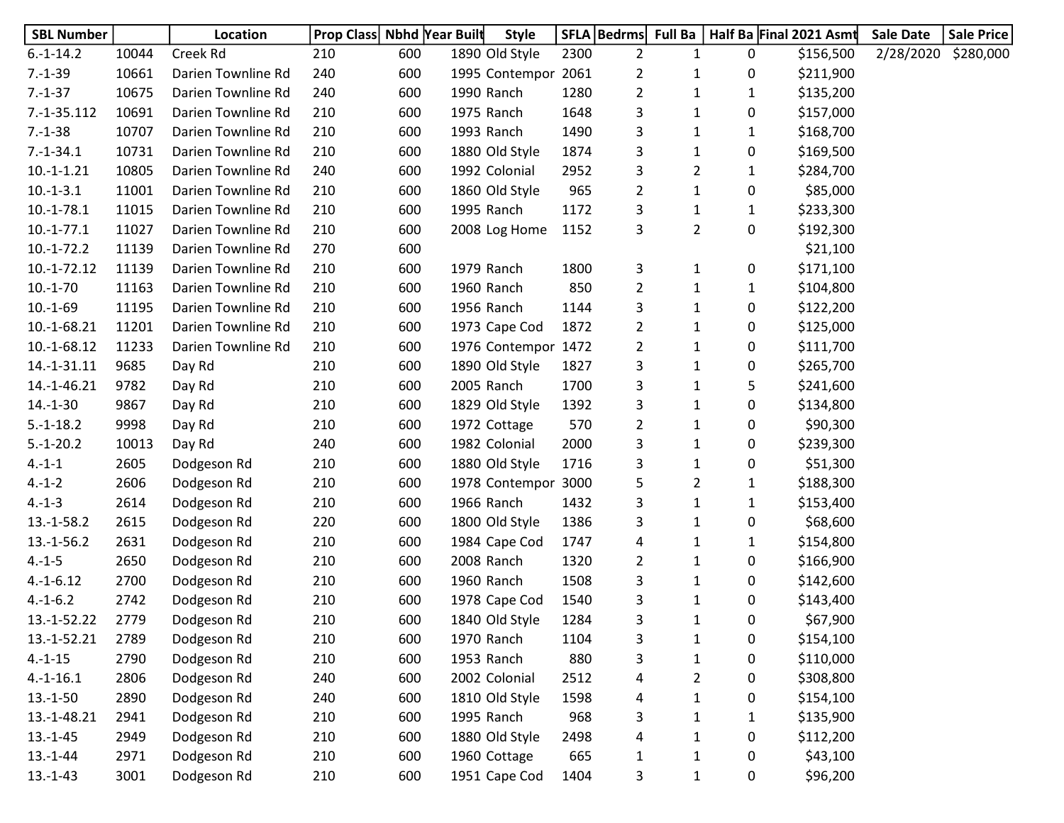| <b>SBL Number</b> |       | Location           | <b>Prop Class Nbhd Year Built</b> |     | <b>Style</b>        |      | SFLA   Bedrms  | Full Ba        |   | Half Ba Final 2021 Asmt | <b>Sale Date</b> | <b>Sale Price</b> |
|-------------------|-------|--------------------|-----------------------------------|-----|---------------------|------|----------------|----------------|---|-------------------------|------------------|-------------------|
| $6.-1-14.2$       | 10044 | Creek Rd           | 210                               | 600 | 1890 Old Style      | 2300 | $\overline{2}$ | 1              | 0 | \$156,500               | 2/28/2020        | \$280,000         |
| $7.-1-39$         | 10661 | Darien Townline Rd | 240                               | 600 | 1995 Contempor 2061 |      | $\overline{2}$ | 1              | 0 | \$211,900               |                  |                   |
| $7.-1-37$         | 10675 | Darien Townline Rd | 240                               | 600 | 1990 Ranch          | 1280 | 2              | 1              | 1 | \$135,200               |                  |                   |
| 7.-1-35.112       | 10691 | Darien Townline Rd | 210                               | 600 | 1975 Ranch          | 1648 | 3              | 1              | 0 | \$157,000               |                  |                   |
| $7.-1-38$         | 10707 | Darien Townline Rd | 210                               | 600 | 1993 Ranch          | 1490 | 3              | 1              | 1 | \$168,700               |                  |                   |
| $7.-1-34.1$       | 10731 | Darien Townline Rd | 210                               | 600 | 1880 Old Style      | 1874 | 3              | $\mathbf{1}$   | 0 | \$169,500               |                  |                   |
| $10.-1-1.21$      | 10805 | Darien Townline Rd | 240                               | 600 | 1992 Colonial       | 2952 | 3              | 2              | 1 | \$284,700               |                  |                   |
| $10.-1-3.1$       | 11001 | Darien Townline Rd | 210                               | 600 | 1860 Old Style      | 965  | 2              | $\mathbf{1}$   | 0 | \$85,000                |                  |                   |
| $10.-1-78.1$      | 11015 | Darien Townline Rd | 210                               | 600 | 1995 Ranch          | 1172 | 3              | $\mathbf{1}$   | 1 | \$233,300               |                  |                   |
| $10.-1-77.1$      | 11027 | Darien Townline Rd | 210                               | 600 | 2008 Log Home       | 1152 | 3              | $\overline{2}$ | 0 | \$192,300               |                  |                   |
| $10.-1-72.2$      | 11139 | Darien Townline Rd | 270                               | 600 |                     |      |                |                |   | \$21,100                |                  |                   |
| 10.-1-72.12       | 11139 | Darien Townline Rd | 210                               | 600 | 1979 Ranch          | 1800 | 3              | 1              | 0 | \$171,100               |                  |                   |
| $10.-1-70$        | 11163 | Darien Townline Rd | 210                               | 600 | 1960 Ranch          | 850  | 2              | $\mathbf{1}$   | 1 | \$104,800               |                  |                   |
| $10.-1-69$        | 11195 | Darien Townline Rd | 210                               | 600 | 1956 Ranch          | 1144 | 3              | 1              | 0 | \$122,200               |                  |                   |
| 10.-1-68.21       | 11201 | Darien Townline Rd | 210                               | 600 | 1973 Cape Cod       | 1872 | 2              | 1              | 0 | \$125,000               |                  |                   |
| 10.-1-68.12       | 11233 | Darien Townline Rd | 210                               | 600 | 1976 Contempor 1472 |      | 2              | $\mathbf{1}$   | 0 | \$111,700               |                  |                   |
| 14.-1-31.11       | 9685  | Day Rd             | 210                               | 600 | 1890 Old Style      | 1827 | 3              | 1              | 0 | \$265,700               |                  |                   |
| 14.-1-46.21       | 9782  | Day Rd             | 210                               | 600 | 2005 Ranch          | 1700 | 3              | $\mathbf{1}$   | 5 | \$241,600               |                  |                   |
| $14.-1-30$        | 9867  | Day Rd             | 210                               | 600 | 1829 Old Style      | 1392 | 3              | $\mathbf{1}$   | 0 | \$134,800               |                  |                   |
| $5.-1-18.2$       | 9998  | Day Rd             | 210                               | 600 | 1972 Cottage        | 570  | 2              | 1              | 0 | \$90,300                |                  |                   |
| $5.-1-20.2$       | 10013 | Day Rd             | 240                               | 600 | 1982 Colonial       | 2000 | 3              | 1              | 0 | \$239,300               |                  |                   |
| $4.-1-1$          | 2605  | Dodgeson Rd        | 210                               | 600 | 1880 Old Style      | 1716 | 3              | 1              | 0 | \$51,300                |                  |                   |
| $4.-1-2$          | 2606  | Dodgeson Rd        | 210                               | 600 | 1978 Contempor 3000 |      | 5              | $\overline{2}$ | 1 | \$188,300               |                  |                   |
| $4.-1-3$          | 2614  | Dodgeson Rd        | 210                               | 600 | 1966 Ranch          | 1432 | 3              | $\mathbf{1}$   | 1 | \$153,400               |                  |                   |
| $13.-1-58.2$      | 2615  | Dodgeson Rd        | 220                               | 600 | 1800 Old Style      | 1386 | 3              | $\mathbf{1}$   | 0 | \$68,600                |                  |                   |
| $13.-1-56.2$      | 2631  | Dodgeson Rd        | 210                               | 600 | 1984 Cape Cod       | 1747 | 4              | 1              | 1 | \$154,800               |                  |                   |
| $4.-1-5$          | 2650  | Dodgeson Rd        | 210                               | 600 | 2008 Ranch          | 1320 | 2              | 1              | 0 | \$166,900               |                  |                   |
| $4.-1-6.12$       | 2700  | Dodgeson Rd        | 210                               | 600 | 1960 Ranch          | 1508 | 3              | 1              | 0 | \$142,600               |                  |                   |
| $4.-1-6.2$        | 2742  | Dodgeson Rd        | 210                               | 600 | 1978 Cape Cod       | 1540 | 3              | 1              | 0 | \$143,400               |                  |                   |
| 13.-1-52.22       | 2779  | Dodgeson Rd        | 210                               | 600 | 1840 Old Style      | 1284 | 3              | $\mathbf{1}$   | 0 | \$67,900                |                  |                   |
| 13.-1-52.21       | 2789  | Dodgeson Rd        | 210                               | 600 | 1970 Ranch          | 1104 | 3              | 1              | 0 | \$154,100               |                  |                   |
| $4.-1-15$         | 2790  | Dodgeson Rd        | 210                               | 600 | 1953 Ranch          | 880  | 3              | $\mathbf{1}$   | 0 | \$110,000               |                  |                   |
| $4.-1-16.1$       | 2806  | Dodgeson Rd        | 240                               | 600 | 2002 Colonial       | 2512 | 4              | 2              | 0 | \$308,800               |                  |                   |
| $13.-1-50$        | 2890  | Dodgeson Rd        | 240                               | 600 | 1810 Old Style      | 1598 | 4              |                | 0 | \$154,100               |                  |                   |
| 13.-1-48.21       | 2941  | Dodgeson Rd        | 210                               | 600 | 1995 Ranch          | 968  | 3              | 1              | 1 | \$135,900               |                  |                   |
| $13.-1-45$        | 2949  | Dodgeson Rd        | 210                               | 600 | 1880 Old Style      | 2498 | 4              | 1              | 0 | \$112,200               |                  |                   |
| $13.-1-44$        | 2971  | Dodgeson Rd        | 210                               | 600 | 1960 Cottage        | 665  | 1              |                | 0 | \$43,100                |                  |                   |
| $13.-1-43$        | 3001  | Dodgeson Rd        | 210                               | 600 | 1951 Cape Cod       | 1404 | 3              | $\mathbf{1}$   | 0 | \$96,200                |                  |                   |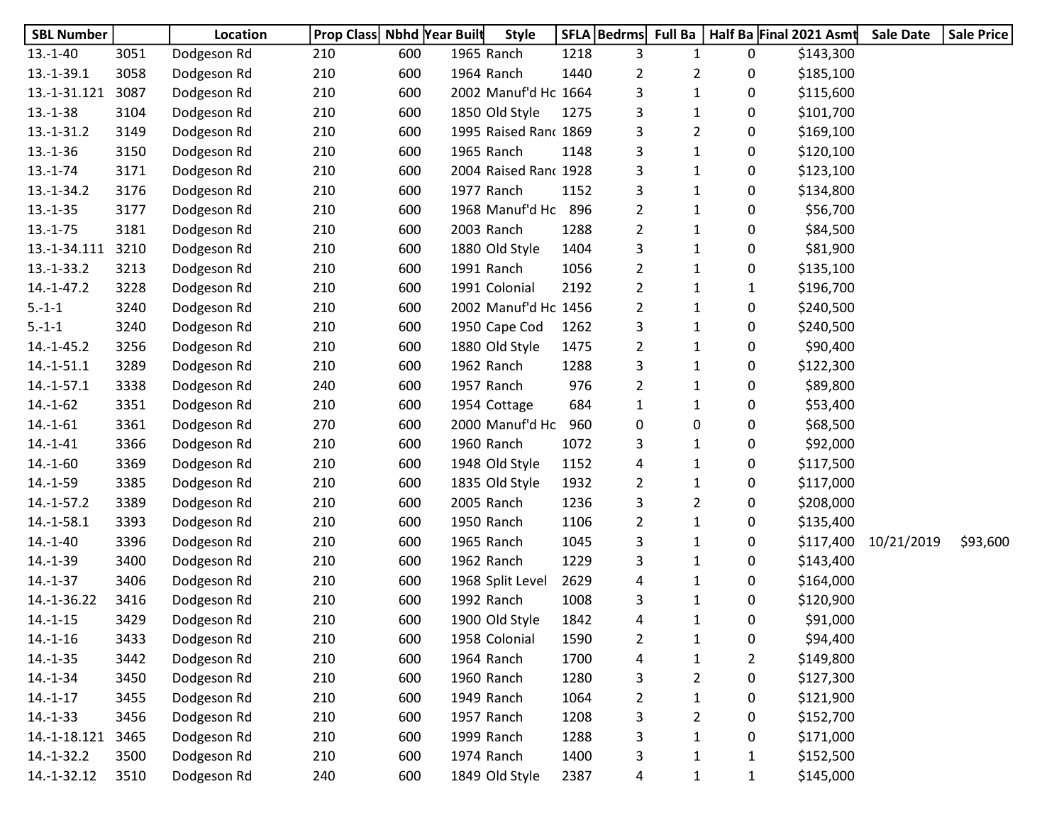| <b>SBL Number</b> |      | Location    | <b>Prop Class Nbhd Year Built</b> |     | <b>Style</b>          |      | SFLA   Bedrms  |                |                | Full Ba   Half Ba Final 2021 Asmt | <b>Sale Date</b> | <b>Sale Price</b> |
|-------------------|------|-------------|-----------------------------------|-----|-----------------------|------|----------------|----------------|----------------|-----------------------------------|------------------|-------------------|
| $13.-1-40$        | 3051 | Dodgeson Rd | 210                               | 600 | 1965 Ranch            | 1218 | 3              | 1              | 0              | \$143,300                         |                  |                   |
| $13.-1-39.1$      | 3058 | Dodgeson Rd | 210                               | 600 | 1964 Ranch            | 1440 | 2              | 2              | 0              | \$185,100                         |                  |                   |
| 13.-1-31.121      | 3087 | Dodgeson Rd | 210                               | 600 | 2002 Manuf'd Ho 1664  |      | 3              | 1              | 0              | \$115,600                         |                  |                   |
| $13.-1-38$        | 3104 | Dodgeson Rd | 210                               | 600 | 1850 Old Style        | 1275 | 3              | 1              | 0              | \$101,700                         |                  |                   |
| $13.-1-31.2$      | 3149 | Dodgeson Rd | 210                               | 600 | 1995 Raised Ranc 1869 |      | 3              | $\overline{2}$ | 0              | \$169,100                         |                  |                   |
| $13.-1-36$        | 3150 | Dodgeson Rd | 210                               | 600 | 1965 Ranch            | 1148 | 3              | $\mathbf{1}$   | 0              | \$120,100                         |                  |                   |
| $13.-1-74$        | 3171 | Dodgeson Rd | 210                               | 600 | 2004 Raised Ranc 1928 |      | 3              | 1              | 0              | \$123,100                         |                  |                   |
| $13.-1-34.2$      | 3176 | Dodgeson Rd | 210                               | 600 | 1977 Ranch            | 1152 | 3              | 1              | 0              | \$134,800                         |                  |                   |
| $13.-1-35$        | 3177 | Dodgeson Rd | 210                               | 600 | 1968 Manuf'd Ho       | 896  | 2              | 1              | 0              | \$56,700                          |                  |                   |
| $13.-1-75$        | 3181 | Dodgeson Rd | 210                               | 600 | 2003 Ranch            | 1288 | 2              | 1              | 0              | \$84,500                          |                  |                   |
| 13.-1-34.111      | 3210 | Dodgeson Rd | 210                               | 600 | 1880 Old Style        | 1404 | 3              | 1              | 0              | \$81,900                          |                  |                   |
| 13.-1-33.2        | 3213 | Dodgeson Rd | 210                               | 600 | 1991 Ranch            | 1056 | 2              | 1              | 0              | \$135,100                         |                  |                   |
| $14.-1-47.2$      | 3228 | Dodgeson Rd | 210                               | 600 | 1991 Colonial         | 2192 | 2              | 1              | $\mathbf{1}$   | \$196,700                         |                  |                   |
| $5.-1-1$          | 3240 | Dodgeson Rd | 210                               | 600 | 2002 Manuf'd Ho 1456  |      | 2              | $\mathbf{1}$   | 0              | \$240,500                         |                  |                   |
| $5.-1-1$          | 3240 | Dodgeson Rd | 210                               | 600 | 1950 Cape Cod         | 1262 | 3              | $\mathbf{1}$   | 0              | \$240,500                         |                  |                   |
| $14.-1-45.2$      | 3256 | Dodgeson Rd | 210                               | 600 | 1880 Old Style        | 1475 | 2              | 1              | 0              | \$90,400                          |                  |                   |
| $14.-1-51.1$      | 3289 | Dodgeson Rd | 210                               | 600 | 1962 Ranch            | 1288 | 3              | 1              | 0              | \$122,300                         |                  |                   |
| $14.-1-57.1$      | 3338 | Dodgeson Rd | 240                               | 600 | 1957 Ranch            | 976  | 2              | 1              | 0              | \$89,800                          |                  |                   |
| $14.-1-62$        | 3351 | Dodgeson Rd | 210                               | 600 | 1954 Cottage          | 684  | 1              | 1              | 0              | \$53,400                          |                  |                   |
| $14.-1-61$        | 3361 | Dodgeson Rd | 270                               | 600 | 2000 Manuf'd Ho       | 960  | 0              | 0              | 0              | \$68,500                          |                  |                   |
| $14.-1-41$        | 3366 | Dodgeson Rd | 210                               | 600 | 1960 Ranch            | 1072 | 3              | 1              | 0              | \$92,000                          |                  |                   |
| $14.-1-60$        | 3369 | Dodgeson Rd | 210                               | 600 | 1948 Old Style        | 1152 | 4              | 1              | 0              | \$117,500                         |                  |                   |
| $14.-1-59$        | 3385 | Dodgeson Rd | 210                               | 600 | 1835 Old Style        | 1932 | 2              | 1              | 0              | \$117,000                         |                  |                   |
| 14.-1-57.2        | 3389 | Dodgeson Rd | 210                               | 600 | 2005 Ranch            | 1236 | 3              | 2              | 0              | \$208,000                         |                  |                   |
| 14.-1-58.1        | 3393 | Dodgeson Rd | 210                               | 600 | 1950 Ranch            | 1106 | 2              | $\mathbf{1}$   | 0              | \$135,400                         |                  |                   |
| $14.-1-40$        | 3396 | Dodgeson Rd | 210                               | 600 | 1965 Ranch            | 1045 | 3              | $\mathbf{1}$   | 0              | \$117,400                         | 10/21/2019       | \$93,600          |
| $14.-1-39$        | 3400 | Dodgeson Rd | 210                               | 600 | 1962 Ranch            | 1229 | 3              | 1              | 0              | \$143,400                         |                  |                   |
| $14.-1-37$        | 3406 | Dodgeson Rd | 210                               | 600 | 1968 Split Level      | 2629 | 4              | 1              | 0              | \$164,000                         |                  |                   |
| 14.-1-36.22       | 3416 | Dodgeson Rd | 210                               | 600 | 1992 Ranch            | 1008 | 3              | 1              | 0              | \$120,900                         |                  |                   |
| $14.-1-15$        | 3429 | Dodgeson Rd | 210                               | 600 | 1900 Old Style        | 1842 | 4              | 1              | 0              | \$91,000                          |                  |                   |
| $14.-1-16$        | 3433 | Dodgeson Rd | 210                               | 600 | 1958 Colonial         | 1590 | $\overline{2}$ | $\mathbf{1}$   | 0              | \$94,400                          |                  |                   |
| $14.-1-35$        | 3442 | Dodgeson Rd | 210                               | 600 | 1964 Ranch            | 1700 | 4              | $\mathbf 1$    | $\overline{2}$ | \$149,800                         |                  |                   |
| $14.-1-34$        | 3450 | Dodgeson Rd | 210                               | 600 | 1960 Ranch            | 1280 | 3              | $\overline{2}$ | 0              | \$127,300                         |                  |                   |
| $14.-1-17$        | 3455 | Dodgeson Rd | 210                               | 600 | 1949 Ranch            | 1064 | 2              | $\mathbf{1}$   | 0              | \$121,900                         |                  |                   |
| $14.-1-33$        | 3456 | Dodgeson Rd | 210                               | 600 | 1957 Ranch            | 1208 | 3              | $\overline{2}$ | 0              | \$152,700                         |                  |                   |
| 14.-1-18.121      | 3465 | Dodgeson Rd | 210                               | 600 | 1999 Ranch            | 1288 | 3              | $\mathbf{1}$   | 0              | \$171,000                         |                  |                   |
| 14.-1-32.2        | 3500 | Dodgeson Rd | 210                               | 600 | 1974 Ranch            | 1400 | 3              | $\mathbf{1}$   | $\mathbf{1}$   | \$152,500                         |                  |                   |
| 14.-1-32.12       | 3510 | Dodgeson Rd | 240                               | 600 | 1849 Old Style        | 2387 | $\overline{a}$ | $\mathbf{1}$   | $\mathbf{1}$   | \$145,000                         |                  |                   |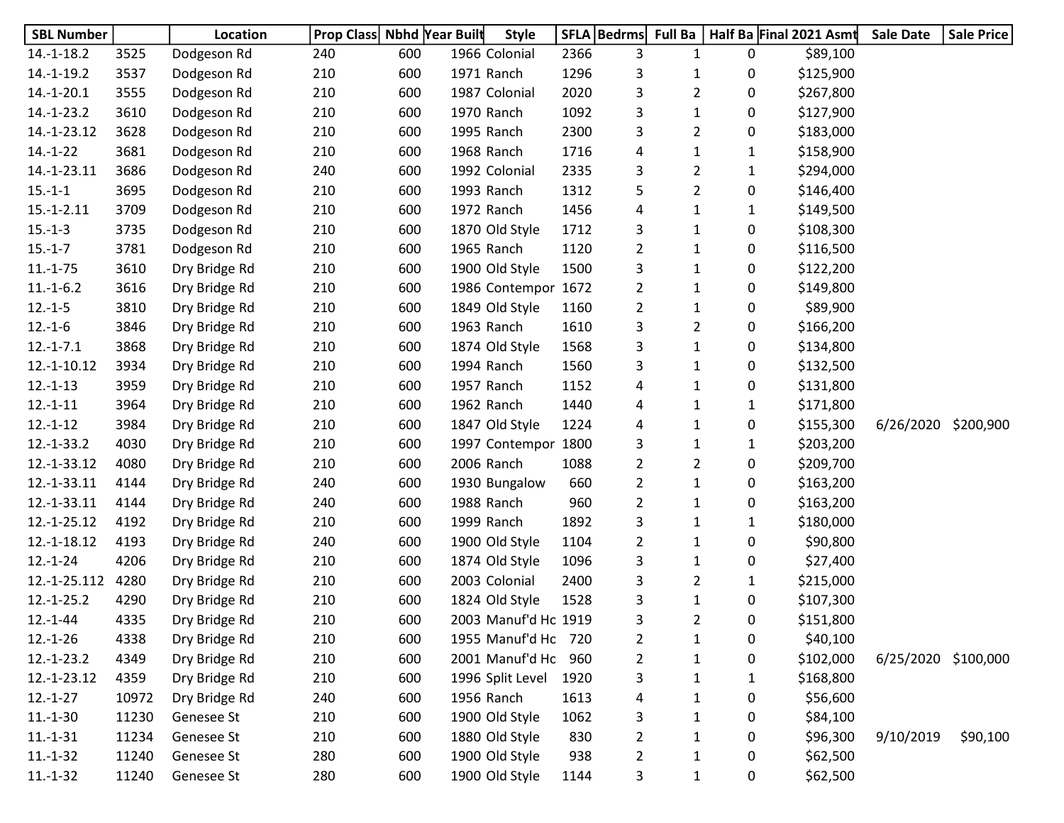| <b>SBL Number</b> |       | Location      | Prop Class Nbhd Year Built |     | <b>Style</b>         |      | SFLA   Bedrms  | <b>Full Ba</b> |              | Half Ba Final 2021 Asmt | <b>Sale Date</b>    | <b>Sale Price</b> |
|-------------------|-------|---------------|----------------------------|-----|----------------------|------|----------------|----------------|--------------|-------------------------|---------------------|-------------------|
| $14.-1-18.2$      | 3525  | Dodgeson Rd   | 240                        | 600 | 1966 Colonial        | 2366 | 3              | 1              | 0            | \$89,100                |                     |                   |
| $14.-1-19.2$      | 3537  | Dodgeson Rd   | 210                        | 600 | 1971 Ranch           | 1296 | 3              | 1              | 0            | \$125,900               |                     |                   |
| $14.-1-20.1$      | 3555  | Dodgeson Rd   | 210                        | 600 | 1987 Colonial        | 2020 | 3              | $\overline{2}$ | 0            | \$267,800               |                     |                   |
| $14.-1-23.2$      | 3610  | Dodgeson Rd   | 210                        | 600 | 1970 Ranch           | 1092 | 3              | 1              | 0            | \$127,900               |                     |                   |
| 14.-1-23.12       | 3628  | Dodgeson Rd   | 210                        | 600 | 1995 Ranch           | 2300 | 3              | $\overline{2}$ | 0            | \$183,000               |                     |                   |
| $14.-1-22$        | 3681  | Dodgeson Rd   | 210                        | 600 | 1968 Ranch           | 1716 | 4              | 1              | 1            | \$158,900               |                     |                   |
| 14.-1-23.11       | 3686  | Dodgeson Rd   | 240                        | 600 | 1992 Colonial        | 2335 | 3              | $\overline{2}$ | 1            | \$294,000               |                     |                   |
| $15.-1-1$         | 3695  | Dodgeson Rd   | 210                        | 600 | 1993 Ranch           | 1312 | 5              | $\overline{2}$ | 0            | \$146,400               |                     |                   |
| $15.-1-2.11$      | 3709  | Dodgeson Rd   | 210                        | 600 | 1972 Ranch           | 1456 | 4              | $\mathbf{1}$   | $\mathbf{1}$ | \$149,500               |                     |                   |
| $15.-1-3$         | 3735  | Dodgeson Rd   | 210                        | 600 | 1870 Old Style       | 1712 | 3              | 1              | 0            | \$108,300               |                     |                   |
| $15.-1-7$         | 3781  | Dodgeson Rd   | 210                        | 600 | 1965 Ranch           | 1120 | $\overline{2}$ | 1              | 0            | \$116,500               |                     |                   |
| $11.-1-75$        | 3610  | Dry Bridge Rd | 210                        | 600 | 1900 Old Style       | 1500 | 3              | 1              | 0            | \$122,200               |                     |                   |
| $11.-1-6.2$       | 3616  | Dry Bridge Rd | 210                        | 600 | 1986 Contempor 1672  |      | $\overline{2}$ | 1              | 0            | \$149,800               |                     |                   |
| $12.-1-5$         | 3810  | Dry Bridge Rd | 210                        | 600 | 1849 Old Style       | 1160 | $\overline{2}$ | 1              | 0            | \$89,900                |                     |                   |
| $12.-1-6$         | 3846  | Dry Bridge Rd | 210                        | 600 | 1963 Ranch           | 1610 | 3              | $\overline{2}$ | 0            | \$166,200               |                     |                   |
| $12.-1-7.1$       | 3868  | Dry Bridge Rd | 210                        | 600 | 1874 Old Style       | 1568 | 3              | $\mathbf{1}$   | 0            | \$134,800               |                     |                   |
| 12.-1-10.12       | 3934  | Dry Bridge Rd | 210                        | 600 | 1994 Ranch           | 1560 | 3              | 1              | 0            | \$132,500               |                     |                   |
| $12.-1-13$        | 3959  | Dry Bridge Rd | 210                        | 600 | 1957 Ranch           | 1152 | 4              | 1              | 0            | \$131,800               |                     |                   |
| $12.-1-11$        | 3964  | Dry Bridge Rd | 210                        | 600 | 1962 Ranch           | 1440 | 4              | 1              | 1            | \$171,800               |                     |                   |
| $12.-1-12$        | 3984  | Dry Bridge Rd | 210                        | 600 | 1847 Old Style       | 1224 | 4              | 1              | 0            | \$155,300               | 6/26/2020           | \$200,900         |
| $12.-1-33.2$      | 4030  | Dry Bridge Rd | 210                        | 600 | 1997 Contempor       | 1800 | 3              | 1              | 1            | \$203,200               |                     |                   |
| 12.-1-33.12       | 4080  | Dry Bridge Rd | 210                        | 600 | 2006 Ranch           | 1088 | $\overline{2}$ | $\overline{2}$ | 0            | \$209,700               |                     |                   |
| 12.-1-33.11       | 4144  | Dry Bridge Rd | 240                        | 600 | 1930 Bungalow        | 660  | $\overline{2}$ | 1              | 0            | \$163,200               |                     |                   |
| 12.-1-33.11       | 4144  | Dry Bridge Rd | 240                        | 600 | 1988 Ranch           | 960  | $\overline{2}$ | 1              | 0            | \$163,200               |                     |                   |
| 12.-1-25.12       | 4192  | Dry Bridge Rd | 210                        | 600 | 1999 Ranch           | 1892 | 3              | 1              | 1            | \$180,000               |                     |                   |
| 12.-1-18.12       | 4193  | Dry Bridge Rd | 240                        | 600 | 1900 Old Style       | 1104 | $\overline{2}$ | 1              | 0            | \$90,800                |                     |                   |
| $12.-1-24$        | 4206  | Dry Bridge Rd | 210                        | 600 | 1874 Old Style       | 1096 | 3              | $\mathbf{1}$   | 0            | \$27,400                |                     |                   |
| 12.-1-25.112      | 4280  | Dry Bridge Rd | 210                        | 600 | 2003 Colonial        | 2400 | 3              | 2              | $\mathbf{1}$ | \$215,000               |                     |                   |
| $12.-1-25.2$      | 4290  | Dry Bridge Rd | 210                        | 600 | 1824 Old Style       | 1528 | 3              | $\mathbf{1}$   | 0            | \$107,300               |                     |                   |
| $12.-1-44$        | 4335  | Dry Bridge Rd | 210                        | 600 | 2003 Manuf'd Ho 1919 |      | 3              | 2              | 0            | \$151,800               |                     |                   |
| $12.-1-26$        | 4338  | Dry Bridge Rd | 210                        | 600 | 1955 Manuf'd Ho 720  |      | $\overline{2}$ | $\mathbf{1}$   | 0            | \$40,100                |                     |                   |
| $12.-1-23.2$      | 4349  | Dry Bridge Rd | 210                        | 600 | 2001 Manuf'd Ho      | 960  | $\overline{2}$ | $\mathbf 1$    | 0            | \$102,000               | 6/25/2020 \$100,000 |                   |
| 12.-1-23.12       | 4359  | Dry Bridge Rd | 210                        | 600 | 1996 Split Level     | 1920 | 3              | 1              | 1            | \$168,800               |                     |                   |
| $12.-1-27$        | 10972 | Dry Bridge Rd | 240                        | 600 | 1956 Ranch           | 1613 | 4              | 1              | 0            | \$56,600                |                     |                   |
| $11.-1-30$        | 11230 | Genesee St    | 210                        | 600 | 1900 Old Style       | 1062 | 3              | 1              | 0            | \$84,100                |                     |                   |
| $11.-1-31$        | 11234 | Genesee St    | 210                        | 600 | 1880 Old Style       | 830  | 2              | 1              | 0            | \$96,300                | 9/10/2019           | \$90,100          |
| $11.-1-32$        | 11240 | Genesee St    | 280                        | 600 | 1900 Old Style       | 938  | $\overline{2}$ | $\mathbf 1$    | 0            | \$62,500                |                     |                   |
| $11.-1-32$        | 11240 | Genesee St    | 280                        | 600 | 1900 Old Style       | 1144 | 3              | $\mathbf{1}$   | 0            | \$62,500                |                     |                   |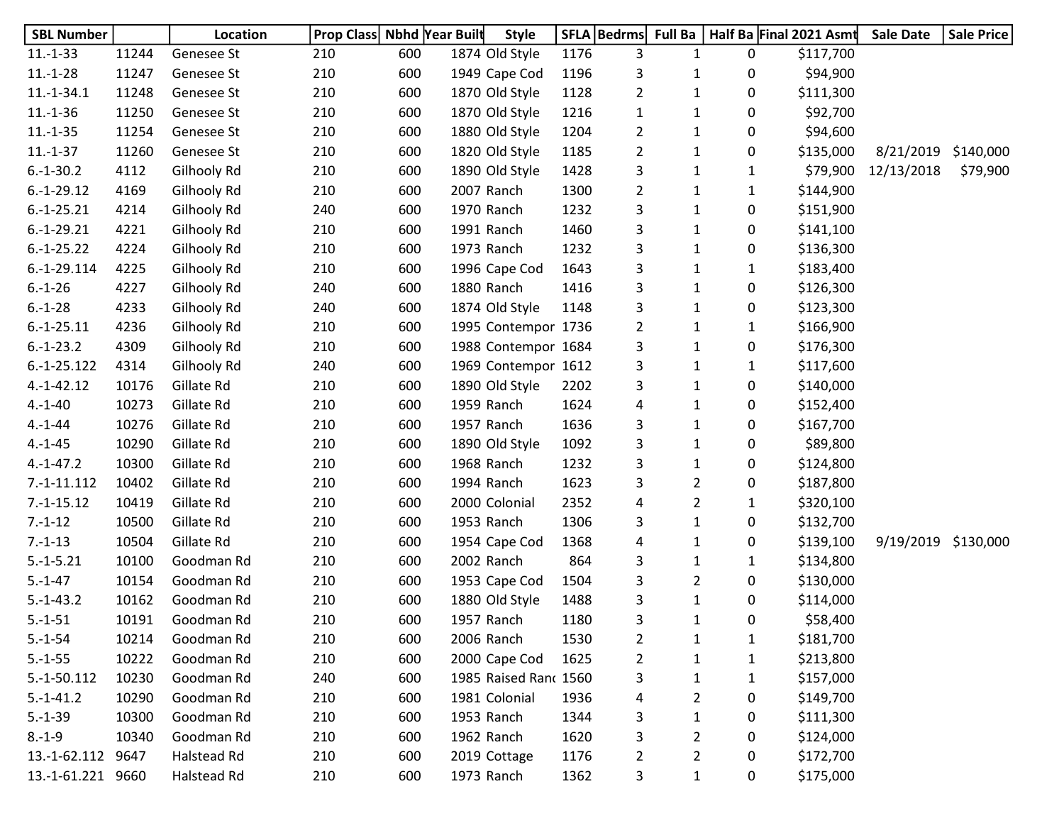| <b>SBL Number</b> |       | Location    | Prop Class Nbhd Year Built |     | <b>Style</b>          |      | SFLA   Bedrms  | <b>Full Ba</b> |              | Half Ba Final 2021 Asmt | <b>Sale Date</b>    | Sale Price |
|-------------------|-------|-------------|----------------------------|-----|-----------------------|------|----------------|----------------|--------------|-------------------------|---------------------|------------|
| $11.-1-33$        | 11244 | Genesee St  | 210                        | 600 | 1874 Old Style        | 1176 | 3              | $\mathbf{1}$   | 0            | \$117,700               |                     |            |
| $11.-1-28$        | 11247 | Genesee St  | 210                        | 600 | 1949 Cape Cod         | 1196 | 3              | 1              | 0            | \$94,900                |                     |            |
| $11.-1-34.1$      | 11248 | Genesee St  | 210                        | 600 | 1870 Old Style        | 1128 | $\overline{2}$ | $\mathbf{1}$   | 0            | \$111,300               |                     |            |
| $11.-1-36$        | 11250 | Genesee St  | 210                        | 600 | 1870 Old Style        | 1216 | $\mathbf{1}$   | $\mathbf{1}$   | 0            | \$92,700                |                     |            |
| $11.-1-35$        | 11254 | Genesee St  | 210                        | 600 | 1880 Old Style        | 1204 | 2              | $\mathbf{1}$   | 0            | \$94,600                |                     |            |
| $11.-1-37$        | 11260 | Genesee St  | 210                        | 600 | 1820 Old Style        | 1185 | $\overline{2}$ | $\mathbf{1}$   | 0            | \$135,000               | 8/21/2019           | \$140,000  |
| $6.-1-30.2$       | 4112  | Gilhooly Rd | 210                        | 600 | 1890 Old Style        | 1428 | 3              | 1              | 1            | \$79,900                | 12/13/2018          | \$79,900   |
| $6.-1-29.12$      | 4169  | Gilhooly Rd | 210                        | 600 | 2007 Ranch            | 1300 | $\overline{2}$ | $\mathbf{1}$   | $\mathbf{1}$ | \$144,900               |                     |            |
| $6.-1-25.21$      | 4214  | Gilhooly Rd | 240                        | 600 | 1970 Ranch            | 1232 | 3              | $\mathbf{1}$   | 0            | \$151,900               |                     |            |
| $6.-1-29.21$      | 4221  | Gilhooly Rd | 210                        | 600 | 1991 Ranch            | 1460 | 3              | $\mathbf{1}$   | 0            | \$141,100               |                     |            |
| $6.-1-25.22$      | 4224  | Gilhooly Rd | 210                        | 600 | 1973 Ranch            | 1232 | 3              | $\mathbf{1}$   | 0            | \$136,300               |                     |            |
| $6.-1-29.114$     | 4225  | Gilhooly Rd | 210                        | 600 | 1996 Cape Cod         | 1643 | 3              | 1              | 1            | \$183,400               |                     |            |
| $6.-1-26$         | 4227  | Gilhooly Rd | 240                        | 600 | 1880 Ranch            | 1416 | 3              | $\mathbf{1}$   | 0            | \$126,300               |                     |            |
| $6.-1-28$         | 4233  | Gilhooly Rd | 240                        | 600 | 1874 Old Style        | 1148 | 3              | $\mathbf{1}$   | 0            | \$123,300               |                     |            |
| $6.-1-25.11$      | 4236  | Gilhooly Rd | 210                        | 600 | 1995 Contempor 1736   |      | $\overline{2}$ | $\mathbf{1}$   | 1            | \$166,900               |                     |            |
| $6.-1-23.2$       | 4309  | Gilhooly Rd | 210                        | 600 | 1988 Contempor 1684   |      | 3              | $\mathbf{1}$   | 0            | \$176,300               |                     |            |
| $6.-1-25.122$     | 4314  | Gilhooly Rd | 240                        | 600 | 1969 Contempor 1612   |      | 3              | $\mathbf{1}$   | $\mathbf{1}$ | \$117,600               |                     |            |
| $4.-1-42.12$      | 10176 | Gillate Rd  | 210                        | 600 | 1890 Old Style        | 2202 | 3              | $\mathbf{1}$   | 0            | \$140,000               |                     |            |
| $4.-1-40$         | 10273 | Gillate Rd  | 210                        | 600 | 1959 Ranch            | 1624 | 4              | 1              | 0            | \$152,400               |                     |            |
| $4.-1-44$         | 10276 | Gillate Rd  | 210                        | 600 | 1957 Ranch            | 1636 | 3              | $\mathbf{1}$   | 0            | \$167,700               |                     |            |
| $4.-1-45$         | 10290 | Gillate Rd  | 210                        | 600 | 1890 Old Style        | 1092 | 3              | $\mathbf{1}$   | 0            | \$89,800                |                     |            |
| $4.-1-47.2$       | 10300 | Gillate Rd  | 210                        | 600 | 1968 Ranch            | 1232 | 3              | $\mathbf{1}$   | 0            | \$124,800               |                     |            |
| $7.-1-11.112$     | 10402 | Gillate Rd  | 210                        | 600 | 1994 Ranch            | 1623 | 3              | $\overline{2}$ | 0            | \$187,800               |                     |            |
| $7.-1-15.12$      | 10419 | Gillate Rd  | 210                        | 600 | 2000 Colonial         | 2352 | 4              | $\overline{2}$ | 1            | \$320,100               |                     |            |
| $7.-1-12$         | 10500 | Gillate Rd  | 210                        | 600 | 1953 Ranch            | 1306 | 3              | $\mathbf{1}$   | 0            | \$132,700               |                     |            |
| $7.-1-13$         | 10504 | Gillate Rd  | 210                        | 600 | 1954 Cape Cod         | 1368 | 4              | $\mathbf{1}$   | 0            | \$139,100               | 9/19/2019 \$130,000 |            |
| $5.-1-5.21$       | 10100 | Goodman Rd  | 210                        | 600 | 2002 Ranch            | 864  | 3              | $\mathbf{1}$   | 1            | \$134,800               |                     |            |
| $5.-1-47$         | 10154 | Goodman Rd  | 210                        | 600 | 1953 Cape Cod         | 1504 | 3              | $\overline{2}$ | 0            | \$130,000               |                     |            |
| $5.-1-43.2$       | 10162 | Goodman Rd  | 210                        | 600 | 1880 Old Style        | 1488 | 3              | $\mathbf{1}$   | 0            | \$114,000               |                     |            |
| $5.-1-51$         | 10191 | Goodman Rd  | 210                        | 600 | 1957 Ranch            | 1180 | 3              | 1              | 0            | \$58,400                |                     |            |
| $5.-1-54$         | 10214 | Goodman Rd  | 210                        | 600 | 2006 Ranch            | 1530 | $\overline{2}$ | 1              | 1            | \$181,700               |                     |            |
| $5.-1-55$         | 10222 | Goodman Rd  | 210                        | 600 | 2000 Cape Cod         | 1625 | $\overline{2}$ | 1              | $\mathbf{1}$ | \$213,800               |                     |            |
| $5.-1-50.112$     | 10230 | Goodman Rd  | 240                        | 600 | 1985 Raised Ranc 1560 |      | 3              | 1              | 1            | \$157,000               |                     |            |
| $5.-1-41.2$       | 10290 | Goodman Rd  | 210                        | 600 | 1981 Colonial         | 1936 | 4              | 2              | 0            | \$149,700               |                     |            |
| $5.-1-39$         | 10300 | Goodman Rd  | 210                        | 600 | 1953 Ranch            | 1344 | 3              | 1              | 0            | \$111,300               |                     |            |
| $8.-1-9$          | 10340 | Goodman Rd  | 210                        | 600 | 1962 Ranch            | 1620 | 3              | $\overline{2}$ | 0            | \$124,000               |                     |            |
| 13.-1-62.112      | 9647  | Halstead Rd | 210                        | 600 | 2019 Cottage          | 1176 | $\overline{2}$ | $\overline{2}$ | 0            | \$172,700               |                     |            |
| 13.-1-61.221 9660 |       | Halstead Rd | 210                        | 600 | 1973 Ranch            | 1362 | 3              | $\mathbf{1}$   | 0            | \$175,000               |                     |            |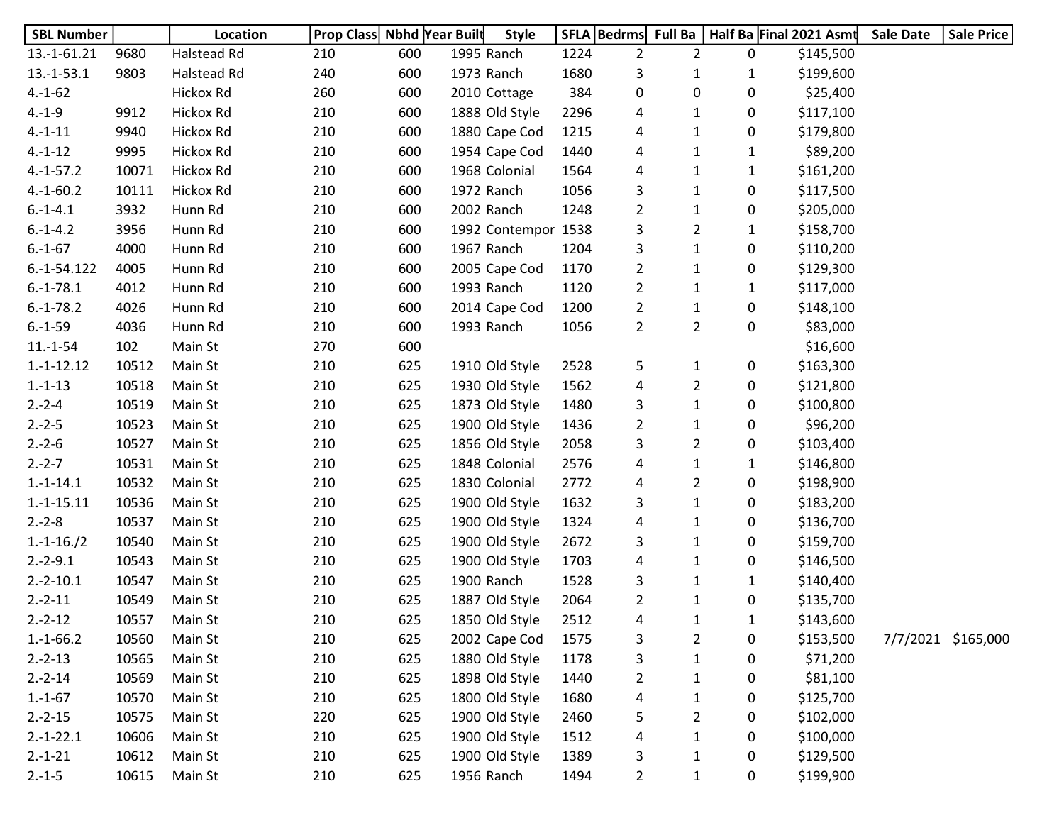| <b>SBL Number</b> |       | Location    | <b>Prop Class Nbhd Year Built</b> |     | <b>Style</b>        |      | SFLA   Bedrms  | <b>Full Ba</b> |              | Half Ba Final 2021 Asmt | <b>Sale Date</b> | <b>Sale Price</b>  |
|-------------------|-------|-------------|-----------------------------------|-----|---------------------|------|----------------|----------------|--------------|-------------------------|------------------|--------------------|
| $13.-1-61.21$     | 9680  | Halstead Rd | 210                               | 600 | 1995 Ranch          | 1224 | $\overline{2}$ | $\overline{2}$ | 0            | \$145,500               |                  |                    |
| $13.-1-53.1$      | 9803  | Halstead Rd | 240                               | 600 | 1973 Ranch          | 1680 | 3              | 1              | $\mathbf{1}$ | \$199,600               |                  |                    |
| $4.-1-62$         |       | Hickox Rd   | 260                               | 600 | 2010 Cottage        | 384  | 0              | 0              | 0            | \$25,400                |                  |                    |
| $4.-1-9$          | 9912  | Hickox Rd   | 210                               | 600 | 1888 Old Style      | 2296 | 4              | 1              | 0            | \$117,100               |                  |                    |
| $4.-1-11$         | 9940  | Hickox Rd   | 210                               | 600 | 1880 Cape Cod       | 1215 | 4              | 1              | 0            | \$179,800               |                  |                    |
| $4.-1-12$         | 9995  | Hickox Rd   | 210                               | 600 | 1954 Cape Cod       | 1440 | 4              | $\mathbf{1}$   | $\mathbf{1}$ | \$89,200                |                  |                    |
| $4.-1-57.2$       | 10071 | Hickox Rd   | 210                               | 600 | 1968 Colonial       | 1564 | 4              | $\mathbf{1}$   | $\mathbf{1}$ | \$161,200               |                  |                    |
| $4.-1-60.2$       | 10111 | Hickox Rd   | 210                               | 600 | 1972 Ranch          | 1056 | 3              | $\mathbf{1}$   | 0            | \$117,500               |                  |                    |
| $6.-1-4.1$        | 3932  | Hunn Rd     | 210                               | 600 | 2002 Ranch          | 1248 | $\overline{2}$ | $\mathbf{1}$   | 0            | \$205,000               |                  |                    |
| $6.-1-4.2$        | 3956  | Hunn Rd     | 210                               | 600 | 1992 Contempor 1538 |      | 3              | $\overline{2}$ | $\mathbf{1}$ | \$158,700               |                  |                    |
| $6.-1-67$         | 4000  | Hunn Rd     | 210                               | 600 | 1967 Ranch          | 1204 | 3              | 1              | 0            | \$110,200               |                  |                    |
| $6.-1-54.122$     | 4005  | Hunn Rd     | 210                               | 600 | 2005 Cape Cod       | 1170 | $\overline{2}$ | $\mathbf{1}$   | 0            | \$129,300               |                  |                    |
| $6.-1-78.1$       | 4012  | Hunn Rd     | 210                               | 600 | 1993 Ranch          | 1120 | $\overline{2}$ | $\mathbf{1}$   | $\mathbf{1}$ | \$117,000               |                  |                    |
| $6.-1-78.2$       | 4026  | Hunn Rd     | 210                               | 600 | 2014 Cape Cod       | 1200 | $\overline{2}$ | $\mathbf{1}$   | 0            | \$148,100               |                  |                    |
| $6.-1-59$         | 4036  | Hunn Rd     | 210                               | 600 | 1993 Ranch          | 1056 | $\overline{2}$ | $\overline{2}$ | 0            | \$83,000                |                  |                    |
| $11.-1-54$        | 102   | Main St     | 270                               | 600 |                     |      |                |                |              | \$16,600                |                  |                    |
| $1.-1-12.12$      | 10512 | Main St     | 210                               | 625 | 1910 Old Style      | 2528 | 5              | 1              | 0            | \$163,300               |                  |                    |
| $1.-1-13$         | 10518 | Main St     | 210                               | 625 | 1930 Old Style      | 1562 | 4              | $\overline{2}$ | 0            | \$121,800               |                  |                    |
| $2.-2-4$          | 10519 | Main St     | 210                               | 625 | 1873 Old Style      | 1480 | 3              | $\mathbf{1}$   | 0            | \$100,800               |                  |                    |
| $2.-2-5$          | 10523 | Main St     | 210                               | 625 | 1900 Old Style      | 1436 | $\overline{2}$ | $\mathbf{1}$   | 0            | \$96,200                |                  |                    |
| $2.-2-6$          | 10527 | Main St     | 210                               | 625 | 1856 Old Style      | 2058 | 3              | $\overline{2}$ | 0            | \$103,400               |                  |                    |
| $2.-2-7$          | 10531 | Main St     | 210                               | 625 | 1848 Colonial       | 2576 | 4              | 1              | $\mathbf{1}$ | \$146,800               |                  |                    |
| $1.-1-14.1$       | 10532 | Main St     | 210                               | 625 | 1830 Colonial       | 2772 | 4              | $\overline{2}$ | 0            | \$198,900               |                  |                    |
| $1.-1-15.11$      | 10536 | Main St     | 210                               | 625 | 1900 Old Style      | 1632 | 3              | 1              | 0            | \$183,200               |                  |                    |
| $2.-2-8$          | 10537 | Main St     | 210                               | 625 | 1900 Old Style      | 1324 | 4              | $\mathbf{1}$   | 0            | \$136,700               |                  |                    |
| $1.-1-16./2$      | 10540 | Main St     | 210                               | 625 | 1900 Old Style      | 2672 | 3              | $\mathbf{1}$   | 0            | \$159,700               |                  |                    |
| $2.-2-9.1$        | 10543 | Main St     | 210                               | 625 | 1900 Old Style      | 1703 | 4              | $\mathbf{1}$   | 0            | \$146,500               |                  |                    |
| $2.-2-10.1$       | 10547 | Main St     | 210                               | 625 | 1900 Ranch          | 1528 | 3              | $\mathbf{1}$   | $\mathbf{1}$ | \$140,400               |                  |                    |
| $2.-2-11$         | 10549 | Main St     | 210                               | 625 | 1887 Old Style      | 2064 | 2              | 1              | 0            | \$135,700               |                  |                    |
| $2.-2-12$         | 10557 | Main St     | 210                               | 625 | 1850 Old Style      | 2512 | 4              | 1              | 1            | \$143,600               |                  |                    |
| $1.-1-66.2$       | 10560 | Main St     | 210                               | 625 | 2002 Cape Cod       | 1575 | 3              | $\overline{2}$ | 0            | \$153,500               |                  | 7/7/2021 \$165,000 |
| $2.-2-13$         | 10565 | Main St     | 210                               | 625 | 1880 Old Style      | 1178 | 3              | $\mathbf 1$    | 0            | \$71,200                |                  |                    |
| $2.-2-14$         | 10569 | Main St     | 210                               | 625 | 1898 Old Style      | 1440 | $\overline{2}$ | $\mathbf{1}$   | 0            | \$81,100                |                  |                    |
| $1.-1-67$         | 10570 | Main St     | 210                               | 625 | 1800 Old Style      | 1680 | 4              | $\mathbf{1}$   | 0            | \$125,700               |                  |                    |
| $2.-2-15$         | 10575 | Main St     | 220                               | 625 | 1900 Old Style      | 2460 | 5              | $\overline{2}$ | 0            | \$102,000               |                  |                    |
| $2.-1-22.1$       | 10606 | Main St     | 210                               | 625 | 1900 Old Style      | 1512 | 4              | 1              | 0            | \$100,000               |                  |                    |
| $2.-1-21$         | 10612 | Main St     | 210                               | 625 | 1900 Old Style      | 1389 | 3              | $\mathbf{1}$   | 0            | \$129,500               |                  |                    |
| $2.-1-5$          | 10615 | Main St     | 210                               | 625 | 1956 Ranch          | 1494 | $\overline{2}$ | $\mathbf{1}$   | 0            | \$199,900               |                  |                    |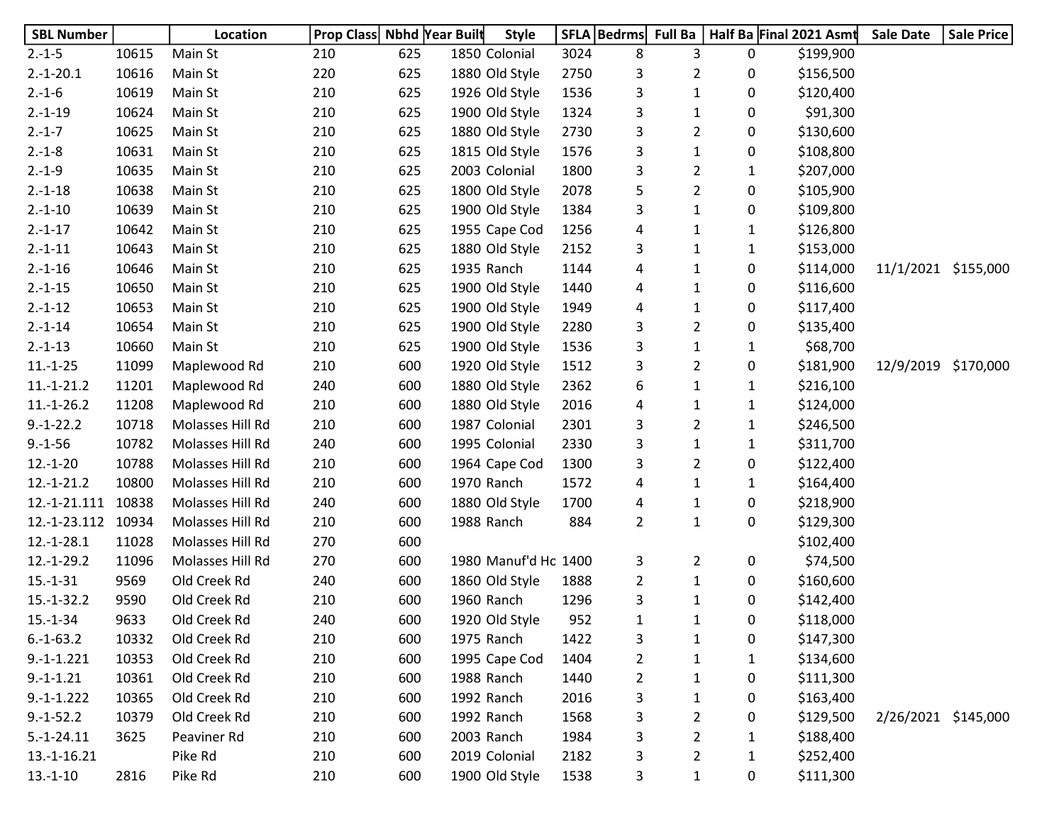| <b>SBL Number</b> |       | Location         | Prop Class Nbhd Year Built |     | <b>Style</b>         |      | SFLA   Bedrms  | <b>Full Ba</b> |              | Half Ba Final 2021 Asmt | <b>Sale Date</b>    | <b>Sale Price</b> |
|-------------------|-------|------------------|----------------------------|-----|----------------------|------|----------------|----------------|--------------|-------------------------|---------------------|-------------------|
| $2.-1-5$          | 10615 | Main St          | 210                        | 625 | 1850 Colonial        | 3024 | 8              | 3              | 0            | \$199,900               |                     |                   |
| $2.-1-20.1$       | 10616 | Main St          | 220                        | 625 | 1880 Old Style       | 2750 | 3              | $\overline{2}$ | 0            | \$156,500               |                     |                   |
| $2.-1-6$          | 10619 | Main St          | 210                        | 625 | 1926 Old Style       | 1536 | 3              | $\mathbf{1}$   | 0            | \$120,400               |                     |                   |
| $2.-1-19$         | 10624 | Main St          | 210                        | 625 | 1900 Old Style       | 1324 | 3              | 1              | 0            | \$91,300                |                     |                   |
| $2.-1-7$          | 10625 | Main St          | 210                        | 625 | 1880 Old Style       | 2730 | 3              | $\overline{2}$ | 0            | \$130,600               |                     |                   |
| $2.-1-8$          | 10631 | Main St          | 210                        | 625 | 1815 Old Style       | 1576 | 3              | $\mathbf{1}$   | 0            | \$108,800               |                     |                   |
| $2.-1-9$          | 10635 | Main St          | 210                        | 625 | 2003 Colonial        | 1800 | 3              | $\overline{2}$ | $\mathbf{1}$ | \$207,000               |                     |                   |
| $2.-1-18$         | 10638 | Main St          | 210                        | 625 | 1800 Old Style       | 2078 | 5              | $\overline{2}$ | 0            | \$105,900               |                     |                   |
| $2.-1-10$         | 10639 | Main St          | 210                        | 625 | 1900 Old Style       | 1384 | 3              | $\mathbf{1}$   | 0            | \$109,800               |                     |                   |
| $2.-1-17$         | 10642 | Main St          | 210                        | 625 | 1955 Cape Cod        | 1256 | 4              | 1              | 1            | \$126,800               |                     |                   |
| $2.-1-11$         | 10643 | Main St          | 210                        | 625 | 1880 Old Style       | 2152 | 3              | 1              | 1            | \$153,000               |                     |                   |
| $2.-1-16$         | 10646 | Main St          | 210                        | 625 | 1935 Ranch           | 1144 | 4              | 1              | 0            | \$114,000               | 11/1/2021 \$155,000 |                   |
| $2.-1-15$         | 10650 | Main St          | 210                        | 625 | 1900 Old Style       | 1440 | 4              | 1              | 0            | \$116,600               |                     |                   |
| $2.-1-12$         | 10653 | Main St          | 210                        | 625 | 1900 Old Style       | 1949 | 4              | 1              | 0            | \$117,400               |                     |                   |
| $2.-1-14$         | 10654 | Main St          | 210                        | 625 | 1900 Old Style       | 2280 | 3              | $\overline{2}$ | 0            | \$135,400               |                     |                   |
| $2.-1-13$         | 10660 | Main St          | 210                        | 625 | 1900 Old Style       | 1536 | 3              | 1              | 1            | \$68,700                |                     |                   |
| $11.-1-25$        | 11099 | Maplewood Rd     | 210                        | 600 | 1920 Old Style       | 1512 | 3              | $\overline{2}$ | 0            | \$181,900               | 12/9/2019 \$170,000 |                   |
| $11.-1-21.2$      | 11201 | Maplewood Rd     | 240                        | 600 | 1880 Old Style       | 2362 | 6              | 1              | $\mathbf{1}$ | \$216,100               |                     |                   |
| $11.-1-26.2$      | 11208 | Maplewood Rd     | 210                        | 600 | 1880 Old Style       | 2016 | 4              | 1              | $\mathbf{1}$ | \$124,000               |                     |                   |
| $9.-1-22.2$       | 10718 | Molasses Hill Rd | 210                        | 600 | 1987 Colonial        | 2301 | 3              | $\overline{2}$ | $\mathbf{1}$ | \$246,500               |                     |                   |
| $9.-1-56$         | 10782 | Molasses Hill Rd | 240                        | 600 | 1995 Colonial        | 2330 | 3              | 1              | $\mathbf{1}$ | \$311,700               |                     |                   |
| $12.-1-20$        | 10788 | Molasses Hill Rd | 210                        | 600 | 1964 Cape Cod        | 1300 | 3              | $\overline{2}$ | 0            | \$122,400               |                     |                   |
| $12.-1-21.2$      | 10800 | Molasses Hill Rd | 210                        | 600 | 1970 Ranch           | 1572 | 4              | 1              | 1            | \$164,400               |                     |                   |
| 12.-1-21.111      | 10838 | Molasses Hill Rd | 240                        | 600 | 1880 Old Style       | 1700 | 4              | 1              | 0            | \$218,900               |                     |                   |
| 12.-1-23.112      | 10934 | Molasses Hill Rd | 210                        | 600 | 1988 Ranch           | 884  | $\overline{2}$ | $\mathbf{1}$   | 0            | \$129,300               |                     |                   |
| $12.-1-28.1$      | 11028 | Molasses Hill Rd | 270                        | 600 |                      |      |                |                |              | \$102,400               |                     |                   |
| $12.-1-29.2$      | 11096 | Molasses Hill Rd | 270                        | 600 | 1980 Manuf'd Ho 1400 |      | 3              | $\overline{2}$ | 0            | \$74,500                |                     |                   |
| $15.-1-31$        | 9569  | Old Creek Rd     | 240                        | 600 | 1860 Old Style       | 1888 | 2              | 1              | 0            | \$160,600               |                     |                   |
| $15.-1-32.2$      | 9590  | Old Creek Rd     | 210                        | 600 | 1960 Ranch           | 1296 | 3              | 1              | 0            | \$142,400               |                     |                   |
| $15.-1-34$        | 9633  | Old Creek Rd     | 240                        | 600 | 1920 Old Style       | 952  | 1              | 1              | 0            | \$118,000               |                     |                   |
| $6.-1-63.2$       | 10332 | Old Creek Rd     | 210                        | 600 | 1975 Ranch           | 1422 | 3              | $\mathbf{1}$   | 0            | \$147,300               |                     |                   |
| $9.-1-.1.221$     | 10353 | Old Creek Rd     | 210                        | 600 | 1995 Cape Cod        | 1404 | $\overline{2}$ | $\mathbf{1}$   | $\mathbf{1}$ | \$134,600               |                     |                   |
| $9.-1-.21$        | 10361 | Old Creek Rd     | 210                        | 600 | 1988 Ranch           | 1440 | $\overline{2}$ | 1              | 0            | \$111,300               |                     |                   |
| $9.-1-1.222$      | 10365 | Old Creek Rd     | 210                        | 600 | 1992 Ranch           | 2016 | 3              | $\mathbf{1}$   | 0            | \$163,400               |                     |                   |
| $9.-1-52.2$       | 10379 | Old Creek Rd     | 210                        | 600 | 1992 Ranch           | 1568 | 3              | 2              | 0            | \$129,500               | 2/26/2021 \$145,000 |                   |
| $5.-1-24.11$      | 3625  | Peaviner Rd      | 210                        | 600 | 2003 Ranch           | 1984 | 3              | $\overline{2}$ | 1            | \$188,400               |                     |                   |
| 13.-1-16.21       |       | Pike Rd          | 210                        | 600 | 2019 Colonial        | 2182 | 3              | $\overline{2}$ | $\mathbf{1}$ | \$252,400               |                     |                   |
| $13.-1-10$        | 2816  | Pike Rd          | 210                        | 600 | 1900 Old Style       | 1538 | 3              | $\mathbf{1}$   | 0            | \$111,300               |                     |                   |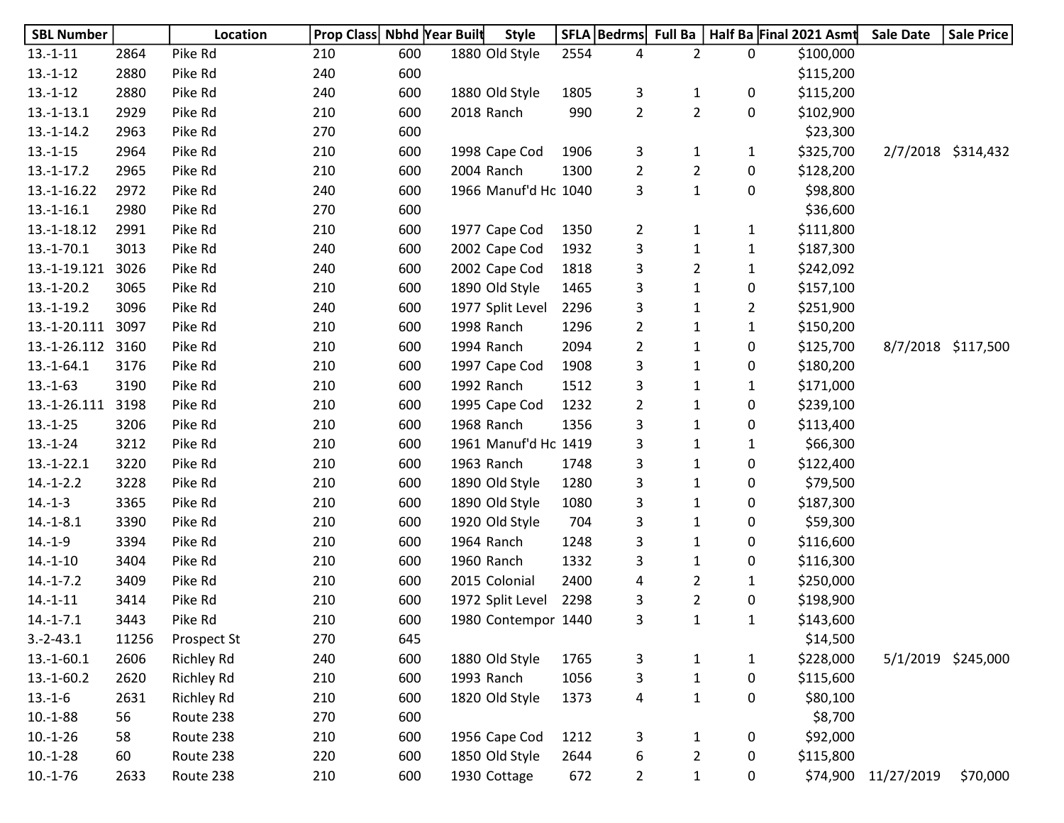| <b>SBL Number</b> |       | Location          | Prop Class Nbhd Year Built |     | <b>Style</b>         |      | SFLA   Bedrms  | <b>Full Ba</b> |                  | Half Ba Final 2021 Asmt | <b>Sale Date</b> | Sale Price         |
|-------------------|-------|-------------------|----------------------------|-----|----------------------|------|----------------|----------------|------------------|-------------------------|------------------|--------------------|
| $13.-1-11$        | 2864  | Pike Rd           | 210                        | 600 | 1880 Old Style       | 2554 | 4              | $\overline{2}$ | 0                | \$100,000               |                  |                    |
| $13.-1-12$        | 2880  | Pike Rd           | 240                        | 600 |                      |      |                |                |                  | \$115,200               |                  |                    |
| $13.-1-12$        | 2880  | Pike Rd           | 240                        | 600 | 1880 Old Style       | 1805 | 3              | $\mathbf{1}$   | 0                | \$115,200               |                  |                    |
| $13.-1-13.1$      | 2929  | Pike Rd           | 210                        | 600 | 2018 Ranch           | 990  | $\overline{2}$ | $\overline{2}$ | 0                | \$102,900               |                  |                    |
| $13.-1-14.2$      | 2963  | Pike Rd           | 270                        | 600 |                      |      |                |                |                  | \$23,300                |                  |                    |
| $13.-1-15$        | 2964  | Pike Rd           | 210                        | 600 | 1998 Cape Cod        | 1906 | 3              | 1              | $\mathbf{1}$     | \$325,700               |                  | 2/7/2018 \$314,432 |
| $13.-1-17.2$      | 2965  | Pike Rd           | 210                        | 600 | 2004 Ranch           | 1300 | $\overline{2}$ | $\overline{2}$ | 0                | \$128,200               |                  |                    |
| $13.-1-16.22$     | 2972  | Pike Rd           | 240                        | 600 | 1966 Manuf'd Ho 1040 |      | 3              | $\mathbf{1}$   | 0                | \$98,800                |                  |                    |
| $13.-1-16.1$      | 2980  | Pike Rd           | 270                        | 600 |                      |      |                |                |                  | \$36,600                |                  |                    |
| 13.-1-18.12       | 2991  | Pike Rd           | 210                        | 600 | 1977 Cape Cod        | 1350 | $\overline{2}$ | 1              | $\mathbf{1}$     | \$111,800               |                  |                    |
| $13.-1-70.1$      | 3013  | Pike Rd           | 240                        | 600 | 2002 Cape Cod        | 1932 | 3              | 1              | $\mathbf{1}$     | \$187,300               |                  |                    |
| 13.-1-19.121      | 3026  | Pike Rd           | 240                        | 600 | 2002 Cape Cod        | 1818 | 3              | $\overline{2}$ | $\mathbf{1}$     | \$242,092               |                  |                    |
| $13.-1-20.2$      | 3065  | Pike Rd           | 210                        | 600 | 1890 Old Style       | 1465 | 3              | $\mathbf{1}$   | 0                | \$157,100               |                  |                    |
| $13.-1-19.2$      | 3096  | Pike Rd           | 240                        | 600 | 1977 Split Level     | 2296 | 3              | $\mathbf{1}$   | $\overline{2}$   | \$251,900               |                  |                    |
| 13.-1-20.111      | 3097  | Pike Rd           | 210                        | 600 | 1998 Ranch           | 1296 | $\overline{2}$ | 1              | $\mathbf{1}$     | \$150,200               |                  |                    |
| 13.-1-26.112      | 3160  | Pike Rd           | 210                        | 600 | 1994 Ranch           | 2094 | $\overline{a}$ | $\mathbf{1}$   | 0                | \$125,700               |                  | 8/7/2018 \$117,500 |
| $13.-1-64.1$      | 3176  | Pike Rd           | 210                        | 600 | 1997 Cape Cod        | 1908 | 3              | $\mathbf{1}$   | 0                | \$180,200               |                  |                    |
| $13.-1-63$        | 3190  | Pike Rd           | 210                        | 600 | 1992 Ranch           | 1512 | 3              | $\mathbf{1}$   | 1                | \$171,000               |                  |                    |
| 13.-1-26.111      | 3198  | Pike Rd           | 210                        | 600 | 1995 Cape Cod        | 1232 | $\overline{2}$ | $\mathbf{1}$   | 0                | \$239,100               |                  |                    |
| $13.-1-25$        | 3206  | Pike Rd           | 210                        | 600 | 1968 Ranch           | 1356 | 3              | $\mathbf{1}$   | 0                | \$113,400               |                  |                    |
| $13.-1-24$        | 3212  | Pike Rd           | 210                        | 600 | 1961 Manuf'd Ho 1419 |      | 3              | $\mathbf{1}$   | $\mathbf{1}$     | \$66,300                |                  |                    |
| $13.-1-22.1$      | 3220  | Pike Rd           | 210                        | 600 | 1963 Ranch           | 1748 | 3              | $\mathbf{1}$   | 0                | \$122,400               |                  |                    |
| $14.-1-2.2$       | 3228  | Pike Rd           | 210                        | 600 | 1890 Old Style       | 1280 | 3              | $\mathbf{1}$   | 0                | \$79,500                |                  |                    |
| $14.-1-3$         | 3365  | Pike Rd           | 210                        | 600 | 1890 Old Style       | 1080 | 3              | $\mathbf{1}$   | 0                | \$187,300               |                  |                    |
| $14.-1-8.1$       | 3390  | Pike Rd           | 210                        | 600 | 1920 Old Style       | 704  | 3              | $\mathbf{1}$   | 0                | \$59,300                |                  |                    |
| $14.-1-9$         | 3394  | Pike Rd           | 210                        | 600 | 1964 Ranch           | 1248 | 3              | $\mathbf{1}$   | 0                | \$116,600               |                  |                    |
| $14.-1-10$        | 3404  | Pike Rd           | 210                        | 600 | 1960 Ranch           | 1332 | 3              | $\mathbf{1}$   | 0                | \$116,300               |                  |                    |
| $14.-1-7.2$       | 3409  | Pike Rd           | 210                        | 600 | 2015 Colonial        | 2400 | 4              | $\overline{2}$ | 1                | \$250,000               |                  |                    |
| $14.-1-11$        | 3414  | Pike Rd           | 210                        | 600 | 1972 Split Level     | 2298 | 3              | $\overline{2}$ | 0                | \$198,900               |                  |                    |
| $14.-1-7.1$       | 3443  | Pike Rd           | 210                        | 600 | 1980 Contempor 1440  |      | 3              | 1              | 1                | \$143,600               |                  |                    |
| $3.-2-43.1$       | 11256 | Prospect St       | 270                        | 645 |                      |      |                |                |                  | \$14,500                |                  |                    |
| $13.-1-60.1$      | 2606  | <b>Richley Rd</b> | 240                        | 600 | 1880 Old Style       | 1765 | 3              | $\mathbf{1}$   | $\mathbf{1}$     | \$228,000               |                  | 5/1/2019 \$245,000 |
| $13.-1-60.2$      | 2620  | <b>Richley Rd</b> | 210                        | 600 | 1993 Ranch           | 1056 | 3              | $\mathbf{1}$   | $\boldsymbol{0}$ | \$115,600               |                  |                    |
| $13.-1-6$         | 2631  | <b>Richley Rd</b> | 210                        | 600 | 1820 Old Style       | 1373 | 4              | $\mathbf{1}$   | 0                | \$80,100                |                  |                    |
| $10.-1-88$        | 56    | Route 238         | 270                        | 600 |                      |      |                |                |                  | \$8,700                 |                  |                    |
| $10.-1-26$        | 58    | Route 238         | 210                        | 600 | 1956 Cape Cod        | 1212 | 3              | 1              | 0                | \$92,000                |                  |                    |
| $10.-1-28$        | 60    | Route 238         | 220                        | 600 | 1850 Old Style       | 2644 | 6              | $\overline{2}$ | 0                | \$115,800               |                  |                    |
| $10.-1-76$        | 2633  | Route 238         | 210                        | 600 | 1930 Cottage         | 672  | $\overline{2}$ | $\mathbf{1}$   | 0                | \$74,900                | 11/27/2019       | \$70,000           |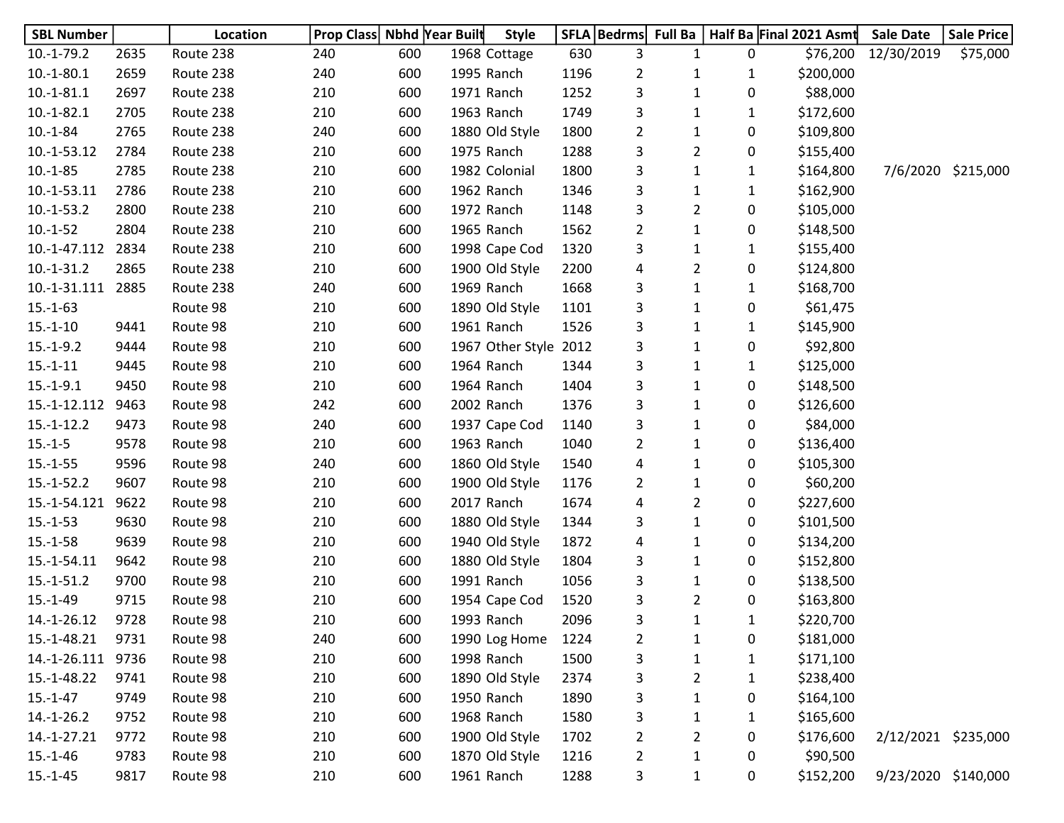| <b>SBL Number</b> |      | Location  | <b>Prop Class Nbhd Year Built</b> |     |            | <b>Style</b>     |      | SFLA   Bedrms  | <b>Full Ba</b> |              | Half Ba Final 2021 Asmt | <b>Sale Date</b>    | Sale Price         |
|-------------------|------|-----------|-----------------------------------|-----|------------|------------------|------|----------------|----------------|--------------|-------------------------|---------------------|--------------------|
| $10.-1-79.2$      | 2635 | Route 238 | 240                               | 600 |            | 1968 Cottage     | 630  | 3              | 1              | 0            | \$76,200                | 12/30/2019          | \$75,000           |
| $10.-1-80.1$      | 2659 | Route 238 | 240                               | 600 |            | 1995 Ranch       | 1196 | $\overline{2}$ | 1              | $\mathbf{1}$ | \$200,000               |                     |                    |
| $10.-1-81.1$      | 2697 | Route 238 | 210                               | 600 |            | 1971 Ranch       | 1252 | 3              | $\mathbf{1}$   | 0            | \$88,000                |                     |                    |
| $10.-1-82.1$      | 2705 | Route 238 | 210                               | 600 |            | 1963 Ranch       | 1749 | 3              | 1              | $\mathbf{1}$ | \$172,600               |                     |                    |
| $10.-1-84$        | 2765 | Route 238 | 240                               | 600 |            | 1880 Old Style   | 1800 | $\overline{2}$ | 1              | 0            | \$109,800               |                     |                    |
| 10.-1-53.12       | 2784 | Route 238 | 210                               | 600 |            | 1975 Ranch       | 1288 | 3              | $\overline{2}$ | 0            | \$155,400               |                     |                    |
| $10.-1-85$        | 2785 | Route 238 | 210                               | 600 |            | 1982 Colonial    | 1800 | 3              | $\mathbf{1}$   | $\mathbf{1}$ | \$164,800               |                     | 7/6/2020 \$215,000 |
| $10.-1-53.11$     | 2786 | Route 238 | 210                               | 600 |            | 1962 Ranch       | 1346 | 3              | $\mathbf{1}$   | $\mathbf{1}$ | \$162,900               |                     |                    |
| $10.-1-53.2$      | 2800 | Route 238 | 210                               | 600 |            | 1972 Ranch       | 1148 | 3              | $\overline{2}$ | 0            | \$105,000               |                     |                    |
| $10.-1-52$        | 2804 | Route 238 | 210                               | 600 |            | 1965 Ranch       | 1562 | $\overline{2}$ | 1              | 0            | \$148,500               |                     |                    |
| 10.-1-47.112      | 2834 | Route 238 | 210                               | 600 |            | 1998 Cape Cod    | 1320 | 3              | $\mathbf{1}$   | $\mathbf{1}$ | \$155,400               |                     |                    |
| $10.-1-31.2$      | 2865 | Route 238 | 210                               | 600 |            | 1900 Old Style   | 2200 | 4              | $\overline{2}$ | 0            | \$124,800               |                     |                    |
| 10.-1-31.111 2885 |      | Route 238 | 240                               | 600 |            | 1969 Ranch       | 1668 | 3              | $\mathbf{1}$   | $\mathbf{1}$ | \$168,700               |                     |                    |
| $15.-1-63$        |      | Route 98  | 210                               | 600 |            | 1890 Old Style   | 1101 | 3              | $\mathbf{1}$   | 0            | \$61,475                |                     |                    |
| $15.-1-10$        | 9441 | Route 98  | 210                               | 600 |            | 1961 Ranch       | 1526 | 3              | $\mathbf{1}$   | $\mathbf{1}$ | \$145,900               |                     |                    |
| $15.-1-9.2$       | 9444 | Route 98  | 210                               | 600 |            | 1967 Other Style | 2012 | 3              | $\mathbf{1}$   | 0            | \$92,800                |                     |                    |
| $15.-1-11$        | 9445 | Route 98  | 210                               | 600 |            | 1964 Ranch       | 1344 | 3              | $\mathbf{1}$   | $\mathbf{1}$ | \$125,000               |                     |                    |
| $15.-1-9.1$       | 9450 | Route 98  | 210                               | 600 |            | 1964 Ranch       | 1404 | 3              | 1              | 0            | \$148,500               |                     |                    |
| 15.-1-12.112      | 9463 | Route 98  | 242                               | 600 |            | 2002 Ranch       | 1376 | 3              | $\mathbf{1}$   | 0            | \$126,600               |                     |                    |
| $15.-1-12.2$      | 9473 | Route 98  | 240                               | 600 |            | 1937 Cape Cod    | 1140 | 3              | $\mathbf{1}$   | 0            | \$84,000                |                     |                    |
| $15.-1-5$         | 9578 | Route 98  | 210                               | 600 |            | 1963 Ranch       | 1040 | $\overline{2}$ | $\mathbf{1}$   | 0            | \$136,400               |                     |                    |
| $15.-1-55$        | 9596 | Route 98  | 240                               | 600 |            | 1860 Old Style   | 1540 | 4              | $\mathbf{1}$   | 0            | \$105,300               |                     |                    |
| $15.-1-52.2$      | 9607 | Route 98  | 210                               | 600 |            | 1900 Old Style   | 1176 | $\overline{2}$ | 1              | 0            | \$60,200                |                     |                    |
| 15.-1-54.121      | 9622 | Route 98  | 210                               | 600 |            | 2017 Ranch       | 1674 | 4              | $\overline{2}$ | 0            | \$227,600               |                     |                    |
| $15.-1-53$        | 9630 | Route 98  | 210                               | 600 |            | 1880 Old Style   | 1344 | 3              | $\mathbf{1}$   | 0            | \$101,500               |                     |                    |
| $15.-1-58$        | 9639 | Route 98  | 210                               | 600 |            | 1940 Old Style   | 1872 | 4              | $\mathbf{1}$   | 0            | \$134,200               |                     |                    |
| 15.-1-54.11       | 9642 | Route 98  | 210                               | 600 |            | 1880 Old Style   | 1804 | 3              | $\mathbf{1}$   | 0            | \$152,800               |                     |                    |
| $15.-1-51.2$      | 9700 | Route 98  | 210                               | 600 |            | 1991 Ranch       | 1056 | 3              | $\mathbf{1}$   | 0            | \$138,500               |                     |                    |
| $15.-1-49$        | 9715 | Route 98  | 210                               | 600 |            | 1954 Cape Cod    | 1520 | 3              | 2              | 0            | \$163,800               |                     |                    |
| 14.-1-26.12       | 9728 | Route 98  | 210                               | 600 |            | 1993 Ranch       | 2096 | 3              | 1              | 1            | \$220,700               |                     |                    |
| 15.-1-48.21       | 9731 | Route 98  | 240                               | 600 |            | 1990 Log Home    | 1224 | $\overline{2}$ | $\mathbf{1}$   | 0            | \$181,000               |                     |                    |
| 14.-1-26.111      | 9736 | Route 98  | 210                               | 600 |            | 1998 Ranch       | 1500 | 3              | $\mathbf 1$    | $\mathbf{1}$ | \$171,100               |                     |                    |
| 15.-1-48.22       | 9741 | Route 98  | 210                               | 600 |            | 1890 Old Style   | 2374 | 3              | 2              | $\mathbf{1}$ | \$238,400               |                     |                    |
| $15.-1-47$        | 9749 | Route 98  | 210                               | 600 |            | 1950 Ranch       | 1890 | 3              | $\mathbf{1}$   | 0            | \$164,100               |                     |                    |
| $14.-1-26.2$      | 9752 | Route 98  | 210                               | 600 |            | 1968 Ranch       | 1580 | 3              | 1              | $\mathbf{1}$ | \$165,600               |                     |                    |
| 14.-1-27.21       | 9772 | Route 98  | 210                               | 600 |            | 1900 Old Style   | 1702 | $\overline{2}$ | 2              | 0            | \$176,600               | 2/12/2021 \$235,000 |                    |
| $15.-1-46$        | 9783 | Route 98  | 210                               | 600 |            | 1870 Old Style   | 1216 | $\overline{2}$ | $\mathbf{1}$   | 0            | \$90,500                |                     |                    |
| $15.-1-45$        | 9817 | Route 98  | 210                               | 600 | 1961 Ranch |                  | 1288 | 3              | $\mathbf{1}$   | 0            | \$152,200               | 9/23/2020 \$140,000 |                    |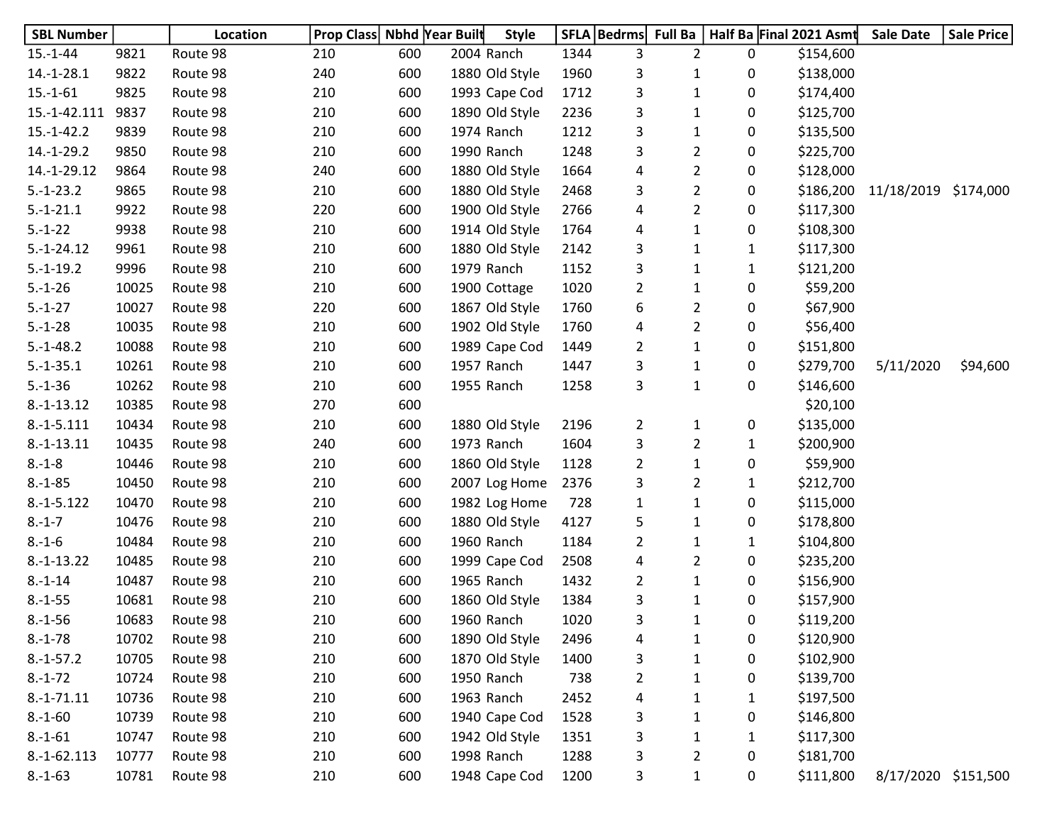| <b>SBL Number</b> |       | Location | Prop Class Nbhd Year Built |     |            | <b>Style</b>   |      | SFLA   Bedrms   Full Ba |                |              | Half Ba Final 2021 Asmt | <b>Sale Date</b>     | <b>Sale Price</b> |
|-------------------|-------|----------|----------------------------|-----|------------|----------------|------|-------------------------|----------------|--------------|-------------------------|----------------------|-------------------|
| $15.-1-44$        | 9821  | Route 98 | 210                        | 600 | 2004 Ranch |                | 1344 | 3                       | $\overline{2}$ | 0            | \$154,600               |                      |                   |
| $14.-1-28.1$      | 9822  | Route 98 | 240                        | 600 |            | 1880 Old Style | 1960 | 3                       | 1              | 0            | \$138,000               |                      |                   |
| $15.-1-61$        | 9825  | Route 98 | 210                        | 600 |            | 1993 Cape Cod  | 1712 | 3                       | $\mathbf{1}$   | 0            | \$174,400               |                      |                   |
| 15.-1-42.111      | 9837  | Route 98 | 210                        | 600 |            | 1890 Old Style | 2236 | 3                       | 1              | 0            | \$125,700               |                      |                   |
| $15.-1-42.2$      | 9839  | Route 98 | 210                        | 600 | 1974 Ranch |                | 1212 | 3                       | $\mathbf{1}$   | 0            | \$135,500               |                      |                   |
| $14.-1-29.2$      | 9850  | Route 98 | 210                        | 600 | 1990 Ranch |                | 1248 | 3                       | $\overline{2}$ | 0            | \$225,700               |                      |                   |
| 14.-1-29.12       | 9864  | Route 98 | 240                        | 600 |            | 1880 Old Style | 1664 | 4                       | $\overline{2}$ | 0            | \$128,000               |                      |                   |
| $5.-1-23.2$       | 9865  | Route 98 | 210                        | 600 |            | 1880 Old Style | 2468 | 3                       | $\overline{2}$ | 0            | \$186,200               | 11/18/2019 \$174,000 |                   |
| $5.-1-21.1$       | 9922  | Route 98 | 220                        | 600 |            | 1900 Old Style | 2766 | 4                       | $\overline{2}$ | 0            | \$117,300               |                      |                   |
| $5.-1-22$         | 9938  | Route 98 | 210                        | 600 |            | 1914 Old Style | 1764 | 4                       | $\mathbf{1}$   | 0            | \$108,300               |                      |                   |
| $5.-1-24.12$      | 9961  | Route 98 | 210                        | 600 |            | 1880 Old Style | 2142 | 3                       | $\mathbf{1}$   | 1            | \$117,300               |                      |                   |
| $5.-1-19.2$       | 9996  | Route 98 | 210                        | 600 | 1979 Ranch |                | 1152 | 3                       | $\mathbf{1}$   | $\mathbf{1}$ | \$121,200               |                      |                   |
| $5.-1-26$         | 10025 | Route 98 | 210                        | 600 |            | 1900 Cottage   | 1020 | $\overline{2}$          | $\mathbf{1}$   | 0            | \$59,200                |                      |                   |
| $5.-1-27$         | 10027 | Route 98 | 220                        | 600 |            | 1867 Old Style | 1760 | 6                       | $\overline{2}$ | 0            | \$67,900                |                      |                   |
| $5.-1-28$         | 10035 | Route 98 | 210                        | 600 |            | 1902 Old Style | 1760 | 4                       | $\overline{2}$ | 0            | \$56,400                |                      |                   |
| $5.-1-48.2$       | 10088 | Route 98 | 210                        | 600 |            | 1989 Cape Cod  | 1449 | $\overline{a}$          | $\mathbf{1}$   | 0            | \$151,800               |                      |                   |
| $5.-1-35.1$       | 10261 | Route 98 | 210                        | 600 | 1957 Ranch |                | 1447 | 3                       | 1              | 0            | \$279,700               | 5/11/2020            | \$94,600          |
| $5.-1-36$         | 10262 | Route 98 | 210                        | 600 | 1955 Ranch |                | 1258 | 3                       | $\mathbf{1}$   | 0            | \$146,600               |                      |                   |
| $8.-1-13.12$      | 10385 | Route 98 | 270                        | 600 |            |                |      |                         |                |              | \$20,100                |                      |                   |
| $8.-1-5.111$      | 10434 | Route 98 | 210                        | 600 |            | 1880 Old Style | 2196 | $\overline{2}$          | $\mathbf{1}$   | 0            | \$135,000               |                      |                   |
| $8.-1-13.11$      | 10435 | Route 98 | 240                        | 600 | 1973 Ranch |                | 1604 | 3                       | $\overline{2}$ | $\mathbf{1}$ | \$200,900               |                      |                   |
| $8.-1-8$          | 10446 | Route 98 | 210                        | 600 |            | 1860 Old Style | 1128 | $\overline{2}$          | $\mathbf{1}$   | 0            | \$59,900                |                      |                   |
| $8.-1-85$         | 10450 | Route 98 | 210                        | 600 |            | 2007 Log Home  | 2376 | 3                       | $\overline{2}$ | 1            | \$212,700               |                      |                   |
| $8.-1-5.122$      | 10470 | Route 98 | 210                        | 600 |            | 1982 Log Home  | 728  | $\mathbf{1}$            | $\mathbf{1}$   | 0            | \$115,000               |                      |                   |
| $8.-1-7$          | 10476 | Route 98 | 210                        | 600 |            | 1880 Old Style | 4127 | 5                       | $\mathbf{1}$   | 0            | \$178,800               |                      |                   |
| $8.-1-6$          | 10484 | Route 98 | 210                        | 600 | 1960 Ranch |                | 1184 | $\overline{2}$          | $\mathbf{1}$   | $\mathbf{1}$ | \$104,800               |                      |                   |
| $8.-1-13.22$      | 10485 | Route 98 | 210                        | 600 |            | 1999 Cape Cod  | 2508 | 4                       | $\overline{2}$ | 0            | \$235,200               |                      |                   |
| $8.-1-14$         | 10487 | Route 98 | 210                        | 600 | 1965 Ranch |                | 1432 | $\overline{2}$          | $\mathbf{1}$   | 0            | \$156,900               |                      |                   |
| $8.-1-55$         | 10681 | Route 98 | 210                        | 600 |            | 1860 Old Style | 1384 | 3                       | 1              | 0            | \$157,900               |                      |                   |
| $8.-1-56$         | 10683 | Route 98 | 210                        | 600 | 1960 Ranch |                | 1020 | 3                       | $\mathbf{1}$   | 0            | \$119,200               |                      |                   |
| $8.-1-78$         | 10702 | Route 98 | 210                        | 600 |            | 1890 Old Style | 2496 | 4                       | $\mathbf 1$    | 0            | \$120,900               |                      |                   |
| $8.-1-57.2$       | 10705 | Route 98 | 210                        | 600 |            | 1870 Old Style | 1400 | 3                       | $\mathbf 1$    | 0            | \$102,900               |                      |                   |
| $8.-1-72$         | 10724 | Route 98 | 210                        | 600 | 1950 Ranch |                | 738  | $\overline{2}$          | 1              | 0            | \$139,700               |                      |                   |
| $8.-1-71.11$      | 10736 | Route 98 | 210                        | 600 | 1963 Ranch |                | 2452 | 4                       | 1              | 1            | \$197,500               |                      |                   |
| $8.-1-60$         | 10739 | Route 98 | 210                        | 600 |            | 1940 Cape Cod  | 1528 | 3                       | 1              | 0            | \$146,800               |                      |                   |
| $8.-1-61$         | 10747 | Route 98 | 210                        | 600 |            | 1942 Old Style | 1351 | 3                       | 1              | 1            | \$117,300               |                      |                   |
| 8.-1-62.113       | 10777 | Route 98 | 210                        | 600 | 1998 Ranch |                | 1288 | 3                       | $\overline{2}$ | 0            | \$181,700               |                      |                   |
| $8.-1-63$         | 10781 | Route 98 | 210                        | 600 |            | 1948 Cape Cod  | 1200 | 3                       | $\mathbf{1}$   | 0            | \$111,800               | 8/17/2020 \$151,500  |                   |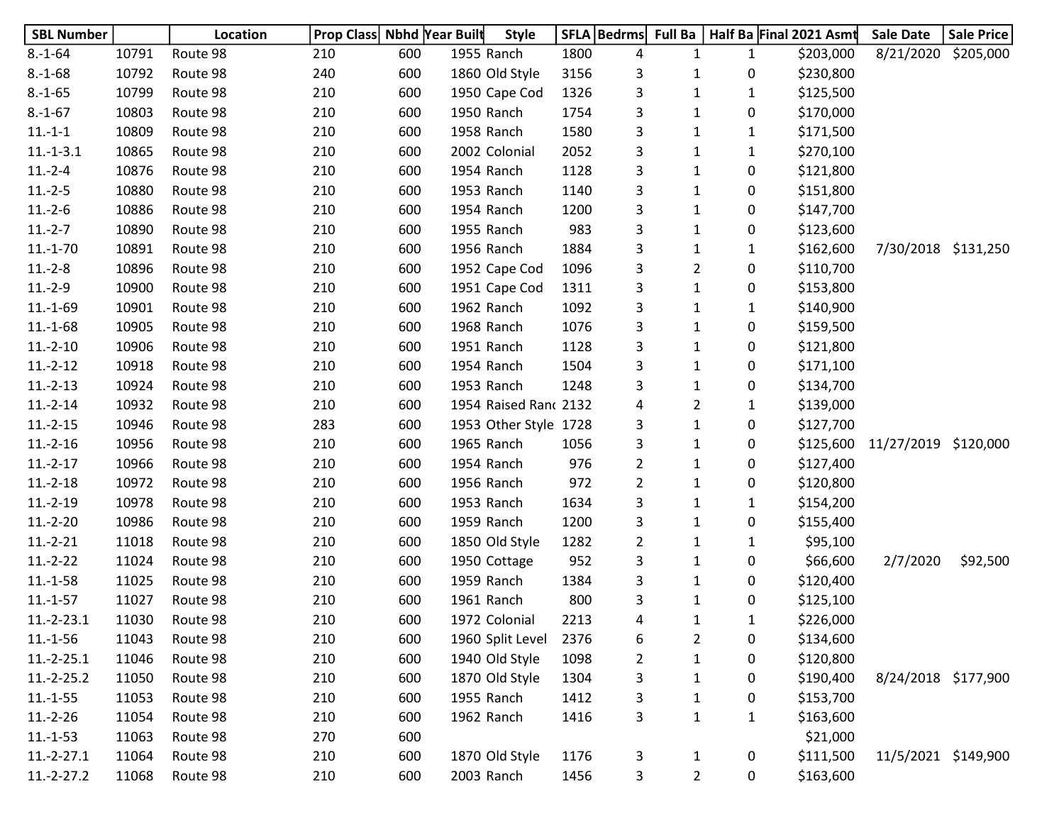| <b>SBL Number</b> |       | Location | Prop Class Nbhd Year Built |     |            | <b>Style</b>          |      | SFLA   Bedrms  | <b>Full Ba</b> |              | Half Ba Final 2021 Asmt | <b>Sale Date</b>    | Sale Price |
|-------------------|-------|----------|----------------------------|-----|------------|-----------------------|------|----------------|----------------|--------------|-------------------------|---------------------|------------|
| $8.-1-64$         | 10791 | Route 98 | 210                        | 600 | 1955 Ranch |                       | 1800 | 4              | 1              | $\mathbf{1}$ | \$203,000               | 8/21/2020           | \$205,000  |
| $8.-1-68$         | 10792 | Route 98 | 240                        | 600 |            | 1860 Old Style        | 3156 | 3              | 1              | 0            | \$230,800               |                     |            |
| $8.-1-65$         | 10799 | Route 98 | 210                        | 600 |            | 1950 Cape Cod         | 1326 | 3              | $\mathbf{1}$   | $\mathbf{1}$ | \$125,500               |                     |            |
| $8.-1-67$         | 10803 | Route 98 | 210                        | 600 | 1950 Ranch |                       | 1754 | 3              | 1              | 0            | \$170,000               |                     |            |
| $11.-1-1$         | 10809 | Route 98 | 210                        | 600 | 1958 Ranch |                       | 1580 | 3              | $\mathbf{1}$   | 1            | \$171,500               |                     |            |
| $11.-1-3.1$       | 10865 | Route 98 | 210                        | 600 |            | 2002 Colonial         | 2052 | 3              | $\mathbf{1}$   | 1            | \$270,100               |                     |            |
| $11.-2-4$         | 10876 | Route 98 | 210                        | 600 | 1954 Ranch |                       | 1128 | 3              | $\mathbf{1}$   | 0            | \$121,800               |                     |            |
| $11.-2-5$         | 10880 | Route 98 | 210                        | 600 | 1953 Ranch |                       | 1140 | 3              | $\mathbf{1}$   | 0            | \$151,800               |                     |            |
| $11.-2-6$         | 10886 | Route 98 | 210                        | 600 | 1954 Ranch |                       | 1200 | 3              | $\mathbf{1}$   | 0            | \$147,700               |                     |            |
| $11.-2-7$         | 10890 | Route 98 | 210                        | 600 | 1955 Ranch |                       | 983  | 3              | $\mathbf{1}$   | 0            | \$123,600               |                     |            |
| $11.-1-70$        | 10891 | Route 98 | 210                        | 600 | 1956 Ranch |                       | 1884 | 3              | $\mathbf{1}$   | 1            | \$162,600               | 7/30/2018           | \$131,250  |
| $11.-2-8$         | 10896 | Route 98 | 210                        | 600 |            | 1952 Cape Cod         | 1096 | 3              | $\overline{2}$ | 0            | \$110,700               |                     |            |
| $11.-2-9$         | 10900 | Route 98 | 210                        | 600 |            | 1951 Cape Cod         | 1311 | 3              | $\mathbf{1}$   | 0            | \$153,800               |                     |            |
| $11.-1-69$        | 10901 | Route 98 | 210                        | 600 | 1962 Ranch |                       | 1092 | 3              | $\mathbf{1}$   | 1            | \$140,900               |                     |            |
| $11.-1-68$        | 10905 | Route 98 | 210                        | 600 | 1968 Ranch |                       | 1076 | 3              | $\mathbf{1}$   | 0            | \$159,500               |                     |            |
| $11.-2-10$        | 10906 | Route 98 | 210                        | 600 |            | 1951 Ranch            | 1128 | 3              | $\mathbf{1}$   | 0            | \$121,800               |                     |            |
| $11.-2-12$        | 10918 | Route 98 | 210                        | 600 | 1954 Ranch |                       | 1504 | 3              | 1              | 0            | \$171,100               |                     |            |
| $11.-2-13$        | 10924 | Route 98 | 210                        | 600 | 1953 Ranch |                       | 1248 | 3              | $\mathbf{1}$   | 0            | \$134,700               |                     |            |
| $11.-2-14$        | 10932 | Route 98 | 210                        | 600 |            | 1954 Raised Ranc 2132 |      | 4              | $\overline{2}$ | $\mathbf{1}$ | \$139,000               |                     |            |
| $11.-2-15$        | 10946 | Route 98 | 283                        | 600 |            | 1953 Other Style 1728 |      | 3              | $\mathbf{1}$   | 0            | \$127,700               |                     |            |
| $11.-2-16$        | 10956 | Route 98 | 210                        | 600 | 1965 Ranch |                       | 1056 | 3              | $\mathbf{1}$   | 0            | \$125,600               | 11/27/2019          | \$120,000  |
| $11.-2-17$        | 10966 | Route 98 | 210                        | 600 | 1954 Ranch |                       | 976  | $\overline{2}$ | $\mathbf{1}$   | 0            | \$127,400               |                     |            |
| $11.-2-18$        | 10972 | Route 98 | 210                        | 600 | 1956 Ranch |                       | 972  | $\overline{2}$ | $\mathbf{1}$   | 0            | \$120,800               |                     |            |
| $11.-2-19$        | 10978 | Route 98 | 210                        | 600 | 1953 Ranch |                       | 1634 | 3              | 1              | 1            | \$154,200               |                     |            |
| $11.-2-20$        | 10986 | Route 98 | 210                        | 600 | 1959 Ranch |                       | 1200 | 3              | $\mathbf{1}$   | 0            | \$155,400               |                     |            |
| $11.-2-21$        | 11018 | Route 98 | 210                        | 600 |            | 1850 Old Style        | 1282 | $\overline{2}$ | $\mathbf{1}$   | 1            | \$95,100                |                     |            |
| $11.-2-22$        | 11024 | Route 98 | 210                        | 600 |            | 1950 Cottage          | 952  | 3              | $\mathbf{1}$   | 0            | \$66,600                | 2/7/2020            | \$92,500   |
| $11.-1-58$        | 11025 | Route 98 | 210                        | 600 | 1959 Ranch |                       | 1384 | 3              | 1              | 0            | \$120,400               |                     |            |
| $11.-1-57$        | 11027 | Route 98 | 210                        | 600 | 1961 Ranch |                       | 800  | 3              | $\mathbf{1}$   | 0            | \$125,100               |                     |            |
| $11.-2-23.1$      | 11030 | Route 98 | 210                        | 600 |            | 1972 Colonial         | 2213 | 4              | 1              | 1            | \$226,000               |                     |            |
| $11.-1-56$        | 11043 | Route 98 | 210                        | 600 |            | 1960 Split Level      | 2376 | 6              | $\overline{2}$ | 0            | \$134,600               |                     |            |
| $11.-2-25.1$      | 11046 | Route 98 | 210                        | 600 |            | 1940 Old Style        | 1098 | $\overline{2}$ | $\mathbf 1$    | 0            | \$120,800               |                     |            |
| $11.-2-25.2$      | 11050 | Route 98 | 210                        | 600 |            | 1870 Old Style        | 1304 | 3              | $\mathbf{1}$   | 0            | \$190,400               | 8/24/2018 \$177,900 |            |
| $11.-1-55$        | 11053 | Route 98 | 210                        | 600 | 1955 Ranch |                       | 1412 | 3              | $\mathbf 1$    | 0            | \$153,700               |                     |            |
| $11.-2-26$        | 11054 | Route 98 | 210                        | 600 |            | 1962 Ranch            | 1416 | 3              | $\mathbf{1}$   | $\mathbf{1}$ | \$163,600               |                     |            |
| $11.-1-53$        | 11063 | Route 98 | 270                        | 600 |            |                       |      |                |                |              | \$21,000                |                     |            |
| $11.-2-27.1$      | 11064 | Route 98 | 210                        | 600 |            | 1870 Old Style        | 1176 | 3              | $\mathbf{1}$   | 0            | \$111,500               | 11/5/2021 \$149,900 |            |
| $11.-2-27.2$      | 11068 | Route 98 | 210                        | 600 | 2003 Ranch |                       | 1456 | 3              | $\overline{2}$ | 0            | \$163,600               |                     |            |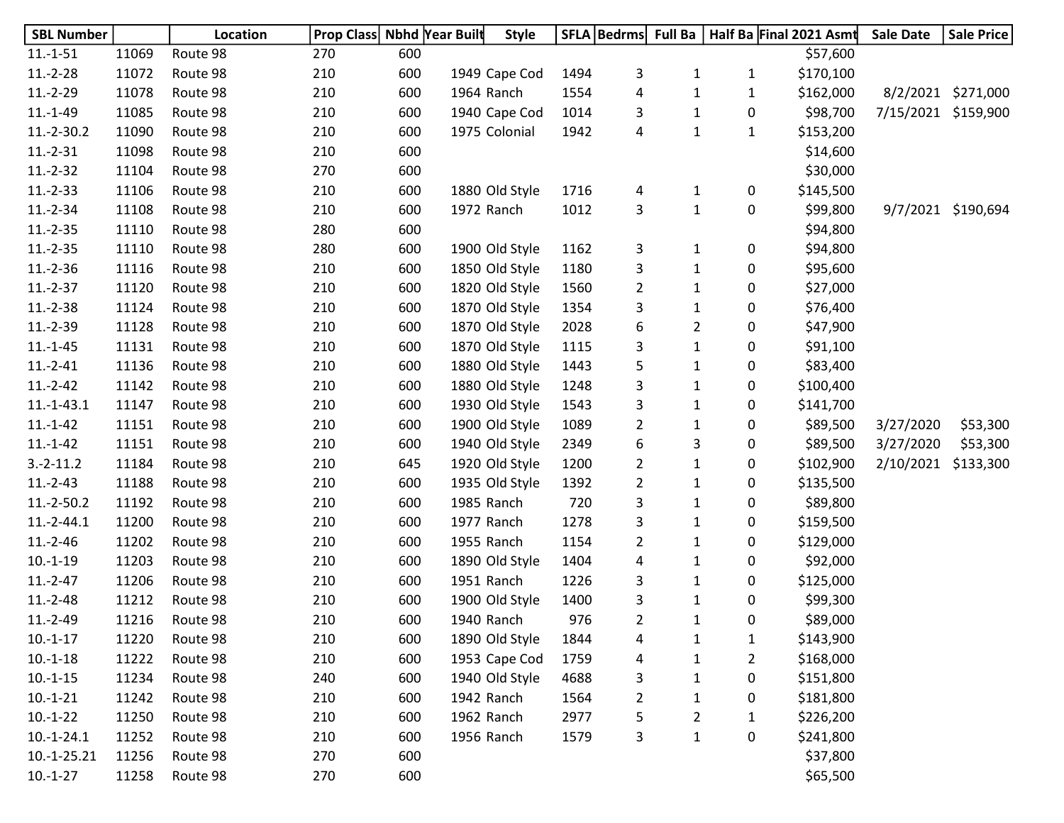| <b>SBL Number</b> |       | Location | <b>Prop Class Nbhd Year Built</b> |     | <b>Style</b>   |      | SFLA   Bedrms  |                |                | Full Ba   Half Ba Final 2021 Asmt | <b>Sale Date</b>    | <b>Sale Price</b>  |
|-------------------|-------|----------|-----------------------------------|-----|----------------|------|----------------|----------------|----------------|-----------------------------------|---------------------|--------------------|
| $11.-1-51$        | 11069 | Route 98 | 270                               | 600 |                |      |                |                |                | \$57,600                          |                     |                    |
| $11.-2-28$        | 11072 | Route 98 | 210                               | 600 | 1949 Cape Cod  | 1494 | 3              | $\mathbf{1}$   | $\mathbf{1}$   | \$170,100                         |                     |                    |
| $11.-2-29$        | 11078 | Route 98 | 210                               | 600 | 1964 Ranch     | 1554 | 4              | 1              | $\mathbf{1}$   | \$162,000                         | 8/2/2021            | \$271,000          |
| $11.-1-49$        | 11085 | Route 98 | 210                               | 600 | 1940 Cape Cod  | 1014 | 3              | 1              | 0              | \$98,700                          | 7/15/2021 \$159,900 |                    |
| $11.-2-30.2$      | 11090 | Route 98 | 210                               | 600 | 1975 Colonial  | 1942 | 4              | $\mathbf{1}$   | $\mathbf{1}$   | \$153,200                         |                     |                    |
| $11.-2-31$        | 11098 | Route 98 | 210                               | 600 |                |      |                |                |                | \$14,600                          |                     |                    |
| $11.-2-32$        | 11104 | Route 98 | 270                               | 600 |                |      |                |                |                | \$30,000                          |                     |                    |
| $11.-2-33$        | 11106 | Route 98 | 210                               | 600 | 1880 Old Style | 1716 | 4              | 1              | 0              | \$145,500                         |                     |                    |
| $11.-2-34$        | 11108 | Route 98 | 210                               | 600 | 1972 Ranch     | 1012 | 3              | $\mathbf{1}$   | 0              | \$99,800                          |                     | 9/7/2021 \$190,694 |
| $11.-2-35$        | 11110 | Route 98 | 280                               | 600 |                |      |                |                |                | \$94,800                          |                     |                    |
| $11.-2-35$        | 11110 | Route 98 | 280                               | 600 | 1900 Old Style | 1162 | 3              | 1              | 0              | \$94,800                          |                     |                    |
| $11.-2-36$        | 11116 | Route 98 | 210                               | 600 | 1850 Old Style | 1180 | 3              | $\mathbf{1}$   | 0              | \$95,600                          |                     |                    |
| $11.-2-37$        | 11120 | Route 98 | 210                               | 600 | 1820 Old Style | 1560 | $\overline{2}$ | $\mathbf{1}$   | 0              | \$27,000                          |                     |                    |
| $11.-2-38$        | 11124 | Route 98 | 210                               | 600 | 1870 Old Style | 1354 | 3              | $\mathbf{1}$   | 0              | \$76,400                          |                     |                    |
| $11.-2-39$        | 11128 | Route 98 | 210                               | 600 | 1870 Old Style | 2028 | 6              | $\overline{2}$ | 0              | \$47,900                          |                     |                    |
| $11.-1-45$        | 11131 | Route 98 | 210                               | 600 | 1870 Old Style | 1115 | 3              | 1              | 0              | \$91,100                          |                     |                    |
| $11.-2-41$        | 11136 | Route 98 | 210                               | 600 | 1880 Old Style | 1443 | 5              | 1              | 0              | \$83,400                          |                     |                    |
| $11.-2-42$        | 11142 | Route 98 | 210                               | 600 | 1880 Old Style | 1248 | 3              | 1              | 0              | \$100,400                         |                     |                    |
| $11.-1-43.1$      | 11147 | Route 98 | 210                               | 600 | 1930 Old Style | 1543 | 3              | 1              | 0              | \$141,700                         |                     |                    |
| $11.-1-42$        | 11151 | Route 98 | 210                               | 600 | 1900 Old Style | 1089 | $\overline{2}$ | $\mathbf{1}$   | 0              | \$89,500                          | 3/27/2020           | \$53,300           |
| $11.-1-42$        | 11151 | Route 98 | 210                               | 600 | 1940 Old Style | 2349 | 6              | 3              | 0              | \$89,500                          | 3/27/2020           | \$53,300           |
| $3.-2-11.2$       | 11184 | Route 98 | 210                               | 645 | 1920 Old Style | 1200 | 2              | 1              | 0              | \$102,900                         | 2/10/2021           | \$133,300          |
| $11.-2-43$        | 11188 | Route 98 | 210                               | 600 | 1935 Old Style | 1392 | $\overline{a}$ | 1              | 0              | \$135,500                         |                     |                    |
| $11.-2-50.2$      | 11192 | Route 98 | 210                               | 600 | 1985 Ranch     | 720  | 3              | 1              | 0              | \$89,800                          |                     |                    |
| $11.-2-44.1$      | 11200 | Route 98 | 210                               | 600 | 1977 Ranch     | 1278 | 3              | $\mathbf{1}$   | 0              | \$159,500                         |                     |                    |
| $11.-2-46$        | 11202 | Route 98 | 210                               | 600 | 1955 Ranch     | 1154 | $\overline{2}$ | 1              | 0              | \$129,000                         |                     |                    |
| $10.-1-19$        | 11203 | Route 98 | 210                               | 600 | 1890 Old Style | 1404 | 4              | 1              | 0              | \$92,000                          |                     |                    |
| $11.-2-47$        | 11206 | Route 98 | 210                               | 600 | 1951 Ranch     | 1226 | 3              | $\mathbf{1}$   | 0              | \$125,000                         |                     |                    |
| $11.-2-48$        | 11212 | Route 98 | 210                               | 600 | 1900 Old Style | 1400 | 3              | 1              | 0              | \$99,300                          |                     |                    |
| $11.-2-49$        | 11216 | Route 98 | 210                               | 600 | 1940 Ranch     | 976  | 2              | 1              | 0              | \$89,000                          |                     |                    |
| $10.-1-17$        | 11220 | Route 98 | 210                               | 600 | 1890 Old Style | 1844 | 4              | 1              | $\mathbf{1}$   | \$143,900                         |                     |                    |
| $10.-1-18$        | 11222 | Route 98 | 210                               | 600 | 1953 Cape Cod  | 1759 | 4              | 1              | $\overline{2}$ | \$168,000                         |                     |                    |
| $10.-1-15$        | 11234 | Route 98 | 240                               | 600 | 1940 Old Style | 4688 | 3              | 1              | 0              | \$151,800                         |                     |                    |
| $10.-1-21$        | 11242 | Route 98 | 210                               | 600 | 1942 Ranch     | 1564 | 2              | 1              | 0              | \$181,800                         |                     |                    |
| $10.-1-22$        | 11250 | Route 98 | 210                               | 600 | 1962 Ranch     | 2977 | 5              | 2              | 1              | \$226,200                         |                     |                    |
| $10.-1-24.1$      | 11252 | Route 98 | 210                               | 600 | 1956 Ranch     | 1579 | 3              | 1              | 0              | \$241,800                         |                     |                    |
| $10.-1-25.21$     | 11256 | Route 98 | 270                               | 600 |                |      |                |                |                | \$37,800                          |                     |                    |
| $10.-1-27$        | 11258 | Route 98 | 270                               | 600 |                |      |                |                |                | \$65,500                          |                     |                    |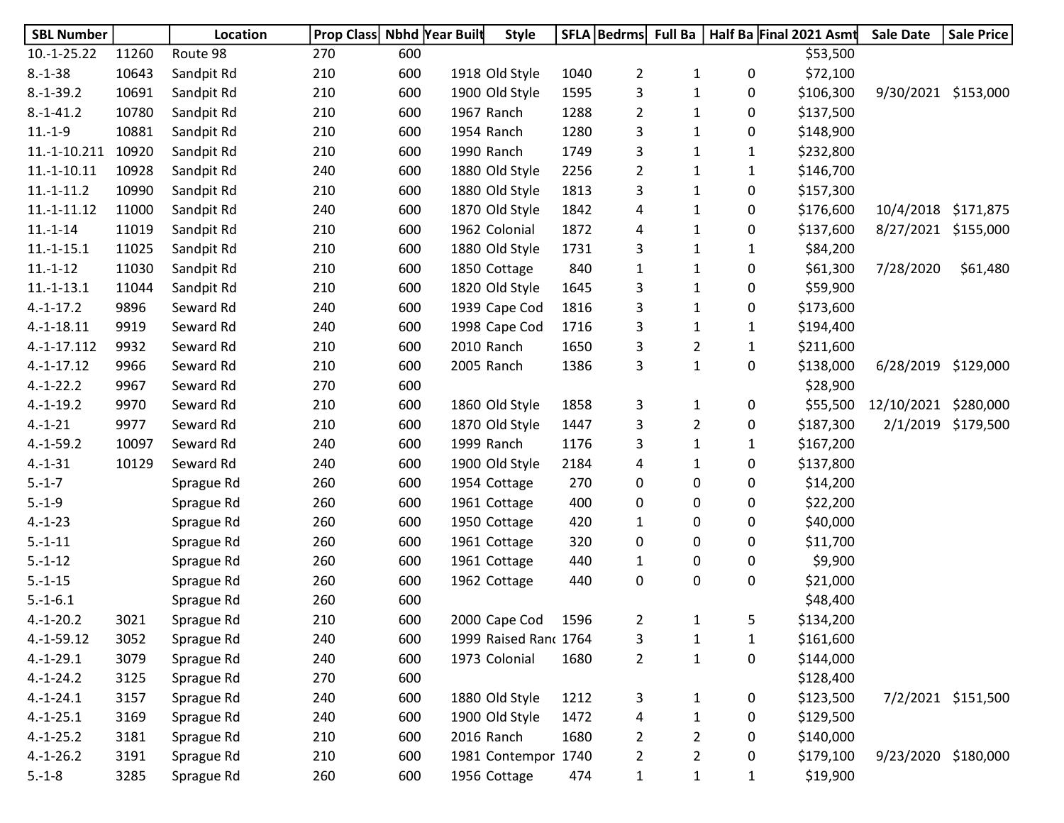| <b>SBL Number</b> |       | Location   | <b>Prop Class</b> | Nbhd Year Built |                | <b>Style</b>          |      | SFLA   Bedrms   Full Ba |                |              | Half Ba Final 2021 Asmt | <b>Sale Date</b>    | <b>Sale Price</b>  |
|-------------------|-------|------------|-------------------|-----------------|----------------|-----------------------|------|-------------------------|----------------|--------------|-------------------------|---------------------|--------------------|
| $10.-1-25.22$     | 11260 | Route 98   | 270               | 600             |                |                       |      |                         |                |              | \$53,500                |                     |                    |
| $8.-1-38$         | 10643 | Sandpit Rd | 210               | 600             | 1918 Old Style |                       | 1040 | $\overline{2}$          | $\mathbf{1}$   | 0            | \$72,100                |                     |                    |
| $8.-1-39.2$       | 10691 | Sandpit Rd | 210               | 600             | 1900 Old Style |                       | 1595 | 3                       | $\mathbf{1}$   | 0            | \$106,300               | 9/30/2021 \$153,000 |                    |
| $8.-1-41.2$       | 10780 | Sandpit Rd | 210               | 600             | 1967 Ranch     |                       | 1288 | $\overline{2}$          | $\mathbf{1}$   | 0            | \$137,500               |                     |                    |
| $11.-1-9$         | 10881 | Sandpit Rd | 210               | 600             | 1954 Ranch     |                       | 1280 | 3                       | 1              | 0            | \$148,900               |                     |                    |
| $11.-1-10.211$    | 10920 | Sandpit Rd | 210               | 600             | 1990 Ranch     |                       | 1749 | 3                       | $\mathbf{1}$   | 1            | \$232,800               |                     |                    |
| $11.-1-10.11$     | 10928 | Sandpit Rd | 240               | 600             | 1880 Old Style |                       | 2256 | $\overline{2}$          | $\mathbf{1}$   | 1            | \$146,700               |                     |                    |
| $11.-1-11.2$      | 10990 | Sandpit Rd | 210               | 600             | 1880 Old Style |                       | 1813 | 3                       | $\mathbf{1}$   | 0            | \$157,300               |                     |                    |
| $11.-1-11.12$     | 11000 | Sandpit Rd | 240               | 600             | 1870 Old Style |                       | 1842 | 4                       | $\mathbf{1}$   | 0            | \$176,600               | 10/4/2018 \$171,875 |                    |
| $11.-1-14$        | 11019 | Sandpit Rd | 210               | 600             | 1962 Colonial  |                       | 1872 | 4                       | $\mathbf{1}$   | 0            | \$137,600               | 8/27/2021 \$155,000 |                    |
| $11.-1-15.1$      | 11025 | Sandpit Rd | 210               | 600             | 1880 Old Style |                       | 1731 | 3                       | 1              | 1            | \$84,200                |                     |                    |
| $11.-1-12$        | 11030 | Sandpit Rd | 210               | 600             | 1850 Cottage   |                       | 840  | $\mathbf{1}$            | 1              | 0            | \$61,300                | 7/28/2020           | \$61,480           |
| $11.-1-13.1$      | 11044 | Sandpit Rd | 210               | 600             | 1820 Old Style |                       | 1645 | 3                       | $\mathbf{1}$   | 0            | \$59,900                |                     |                    |
| $4.-1-17.2$       | 9896  | Seward Rd  | 240               | 600             | 1939 Cape Cod  |                       | 1816 | 3                       | 1              | 0            | \$173,600               |                     |                    |
| $4.-1-18.11$      | 9919  | Seward Rd  | 240               | 600             | 1998 Cape Cod  |                       | 1716 | 3                       | $\mathbf{1}$   | 1            | \$194,400               |                     |                    |
| 4.-1-17.112       | 9932  | Seward Rd  | 210               | 600             | 2010 Ranch     |                       | 1650 | 3                       | $\overline{2}$ | $\mathbf{1}$ | \$211,600               |                     |                    |
| $4.-1-17.12$      | 9966  | Seward Rd  | 210               | 600             | 2005 Ranch     |                       | 1386 | 3                       | $\mathbf{1}$   | 0            | \$138,000               | 6/28/2019           | \$129,000          |
| $4.-1-22.2$       | 9967  | Seward Rd  | 270               | 600             |                |                       |      |                         |                |              | \$28,900                |                     |                    |
| $4.-1-19.2$       | 9970  | Seward Rd  | 210               | 600             | 1860 Old Style |                       | 1858 | 3                       | $\mathbf{1}$   | 0            | \$55,500                | 12/10/2021          | \$280,000          |
| $4.-1-21$         | 9977  | Seward Rd  | 210               | 600             | 1870 Old Style |                       | 1447 | 3                       | $\overline{2}$ | 0            | \$187,300               | 2/1/2019            | \$179,500          |
| $4.-1-59.2$       | 10097 | Seward Rd  | 240               | 600             | 1999 Ranch     |                       | 1176 | 3                       | $\mathbf{1}$   | 1            | \$167,200               |                     |                    |
| $4.-1-31$         | 10129 | Seward Rd  | 240               | 600             | 1900 Old Style |                       | 2184 | 4                       | $\mathbf{1}$   | 0            | \$137,800               |                     |                    |
| $5.-1-7$          |       | Sprague Rd | 260               | 600             | 1954 Cottage   |                       | 270  | 0                       | 0              | 0            | \$14,200                |                     |                    |
| $5.-1-9$          |       | Sprague Rd | 260               | 600             | 1961 Cottage   |                       | 400  | 0                       | 0              | 0            | \$22,200                |                     |                    |
| $4.-1-23$         |       | Sprague Rd | 260               | 600             | 1950 Cottage   |                       | 420  | $\mathbf{1}$            | 0              | 0            | \$40,000                |                     |                    |
| $5.-1-11$         |       | Sprague Rd | 260               | 600             | 1961 Cottage   |                       | 320  | 0                       | 0              | 0            | \$11,700                |                     |                    |
| $5.-1-12$         |       | Sprague Rd | 260               | 600             | 1961 Cottage   |                       | 440  | $\mathbf{1}$            | 0              | 0            | \$9,900                 |                     |                    |
| $5.-1-15$         |       | Sprague Rd | 260               | 600             | 1962 Cottage   |                       | 440  | 0                       | $\pmb{0}$      | 0            | \$21,000                |                     |                    |
| $5.-1-6.1$        |       | Sprague Rd | 260               | 600             |                |                       |      |                         |                |              | \$48,400                |                     |                    |
| $4.-1-20.2$       | 3021  | Sprague Rd | 210               | 600             | 2000 Cape Cod  |                       | 1596 | $\overline{2}$          | 1              | 5            | \$134,200               |                     |                    |
| $4.-1-59.12$      | 3052  | Sprague Rd | 240               | 600             |                | 1999 Raised Ranc 1764 |      | 3                       | $\mathbf{1}$   | 1            | \$161,600               |                     |                    |
| $4.-1-29.1$       | 3079  | Sprague Rd | 240               | 600             | 1973 Colonial  |                       | 1680 | $\overline{2}$          | $\mathbf 1$    | 0            | \$144,000               |                     |                    |
| $4.-1-24.2$       | 3125  | Sprague Rd | 270               | 600             |                |                       |      |                         |                |              | \$128,400               |                     |                    |
| $4.-1-24.1$       | 3157  | Sprague Rd | 240               | 600             | 1880 Old Style |                       | 1212 | 3                       | $\mathbf{1}$   | 0            | \$123,500               |                     | 7/2/2021 \$151,500 |
| $4.-1-25.1$       | 3169  | Sprague Rd | 240               | 600             | 1900 Old Style |                       | 1472 | 4                       | 1              | 0            | \$129,500               |                     |                    |
| $4.-1-25.2$       | 3181  | Sprague Rd | 210               | 600             | 2016 Ranch     |                       | 1680 | 2                       | $\overline{2}$ | 0            | \$140,000               |                     |                    |
| $4.-1-26.2$       | 3191  | Sprague Rd | 210               | 600             |                | 1981 Contempor 1740   |      | $\overline{2}$          | $\overline{2}$ | 0            | \$179,100               | 9/23/2020 \$180,000 |                    |
| $5.-1-8$          | 3285  | Sprague Rd | 260               | 600             | 1956 Cottage   |                       | 474  | $\mathbf{1}$            | $\mathbf{1}$   | $\mathbf{1}$ | \$19,900                |                     |                    |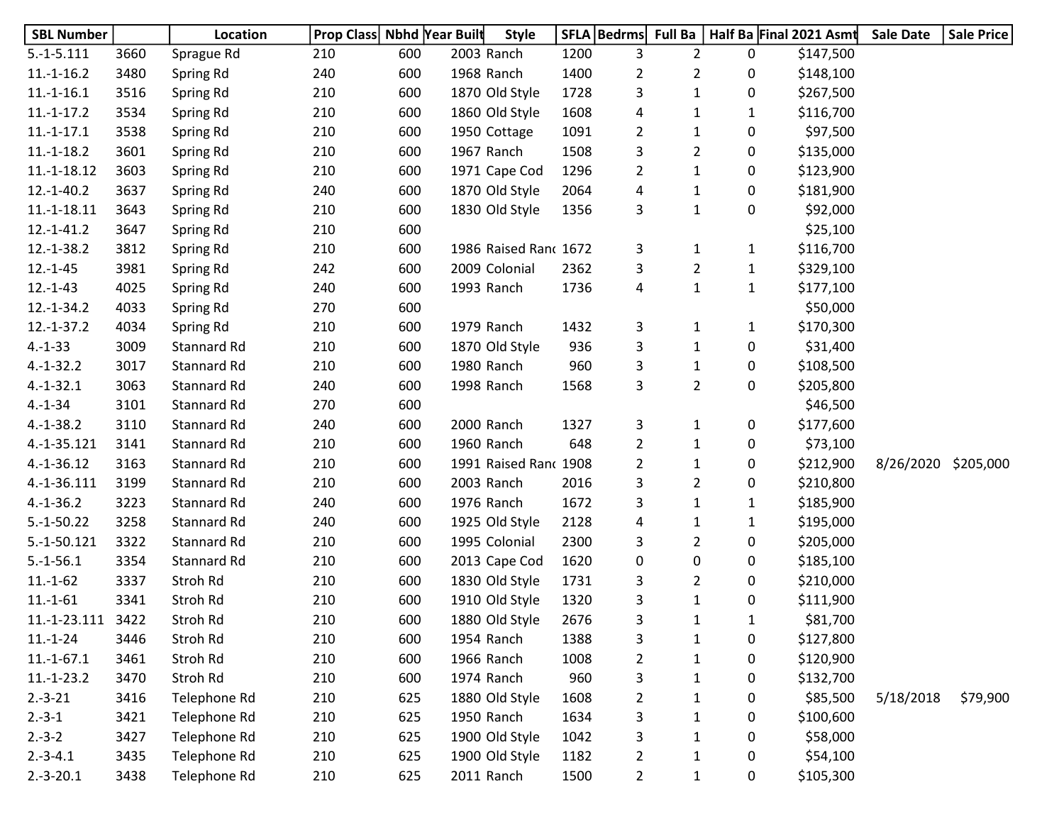| <b>SBL Number</b> |      | Location           | Prop Class Nbhd Year Built |     | <b>Style</b>          |      | SFLA   Bedrms  | <b>Full Ba</b> |              | Half Ba Final 2021 Asmt | <b>Sale Date</b> | <b>Sale Price</b> |
|-------------------|------|--------------------|----------------------------|-----|-----------------------|------|----------------|----------------|--------------|-------------------------|------------------|-------------------|
| $5.-1-5.111$      | 3660 | Sprague Rd         | 210                        | 600 | 2003 Ranch            | 1200 | 3              | 2              | 0            | \$147,500               |                  |                   |
| $11.-1-16.2$      | 3480 | Spring Rd          | 240                        | 600 | 1968 Ranch            | 1400 | $\overline{2}$ | $\overline{2}$ | 0            | \$148,100               |                  |                   |
| $11.-1-16.1$      | 3516 | Spring Rd          | 210                        | 600 | 1870 Old Style        | 1728 | 3              | $\mathbf{1}$   | 0            | \$267,500               |                  |                   |
| $11.-1-17.2$      | 3534 | Spring Rd          | 210                        | 600 | 1860 Old Style        | 1608 | 4              | 1              | 1            | \$116,700               |                  |                   |
| $11.-1-17.1$      | 3538 | Spring Rd          | 210                        | 600 | 1950 Cottage          | 1091 | 2              | $\mathbf{1}$   | 0            | \$97,500                |                  |                   |
| $11.-1-18.2$      | 3601 | Spring Rd          | 210                        | 600 | 1967 Ranch            | 1508 | 3              | $\overline{2}$ | 0            | \$135,000               |                  |                   |
| $11.-1-18.12$     | 3603 | Spring Rd          | 210                        | 600 | 1971 Cape Cod         | 1296 | $\overline{2}$ | $\mathbf{1}$   | 0            | \$123,900               |                  |                   |
| $12.-1-40.2$      | 3637 | Spring Rd          | 240                        | 600 | 1870 Old Style        | 2064 | 4              | $\mathbf{1}$   | 0            | \$181,900               |                  |                   |
| $11.-1-18.11$     | 3643 | Spring Rd          | 210                        | 600 | 1830 Old Style        | 1356 | 3              | $\mathbf{1}$   | 0            | \$92,000                |                  |                   |
| $12.-1-41.2$      | 3647 | Spring Rd          | 210                        | 600 |                       |      |                |                |              | \$25,100                |                  |                   |
| 12.-1-38.2        | 3812 | Spring Rd          | 210                        | 600 | 1986 Raised Ranc 1672 |      | 3              | 1              | $\mathbf{1}$ | \$116,700               |                  |                   |
| $12.-1-45$        | 3981 | Spring Rd          | 242                        | 600 | 2009 Colonial         | 2362 | 3              | $\overline{2}$ | $\mathbf{1}$ | \$329,100               |                  |                   |
| $12.-1-43$        | 4025 | Spring Rd          | 240                        | 600 | 1993 Ranch            | 1736 | 4              | $\mathbf{1}$   | $\mathbf{1}$ | \$177,100               |                  |                   |
| $12.-1-34.2$      | 4033 | Spring Rd          | 270                        | 600 |                       |      |                |                |              | \$50,000                |                  |                   |
| $12.-1-37.2$      | 4034 | Spring Rd          | 210                        | 600 | 1979 Ranch            | 1432 | 3              | $\mathbf{1}$   | $\mathbf{1}$ | \$170,300               |                  |                   |
| $4.-1-33$         | 3009 | Stannard Rd        | 210                        | 600 | 1870 Old Style        | 936  | 3              | $\mathbf{1}$   | 0            | \$31,400                |                  |                   |
| $4.-1-32.2$       | 3017 | Stannard Rd        | 210                        | 600 | 1980 Ranch            | 960  | 3              | $\mathbf{1}$   | 0            | \$108,500               |                  |                   |
| $4.-1-32.1$       | 3063 | Stannard Rd        | 240                        | 600 | 1998 Ranch            | 1568 | 3              | $\overline{2}$ | 0            | \$205,800               |                  |                   |
| $4.-1-34$         | 3101 | Stannard Rd        | 270                        | 600 |                       |      |                |                |              | \$46,500                |                  |                   |
| $4.-1-38.2$       | 3110 | Stannard Rd        | 240                        | 600 | 2000 Ranch            | 1327 | 3              | $\mathbf{1}$   | 0            | \$177,600               |                  |                   |
| 4.-1-35.121       | 3141 | <b>Stannard Rd</b> | 210                        | 600 | 1960 Ranch            | 648  | $\overline{2}$ | $\mathbf{1}$   | 0            | \$73,100                |                  |                   |
| $4.-1-36.12$      | 3163 | Stannard Rd        | 210                        | 600 | 1991 Raised Ranc 1908 |      | 2              | 1              | 0            | \$212,900               | 8/26/2020        | \$205,000         |
| 4.-1-36.111       | 3199 | Stannard Rd        | 210                        | 600 | 2003 Ranch            | 2016 | 3              | $\overline{2}$ | 0            | \$210,800               |                  |                   |
| $4.-1-36.2$       | 3223 | Stannard Rd        | 240                        | 600 | 1976 Ranch            | 1672 | 3              | 1              | 1            | \$185,900               |                  |                   |
| $5.-1-50.22$      | 3258 | Stannard Rd        | 240                        | 600 | 1925 Old Style        | 2128 | 4              | 1              | $\mathbf{1}$ | \$195,000               |                  |                   |
| 5.-1-50.121       | 3322 | Stannard Rd        | 210                        | 600 | 1995 Colonial         | 2300 | 3              | $\overline{2}$ | 0            | \$205,000               |                  |                   |
| $5.-1-56.1$       | 3354 | Stannard Rd        | 210                        | 600 | 2013 Cape Cod         | 1620 | 0              | 0              | 0            | \$185,100               |                  |                   |
| $11.-1-62$        | 3337 | Stroh Rd           | 210                        | 600 | 1830 Old Style        | 1731 | 3              | $\overline{2}$ | 0            | \$210,000               |                  |                   |
| $11.-1-61$        | 3341 | Stroh Rd           | 210                        | 600 | 1910 Old Style        | 1320 | 3              | $\mathbf{1}$   | 0            | \$111,900               |                  |                   |
| 11.-1-23.111      | 3422 | Stroh Rd           | 210                        | 600 | 1880 Old Style        | 2676 | 3              | 1              | 1            | \$81,700                |                  |                   |
| $11.-1-24$        | 3446 | Stroh Rd           | 210                        | 600 | 1954 Ranch            | 1388 | 3              | $\mathbf{1}$   | 0            | \$127,800               |                  |                   |
| $11.-1-67.1$      | 3461 | Stroh Rd           | 210                        | 600 | 1966 Ranch            | 1008 | $\overline{2}$ | $\mathbf{1}$   | 0            | \$120,900               |                  |                   |
| $11.-1-23.2$      | 3470 | Stroh Rd           | 210                        | 600 | 1974 Ranch            | 960  | 3              | 1              | 0            | \$132,700               |                  |                   |
| $2.-3-21$         | 3416 | Telephone Rd       | 210                        | 625 | 1880 Old Style        | 1608 | $\overline{2}$ | 1              | 0            | \$85,500                | 5/18/2018        | \$79,900          |
| $2.-3-1$          | 3421 | Telephone Rd       | 210                        | 625 | 1950 Ranch            | 1634 | 3              | 1              | 0            | \$100,600               |                  |                   |
| $2.-3-2$          | 3427 | Telephone Rd       | 210                        | 625 | 1900 Old Style        | 1042 | 3              | 1              | 0            | \$58,000                |                  |                   |
| $2.-3-4.1$        | 3435 | Telephone Rd       | 210                        | 625 | 1900 Old Style        | 1182 | $\overline{c}$ | 1              | 0            | \$54,100                |                  |                   |
| $2.-3-20.1$       | 3438 | Telephone Rd       | 210                        | 625 | 2011 Ranch            | 1500 | $\overline{2}$ | $\mathbf{1}$   | 0            | \$105,300               |                  |                   |